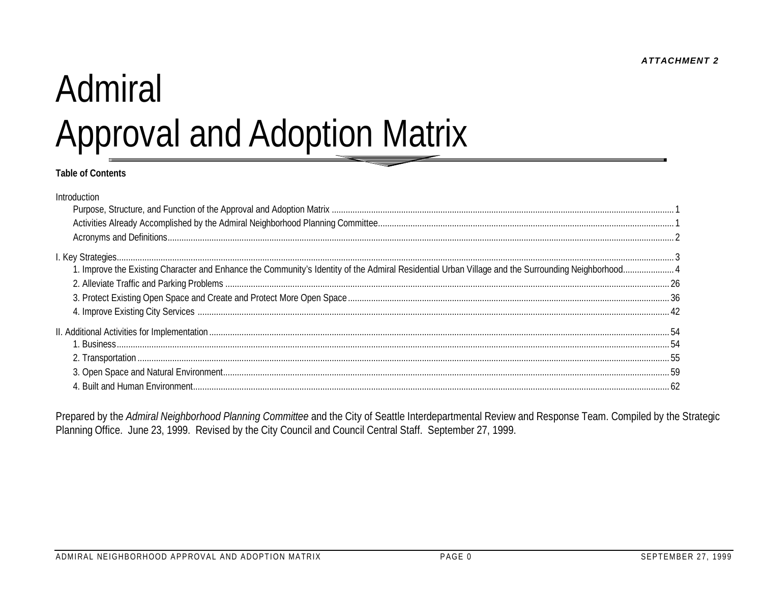**ATTACHMENT 2** 

# Admiral **Approval and Adoption Matrix**

#### **Table of Contents**

| Introduction                                                                                                                                      |  |
|---------------------------------------------------------------------------------------------------------------------------------------------------|--|
|                                                                                                                                                   |  |
|                                                                                                                                                   |  |
|                                                                                                                                                   |  |
|                                                                                                                                                   |  |
| . Improve the Existing Character and Enhance the Community's Identity of the Admiral Residential Urban Village and the Surrounding Neighborhood 4 |  |
|                                                                                                                                                   |  |
|                                                                                                                                                   |  |
|                                                                                                                                                   |  |
|                                                                                                                                                   |  |
|                                                                                                                                                   |  |
|                                                                                                                                                   |  |
|                                                                                                                                                   |  |
|                                                                                                                                                   |  |

Prepared by the Admiral Neighborhood Planning Committee and the City of Seattle Interdepartmental Review and Response Team. Compiled by the Strategic Planning Office. June 23, 1999. Revised by the City Council and Council Central Staff. September 27, 1999.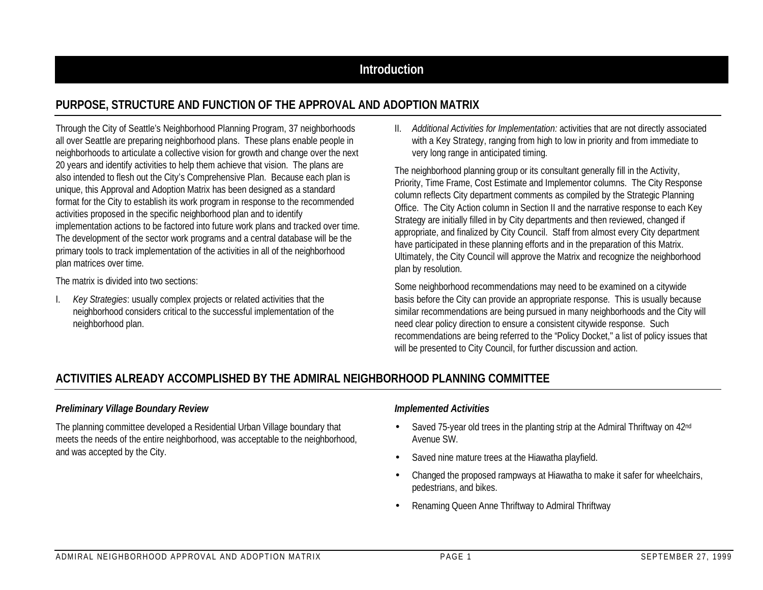# **Introduction**

# **PURPOSE, STRUCTURE AND FUNCTION OF THE APPROVAL AND ADOPTION MATRIX**

Through the City of Seattle's Neighborhood Planning Program, 37 neighborhoods all over Seattle are preparing neighborhood plans. These plans enable people in neighborhoods to articulate a collective vision for growth and change over the next 20 years and identify activities to help them achieve that vision. The plans are also intended to flesh out the City's Comprehensive Plan. Because each plan is unique, this Approval and Adoption Matrix has been designed as a standard format for the City to establish its work program in response to the recommended activities proposed in the specific neighborhood plan and to identify implementation actions to be factored into future work plans and tracked over time. The development of the sector work programs and a central database will be the primary tools to track implementation of the activities in all of the neighborhood plan matrices over time.

The matrix is divided into two sections:

I. *Key Strategies*: usually complex projects or related activities that the neighborhood considers critical to the successful implementation of the neighborhood plan.

II. *Additional Activities for Implementation:* activities that are not directly associated with a Key Strategy, ranging from high to low in priority and from immediate to very long range in anticipated timing.

The neighborhood planning group or its consultant generally fill in the Activity, Priority, Time Frame, Cost Estimate and Implementor columns. The City Response column reflects City department comments as compiled by the Strategic Planning Office. The City Action column in Section II and the narrative response to each Key Strategy are initially filled in by City departments and then reviewed, changed if appropriate, and finalized by City Council. Staff from almost every City department have participated in these planning efforts and in the preparation of this Matrix. Ultimately, the City Council will approve the Matrix and recognize the neighborhood plan by resolution.

Some neighborhood recommendations may need to be examined on a citywide basis before the City can provide an appropriate response. This is usually because similar recommendations are being pursued in many neighborhoods and the City will need clear policy direction to ensure a consistent citywide response. Such recommendations are being referred to the "Policy Docket," a list of policy issues that will be presented to City Council, for further discussion and action.

# **ACTIVITIES ALREADY ACCOMPLISHED BY THE ADMIRAL NEIGHBORHOOD PLANNING COMMITTEE**

#### *Preliminary Village Boundary Review*

The planning committee developed a Residential Urban Village boundary that meets the needs of the entire neighborhood, was acceptable to the neighborhood, and was accepted by the City.

#### *Implemented Activities*

- Saved 75-year old trees in the planting strip at the Admiral Thriftway on 42<sup>nd</sup> Avenue SW.
- Saved nine mature trees at the Hiawatha playfield.
- Changed the proposed rampways at Hiawatha to make it safer for wheelchairs, pedestrians, and bikes.
- Renaming Queen Anne Thriftway to Admiral Thriftway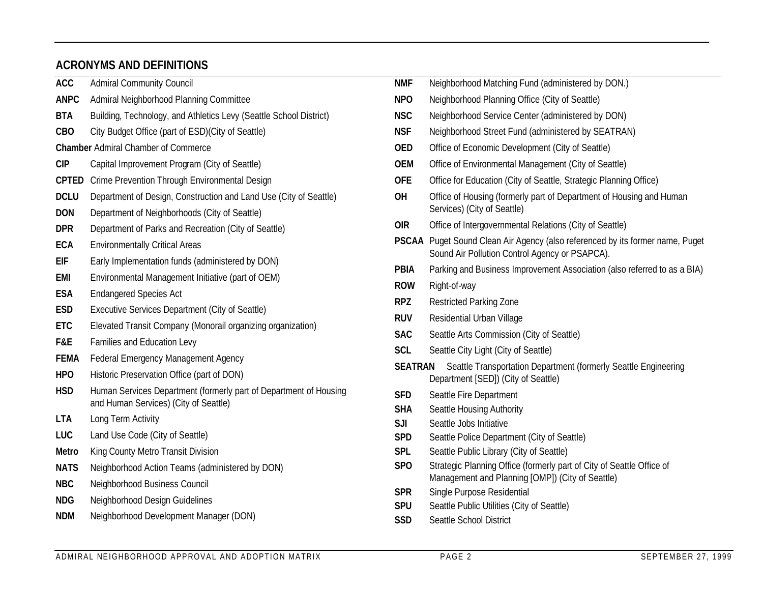# **ACRONYMS AND DEFINITIONS**

| <b>ACC</b>                | <b>Admiral Community Council</b>                                                                                   | <b>NMF</b>               | Neighborhood Matching Fund (administered by DON.)                                                                               |
|---------------------------|--------------------------------------------------------------------------------------------------------------------|--------------------------|---------------------------------------------------------------------------------------------------------------------------------|
| <b>ANPC</b>               | Admiral Neighborhood Planning Committee                                                                            | <b>NPO</b>               | Neighborhood Planning Office (City of Seattle)                                                                                  |
| <b>BTA</b>                | Building, Technology, and Athletics Levy (Seattle School District)                                                 | <b>NSC</b>               | Neighborhood Service Center (administered by DON)                                                                               |
| <b>CBO</b>                | City Budget Office (part of ESD)(City of Seattle)                                                                  | <b>NSF</b>               | Neighborhood Street Fund (administered by SEATRAN)                                                                              |
|                           | <b>Chamber Admiral Chamber of Commerce</b>                                                                         | <b>OED</b>               | Office of Economic Development (City of Seattle)                                                                                |
| <b>CIP</b>                | Capital Improvement Program (City of Seattle)                                                                      | <b>OEM</b>               | Office of Environmental Management (City of Seattle)                                                                            |
|                           | <b>CPTED</b> Crime Prevention Through Environmental Design                                                         | <b>OFE</b>               | Office for Education (City of Seattle, Strategic Planning Office)                                                               |
| <b>DCLU</b><br><b>DON</b> | Department of Design, Construction and Land Use (City of Seattle)<br>Department of Neighborhoods (City of Seattle) | OH                       | Office of Housing (formerly part of Department of Housing and Human<br>Services) (City of Seattle)                              |
| <b>DPR</b>                | Department of Parks and Recreation (City of Seattle)                                                               | <b>OIR</b>               | Office of Intergovernmental Relations (City of Seattle)                                                                         |
| <b>ECA</b>                | <b>Environmentally Critical Areas</b>                                                                              |                          | PSCAA Puget Sound Clean Air Agency (also referenced by its former name, Puget<br>Sound Air Pollution Control Agency or PSAPCA). |
| <b>EIF</b>                | Early Implementation funds (administered by DON)                                                                   | <b>PBIA</b>              | Parking and Business Improvement Association (also referred to as a BIA)                                                        |
| <b>EMI</b>                | Environmental Management Initiative (part of OEM)                                                                  | <b>ROW</b>               | Right-of-way                                                                                                                    |
| <b>ESA</b>                | <b>Endangered Species Act</b>                                                                                      | <b>RPZ</b>               | <b>Restricted Parking Zone</b>                                                                                                  |
| <b>ESD</b>                | Executive Services Department (City of Seattle)                                                                    | <b>RUV</b>               | Residential Urban Village                                                                                                       |
| <b>ETC</b>                | Elevated Transit Company (Monorail organizing organization)                                                        | <b>SAC</b>               | Seattle Arts Commission (City of Seattle)                                                                                       |
| F&E                       | Families and Education Levy                                                                                        | <b>SCL</b>               | Seattle City Light (City of Seattle)                                                                                            |
| <b>FEMA</b><br><b>HPO</b> | Federal Emergency Management Agency<br>Historic Preservation Office (part of DON)                                  | <b>SEATRAN</b>           | Seattle Transportation Department (formerly Seattle Engineering<br>Department [SED]) (City of Seattle)                          |
| <b>HSD</b>                | Human Services Department (formerly part of Department of Housing<br>and Human Services) (City of Seattle)         | <b>SFD</b><br><b>SHA</b> | Seattle Fire Department<br>Seattle Housing Authority                                                                            |
| <b>LTA</b>                | Long Term Activity                                                                                                 | SJI                      | Seattle Jobs Initiative                                                                                                         |
| LUC                       | Land Use Code (City of Seattle)                                                                                    | <b>SPD</b>               | Seattle Police Department (City of Seattle)                                                                                     |
| Metro                     | King County Metro Transit Division                                                                                 | <b>SPL</b>               | Seattle Public Library (City of Seattle)                                                                                        |
| <b>NATS</b>               | Neighborhood Action Teams (administered by DON)                                                                    | SP <sub>O</sub>          | Strategic Planning Office (formerly part of City of Seattle Office of<br>Management and Planning [OMP]) (City of Seattle)       |
| <b>NBC</b>                | Neighborhood Business Council                                                                                      | <b>SPR</b>               | Single Purpose Residential                                                                                                      |
| <b>NDG</b>                | Neighborhood Design Guidelines                                                                                     | <b>SPU</b>               | Seattle Public Utilities (City of Seattle)                                                                                      |
| <b>NDM</b>                | Neighborhood Development Manager (DON)                                                                             | <b>SSD</b>               | Seattle School District                                                                                                         |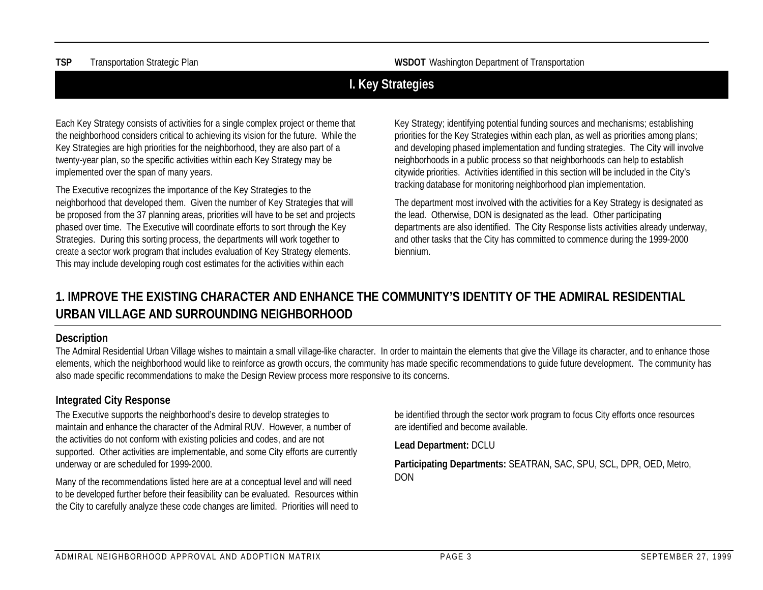**TSP** Transportation Strategic Plan **WSDOT** Washington Department of Transportation

# **I. Key Strategies**

Each Key Strategy consists of activities for a single complex project or theme that the neighborhood considers critical to achieving its vision for the future. While the Key Strategies are high priorities for the neighborhood, they are also part of a twenty-year plan, so the specific activities within each Key Strategy may be implemented over the span of many years.

The Executive recognizes the importance of the Key Strategies to the neighborhood that developed them. Given the number of Key Strategies that will be proposed from the 37 planning areas, priorities will have to be set and projects phased over time. The Executive will coordinate efforts to sort through the Key Strategies. During this sorting process, the departments will work together to create a sector work program that includes evaluation of Key Strategy elements. This may include developing rough cost estimates for the activities within each

Key Strategy; identifying potential funding sources and mechanisms; establishing priorities for the Key Strategies within each plan, as well as priorities among plans; and developing phased implementation and funding strategies. The City will involve neighborhoods in a public process so that neighborhoods can help to establish citywide priorities. Activities identified in this section will be included in the City's tracking database for monitoring neighborhood plan implementation.

The department most involved with the activities for a Key Strategy is designated as the lead. Otherwise, DON is designated as the lead. Other participating departments are also identified. The City Response lists activities already underway, and other tasks that the City has committed to commence during the 1999-2000 biennium.

# **1. IMPROVE THE EXISTING CHARACTER AND ENHANCE THE COMMUNITY'S IDENTITY OF THE ADMIRAL RESIDENTIAL URBAN VILLAGE AND SURROUNDING NEIGHBORHOOD**

#### **Description**

The Admiral Residential Urban Village wishes to maintain a small village-like character. In order to maintain the elements that give the Village its character, and to enhance those elements, which the neighborhood would like to reinforce as growth occurs, the community has made specific recommendations to guide future development. The community has also made specific recommendations to make the Design Review process more responsive to its concerns.

#### **Integrated City Response**

The Executive supports the neighborhood's desire to develop strategies to maintain and enhance the character of the Admiral RUV. However, a number of the activities do not conform with existing policies and codes, and are not supported. Other activities are implementable, and some City efforts are currently underway or are scheduled for 1999-2000.

Many of the recommendations listed here are at a conceptual level and will need to be developed further before their feasibility can be evaluated. Resources within the City to carefully analyze these code changes are limited. Priorities will need to be identified through the sector work program to focus City efforts once resources are identified and become available.

**Lead Department:** DCLU

**Participating Departments:** SEATRAN, SAC, SPU, SCL, DPR, OED, Metro, DON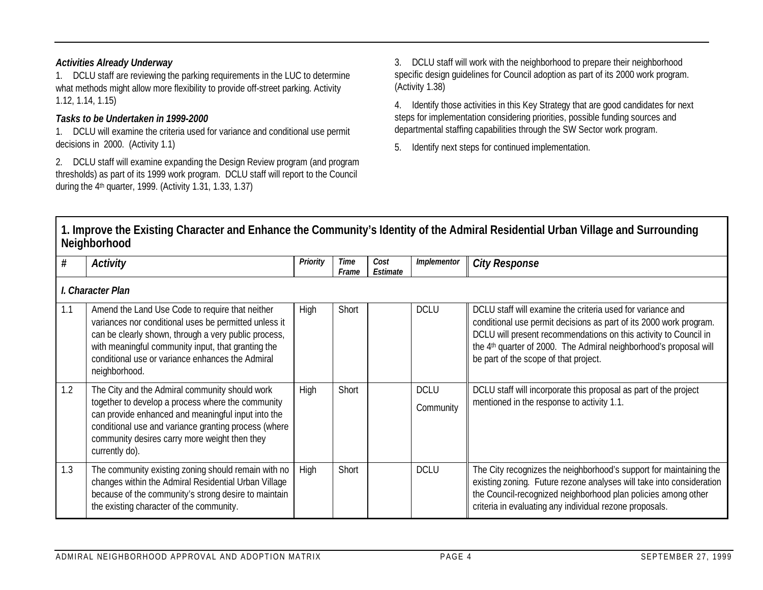#### *Activities Already Underway*

1. DCLU staff are reviewing the parking requirements in the LUC to determine what methods might allow more flexibility to provide off-street parking. Activity 1.12, 1.14, 1.15)

#### *Tasks to be Undertaken in 1999-2000*

1. DCLU will examine the criteria used for variance and conditional use permit decisions in 2000. (Activity 1.1)

2. DCLU staff will examine expanding the Design Review program (and program thresholds) as part of its 1999 work program. DCLU staff will report to the Council during the 4th quarter, 1999. (Activity 1.31, 1.33, 1.37)

3. DCLU staff will work with the neighborhood to prepare their neighborhood specific design guidelines for Council adoption as part of its 2000 work program. (Activity 1.38)

4. Identify those activities in this Key Strategy that are good candidates for next steps for implementation considering priorities, possible funding sources and departmental staffing capabilities through the SW Sector work program.

5. Identify next steps for continued implementation.

| #   | <b>Activity</b>                                                                                                                                                                                                                                                                             | Priority | Time<br>Frame | Cost<br>Estimate | Implementor              | <b>City Response</b>                                                                                                                                                                                                                                                                                                           |
|-----|---------------------------------------------------------------------------------------------------------------------------------------------------------------------------------------------------------------------------------------------------------------------------------------------|----------|---------------|------------------|--------------------------|--------------------------------------------------------------------------------------------------------------------------------------------------------------------------------------------------------------------------------------------------------------------------------------------------------------------------------|
|     | I. Character Plan                                                                                                                                                                                                                                                                           |          |               |                  |                          |                                                                                                                                                                                                                                                                                                                                |
| 1.1 | Amend the Land Use Code to require that neither<br>variances nor conditional uses be permitted unless it<br>can be clearly shown, through a very public process,<br>with meaningful community input, that granting the<br>conditional use or variance enhances the Admiral<br>neighborhood. | High     | Short         |                  | <b>DCLU</b>              | DCLU staff will examine the criteria used for variance and<br>conditional use permit decisions as part of its 2000 work program.<br>DCLU will present recommendations on this activity to Council in<br>the 4 <sup>th</sup> quarter of 2000. The Admiral neighborhood's proposal will<br>be part of the scope of that project. |
| 1.2 | The City and the Admiral community should work<br>together to develop a process where the community<br>can provide enhanced and meaningful input into the<br>conditional use and variance granting process (where<br>community desires carry more weight then they<br>currently do).        | High     | Short         |                  | <b>DCLU</b><br>Community | DCLU staff will incorporate this proposal as part of the project<br>mentioned in the response to activity 1.1.                                                                                                                                                                                                                 |
| 1.3 | The community existing zoning should remain with no<br>changes within the Admiral Residential Urban Village<br>because of the community's strong desire to maintain<br>the existing character of the community.                                                                             | High     | Short         |                  | <b>DCLU</b>              | The City recognizes the neighborhood's support for maintaining the<br>existing zoning. Future rezone analyses will take into consideration<br>the Council-recognized neighborhood plan policies among other<br>criteria in evaluating any individual rezone proposals.                                                         |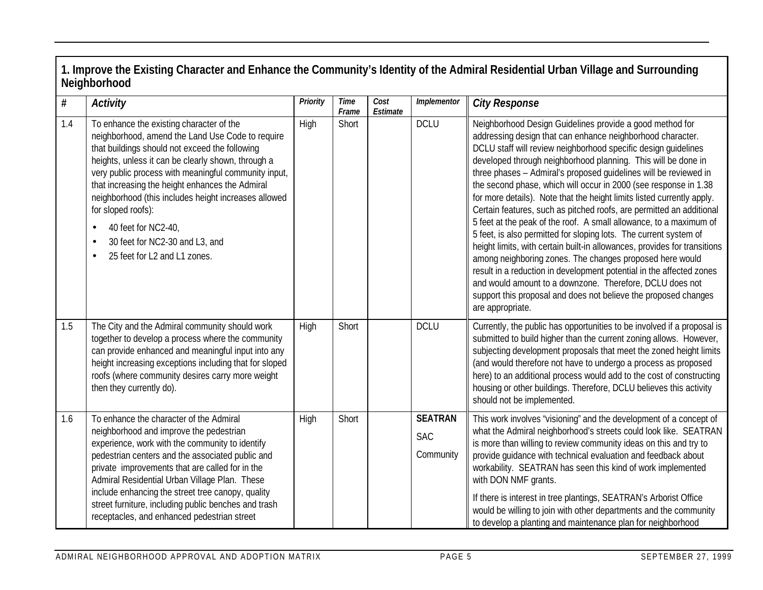| $\#$ | <b>Activity</b>                                                                                                                                                                                                                                                                                                                                                                                                                                                                                     | Priority | <b>Time</b><br>Frame | Cost<br>Estimate | Implementor                               | <b>City Response</b>                                                                                                                                                                                                                                                                                                                                                                                                                                                                                                                                                                                                                                                                                                                                                                                                                                                                                                                                                                                                                                               |
|------|-----------------------------------------------------------------------------------------------------------------------------------------------------------------------------------------------------------------------------------------------------------------------------------------------------------------------------------------------------------------------------------------------------------------------------------------------------------------------------------------------------|----------|----------------------|------------------|-------------------------------------------|--------------------------------------------------------------------------------------------------------------------------------------------------------------------------------------------------------------------------------------------------------------------------------------------------------------------------------------------------------------------------------------------------------------------------------------------------------------------------------------------------------------------------------------------------------------------------------------------------------------------------------------------------------------------------------------------------------------------------------------------------------------------------------------------------------------------------------------------------------------------------------------------------------------------------------------------------------------------------------------------------------------------------------------------------------------------|
| 1.4  | To enhance the existing character of the<br>neighborhood, amend the Land Use Code to require<br>that buildings should not exceed the following<br>heights, unless it can be clearly shown, through a<br>very public process with meaningful community input,<br>that increasing the height enhances the Admiral<br>neighborhood (this includes height increases allowed<br>for sloped roofs):<br>40 feet for NC2-40,<br>30 feet for NC2-30 and L3, and<br>$\bullet$<br>25 feet for L2 and L1 zones. | High     | Short                |                  | <b>DCLU</b>                               | Neighborhood Design Guidelines provide a good method for<br>addressing design that can enhance neighborhood character.<br>DCLU staff will review neighborhood specific design guidelines<br>developed through neighborhood planning. This will be done in<br>three phases - Admiral's proposed guidelines will be reviewed in<br>the second phase, which will occur in 2000 (see response in 1.38<br>for more details). Note that the height limits listed currently apply.<br>Certain features, such as pitched roofs, are permitted an additional<br>5 feet at the peak of the roof. A small allowance, to a maximum of<br>5 feet, is also permitted for sloping lots. The current system of<br>height limits, with certain built-in allowances, provides for transitions<br>among neighboring zones. The changes proposed here would<br>result in a reduction in development potential in the affected zones<br>and would amount to a downzone. Therefore, DCLU does not<br>support this proposal and does not believe the proposed changes<br>are appropriate. |
| 1.5  | The City and the Admiral community should work<br>together to develop a process where the community<br>can provide enhanced and meaningful input into any<br>height increasing exceptions including that for sloped<br>roofs (where community desires carry more weight<br>then they currently do).                                                                                                                                                                                                 | High     | Short                |                  | <b>DCLU</b>                               | Currently, the public has opportunities to be involved if a proposal is<br>submitted to build higher than the current zoning allows. However,<br>subjecting development proposals that meet the zoned height limits<br>(and would therefore not have to undergo a process as proposed<br>here) to an additional process would add to the cost of constructing<br>housing or other buildings. Therefore, DCLU believes this activity<br>should not be implemented.                                                                                                                                                                                                                                                                                                                                                                                                                                                                                                                                                                                                  |
| 1.6  | To enhance the character of the Admiral<br>neighborhood and improve the pedestrian<br>experience, work with the community to identify<br>pedestrian centers and the associated public and<br>private improvements that are called for in the<br>Admiral Residential Urban Village Plan. These<br>include enhancing the street tree canopy, quality<br>street furniture, including public benches and trash<br>receptacles, and enhanced pedestrian street                                           | High     | Short                |                  | <b>SEATRAN</b><br><b>SAC</b><br>Community | This work involves "visioning" and the development of a concept of<br>what the Admiral neighborhood's streets could look like. SEATRAN<br>is more than willing to review community ideas on this and try to<br>provide guidance with technical evaluation and feedback about<br>workability. SEATRAN has seen this kind of work implemented<br>with DON NMF grants.<br>If there is interest in tree plantings, SEATRAN's Arborist Office<br>would be willing to join with other departments and the community<br>to develop a planting and maintenance plan for neighborhood                                                                                                                                                                                                                                                                                                                                                                                                                                                                                       |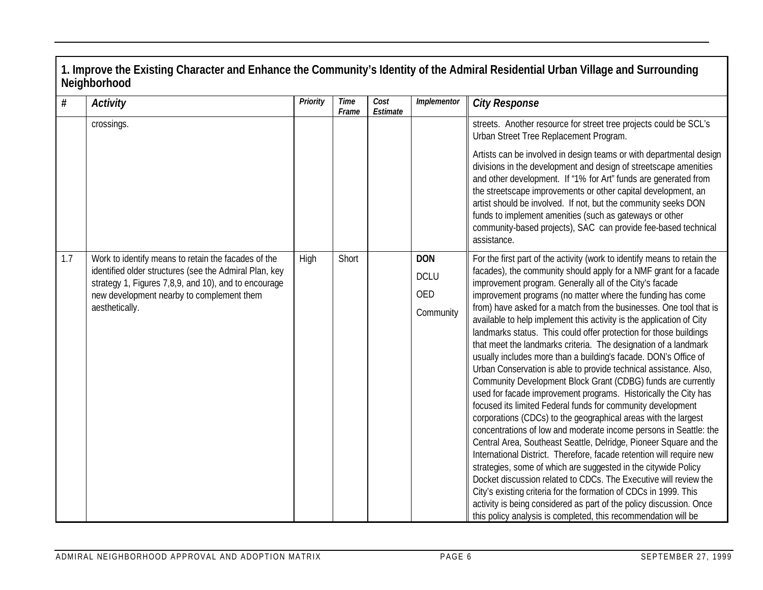| $\#$ | <b>Activity</b>                                                                                                                                                                                                                      | Priority | <b>Time</b><br>Frame | Cost<br>Estimate | Implementor                                          | <b>City Response</b>                                                                                                                                                                                                                                                                                                                                                                                                                                                                                                                                                                                                                                                                                                                                                                                                                                                                                                                                                                                                                                                                                                                                                                                                                                                                                                                                                                                                                                                                                                                          |
|------|--------------------------------------------------------------------------------------------------------------------------------------------------------------------------------------------------------------------------------------|----------|----------------------|------------------|------------------------------------------------------|-----------------------------------------------------------------------------------------------------------------------------------------------------------------------------------------------------------------------------------------------------------------------------------------------------------------------------------------------------------------------------------------------------------------------------------------------------------------------------------------------------------------------------------------------------------------------------------------------------------------------------------------------------------------------------------------------------------------------------------------------------------------------------------------------------------------------------------------------------------------------------------------------------------------------------------------------------------------------------------------------------------------------------------------------------------------------------------------------------------------------------------------------------------------------------------------------------------------------------------------------------------------------------------------------------------------------------------------------------------------------------------------------------------------------------------------------------------------------------------------------------------------------------------------------|
|      | crossings.                                                                                                                                                                                                                           |          |                      |                  |                                                      | streets. Another resource for street tree projects could be SCL's<br>Urban Street Tree Replacement Program.                                                                                                                                                                                                                                                                                                                                                                                                                                                                                                                                                                                                                                                                                                                                                                                                                                                                                                                                                                                                                                                                                                                                                                                                                                                                                                                                                                                                                                   |
|      |                                                                                                                                                                                                                                      |          |                      |                  |                                                      | Artists can be involved in design teams or with departmental design<br>divisions in the development and design of streetscape amenities<br>and other development. If "1% for Art" funds are generated from<br>the streetscape improvements or other capital development, an<br>artist should be involved. If not, but the community seeks DON<br>funds to implement amenities (such as gateways or other<br>community-based projects), SAC can provide fee-based technical<br>assistance.                                                                                                                                                                                                                                                                                                                                                                                                                                                                                                                                                                                                                                                                                                                                                                                                                                                                                                                                                                                                                                                     |
| 1.7  | Work to identify means to retain the facades of the<br>identified older structures (see the Admiral Plan, key<br>strategy 1, Figures 7,8,9, and 10), and to encourage<br>new development nearby to complement them<br>aesthetically. | High     | Short                |                  | <b>DON</b><br><b>DCLU</b><br><b>OED</b><br>Community | For the first part of the activity (work to identify means to retain the<br>facades), the community should apply for a NMF grant for a facade<br>improvement program. Generally all of the City's facade<br>improvement programs (no matter where the funding has come<br>from) have asked for a match from the businesses. One tool that is<br>available to help implement this activity is the application of City<br>landmarks status. This could offer protection for those buildings<br>that meet the landmarks criteria. The designation of a landmark<br>usually includes more than a building's facade. DON's Office of<br>Urban Conservation is able to provide technical assistance. Also,<br>Community Development Block Grant (CDBG) funds are currently<br>used for facade improvement programs. Historically the City has<br>focused its limited Federal funds for community development<br>corporations (CDCs) to the geographical areas with the largest<br>concentrations of low and moderate income persons in Seattle: the<br>Central Area, Southeast Seattle, Delridge, Pioneer Square and the<br>International District. Therefore, facade retention will require new<br>strategies, some of which are suggested in the citywide Policy<br>Docket discussion related to CDCs. The Executive will review the<br>City's existing criteria for the formation of CDCs in 1999. This<br>activity is being considered as part of the policy discussion. Once<br>this policy analysis is completed, this recommendation will be |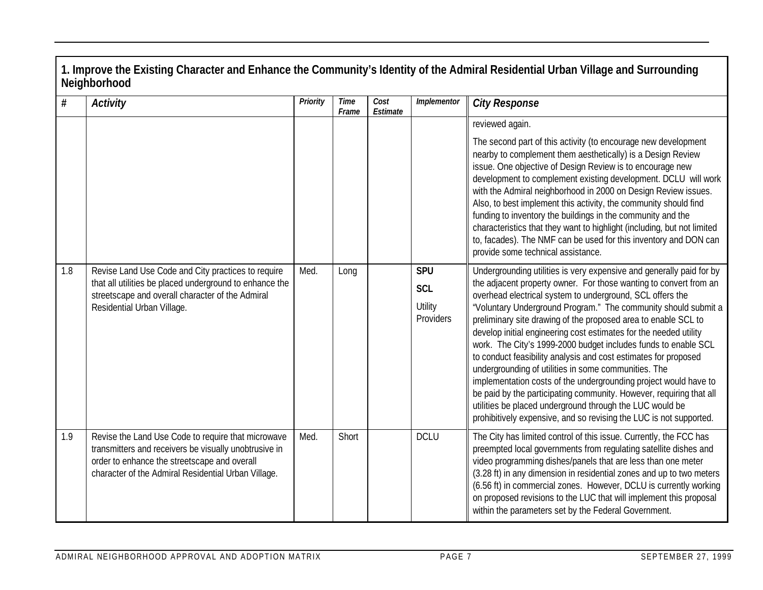| $\#$ | <b>Activity</b>                                                                                                                                                                                                    | Priority | <b>Time</b><br>Frame | Cost<br>Estimate | Implementor                                      | <b>City Response</b>                                                                                                                                                                                                                                                                                                                                                                                                                                                                                                                                                                                                                                                                                                                                                                                                                                                                      |
|------|--------------------------------------------------------------------------------------------------------------------------------------------------------------------------------------------------------------------|----------|----------------------|------------------|--------------------------------------------------|-------------------------------------------------------------------------------------------------------------------------------------------------------------------------------------------------------------------------------------------------------------------------------------------------------------------------------------------------------------------------------------------------------------------------------------------------------------------------------------------------------------------------------------------------------------------------------------------------------------------------------------------------------------------------------------------------------------------------------------------------------------------------------------------------------------------------------------------------------------------------------------------|
|      |                                                                                                                                                                                                                    |          |                      |                  |                                                  | reviewed again.<br>The second part of this activity (to encourage new development<br>nearby to complement them aesthetically) is a Design Review<br>issue. One objective of Design Review is to encourage new<br>development to complement existing development. DCLU will work<br>with the Admiral neighborhood in 2000 on Design Review issues.<br>Also, to best implement this activity, the community should find<br>funding to inventory the buildings in the community and the<br>characteristics that they want to highlight (including, but not limited<br>to, facades). The NMF can be used for this inventory and DON can<br>provide some technical assistance.                                                                                                                                                                                                                 |
| 1.8  | Revise Land Use Code and City practices to require<br>that all utilities be placed underground to enhance the<br>streetscape and overall character of the Admiral<br>Residential Urban Village.                    | Med.     | Long                 |                  | <b>SPU</b><br><b>SCL</b><br>Utility<br>Providers | Undergrounding utilities is very expensive and generally paid for by<br>the adjacent property owner. For those wanting to convert from an<br>overhead electrical system to underground, SCL offers the<br>"Voluntary Underground Program." The community should submit a<br>preliminary site drawing of the proposed area to enable SCL to<br>develop initial engineering cost estimates for the needed utility<br>work. The City's 1999-2000 budget includes funds to enable SCL<br>to conduct feasibility analysis and cost estimates for proposed<br>undergrounding of utilities in some communities. The<br>implementation costs of the undergrounding project would have to<br>be paid by the participating community. However, requiring that all<br>utilities be placed underground through the LUC would be<br>prohibitively expensive, and so revising the LUC is not supported. |
| 1.9  | Revise the Land Use Code to require that microwave<br>transmitters and receivers be visually unobtrusive in<br>order to enhance the streetscape and overall<br>character of the Admiral Residential Urban Village. | Med.     | Short                |                  | <b>DCLU</b>                                      | The City has limited control of this issue. Currently, the FCC has<br>preempted local governments from regulating satellite dishes and<br>video programming dishes/panels that are less than one meter<br>(3.28 ft) in any dimension in residential zones and up to two meters<br>(6.56 ft) in commercial zones. However, DCLU is currently working<br>on proposed revisions to the LUC that will implement this proposal<br>within the parameters set by the Federal Government.                                                                                                                                                                                                                                                                                                                                                                                                         |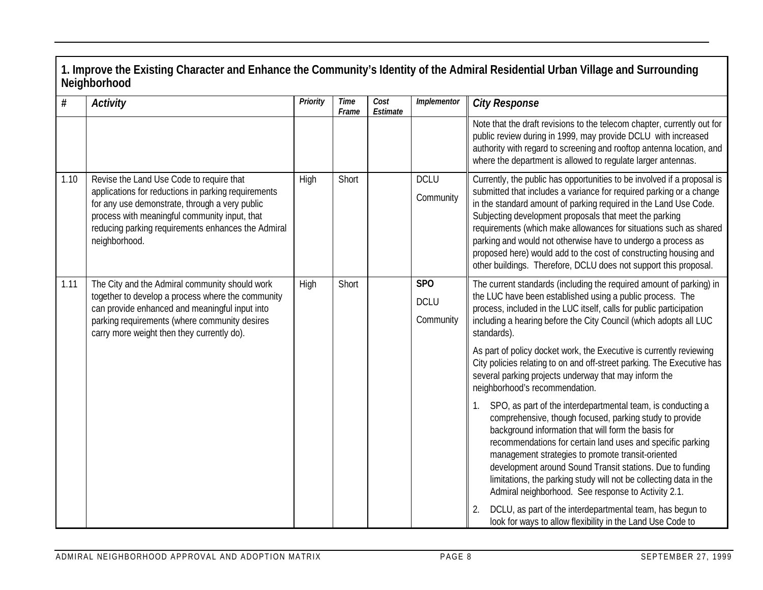| $\#$ | <b>Activity</b>                                                                                                                                                                                                                                                           | Priority | <b>Time</b><br>Frame | Cost<br>Estimate | Implementor                                 | <b>City Response</b>                                                                                                                                                                                                                                                                                                                                                                                                                                                                                                                                      |
|------|---------------------------------------------------------------------------------------------------------------------------------------------------------------------------------------------------------------------------------------------------------------------------|----------|----------------------|------------------|---------------------------------------------|-----------------------------------------------------------------------------------------------------------------------------------------------------------------------------------------------------------------------------------------------------------------------------------------------------------------------------------------------------------------------------------------------------------------------------------------------------------------------------------------------------------------------------------------------------------|
|      |                                                                                                                                                                                                                                                                           |          |                      |                  |                                             | Note that the draft revisions to the telecom chapter, currently out for<br>public review during in 1999, may provide DCLU with increased<br>authority with regard to screening and rooftop antenna location, and<br>where the department is allowed to regulate larger antennas.                                                                                                                                                                                                                                                                          |
| 1.10 | Revise the Land Use Code to require that<br>applications for reductions in parking requirements<br>for any use demonstrate, through a very public<br>process with meaningful community input, that<br>reducing parking requirements enhances the Admiral<br>neighborhood. | High     | Short                |                  | <b>DCLU</b><br>Community                    | Currently, the public has opportunities to be involved if a proposal is<br>submitted that includes a variance for required parking or a change<br>in the standard amount of parking required in the Land Use Code.<br>Subjecting development proposals that meet the parking<br>requirements (which make allowances for situations such as shared<br>parking and would not otherwise have to undergo a process as<br>proposed here) would add to the cost of constructing housing and<br>other buildings. Therefore, DCLU does not support this proposal. |
| 1.11 | The City and the Admiral community should work<br>together to develop a process where the community<br>can provide enhanced and meaningful input into<br>parking requirements (where community desires<br>carry more weight then they currently do).                      | High     | Short                |                  | SP <sub>O</sub><br><b>DCLU</b><br>Community | The current standards (including the required amount of parking) in<br>the LUC have been established using a public process. The<br>process, included in the LUC itself, calls for public participation<br>including a hearing before the City Council (which adopts all LUC<br>standards).<br>As part of policy docket work, the Executive is currently reviewing<br>City policies relating to on and off-street parking. The Executive has                                                                                                              |
|      |                                                                                                                                                                                                                                                                           |          |                      |                  |                                             | several parking projects underway that may inform the<br>neighborhood's recommendation.<br>SPO, as part of the interdepartmental team, is conducting a<br>comprehensive, though focused, parking study to provide<br>background information that will form the basis for                                                                                                                                                                                                                                                                                  |
|      |                                                                                                                                                                                                                                                                           |          |                      |                  |                                             | recommendations for certain land uses and specific parking<br>management strategies to promote transit-oriented<br>development around Sound Transit stations. Due to funding<br>limitations, the parking study will not be collecting data in the<br>Admiral neighborhood. See response to Activity 2.1.<br>DCLU, as part of the interdepartmental team, has begun to<br>look for ways to allow flexibility in the Land Use Code to                                                                                                                       |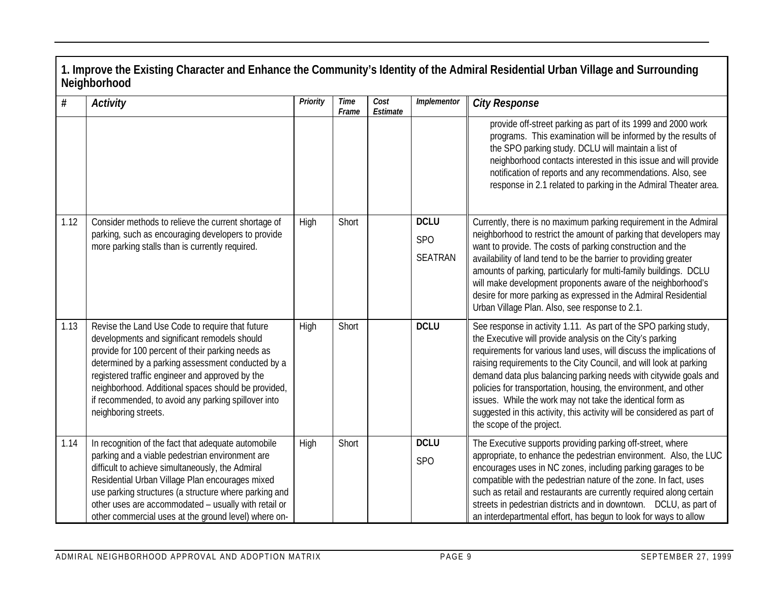| #    | <b>Activity</b>                                                                                                                                                                                                                                                                                                                                                                                    | Priority | <b>Time</b><br>Frame | Cost<br>Estimate | Implementor                                      | <b>City Response</b>                                                                                                                                                                                                                                                                                                                                                                                                                                                                                                                                                                     |
|------|----------------------------------------------------------------------------------------------------------------------------------------------------------------------------------------------------------------------------------------------------------------------------------------------------------------------------------------------------------------------------------------------------|----------|----------------------|------------------|--------------------------------------------------|------------------------------------------------------------------------------------------------------------------------------------------------------------------------------------------------------------------------------------------------------------------------------------------------------------------------------------------------------------------------------------------------------------------------------------------------------------------------------------------------------------------------------------------------------------------------------------------|
|      |                                                                                                                                                                                                                                                                                                                                                                                                    |          |                      |                  |                                                  | provide off-street parking as part of its 1999 and 2000 work<br>programs. This examination will be informed by the results of<br>the SPO parking study. DCLU will maintain a list of<br>neighborhood contacts interested in this issue and will provide<br>notification of reports and any recommendations. Also, see<br>response in 2.1 related to parking in the Admiral Theater area.                                                                                                                                                                                                 |
| 1.12 | Consider methods to relieve the current shortage of<br>parking, such as encouraging developers to provide<br>more parking stalls than is currently required.                                                                                                                                                                                                                                       | High     | Short                |                  | <b>DCLU</b><br>SP <sub>O</sub><br><b>SEATRAN</b> | Currently, there is no maximum parking requirement in the Admiral<br>neighborhood to restrict the amount of parking that developers may<br>want to provide. The costs of parking construction and the<br>availability of land tend to be the barrier to providing greater<br>amounts of parking, particularly for multi-family buildings. DCLU<br>will make development proponents aware of the neighborhood's<br>desire for more parking as expressed in the Admiral Residential<br>Urban Village Plan. Also, see response to 2.1.                                                      |
| 1.13 | Revise the Land Use Code to require that future<br>developments and significant remodels should<br>provide for 100 percent of their parking needs as<br>determined by a parking assessment conducted by a<br>registered traffic engineer and approved by the<br>neighborhood. Additional spaces should be provided,<br>if recommended, to avoid any parking spillover into<br>neighboring streets. | High     | Short                |                  | <b>DCLU</b>                                      | See response in activity 1.11. As part of the SPO parking study,<br>the Executive will provide analysis on the City's parking<br>requirements for various land uses, will discuss the implications of<br>raising requirements to the City Council, and will look at parking<br>demand data plus balancing parking needs with citywide goals and<br>policies for transportation, housing, the environment, and other<br>issues. While the work may not take the identical form as<br>suggested in this activity, this activity will be considered as part of<br>the scope of the project. |
| 1.14 | In recognition of the fact that adequate automobile<br>parking and a viable pedestrian environment are<br>difficult to achieve simultaneously, the Admiral<br>Residential Urban Village Plan encourages mixed<br>use parking structures (a structure where parking and<br>other uses are accommodated - usually with retail or<br>other commercial uses at the ground level) where on-             | High     | Short                |                  | <b>DCLU</b><br>SP <sub>O</sub>                   | The Executive supports providing parking off-street, where<br>appropriate, to enhance the pedestrian environment. Also, the LUC<br>encourages uses in NC zones, including parking garages to be<br>compatible with the pedestrian nature of the zone. In fact, uses<br>such as retail and restaurants are currently required along certain<br>streets in pedestrian districts and in downtown. DCLU, as part of<br>an interdepartmental effort, has begun to look for ways to allow                                                                                                      |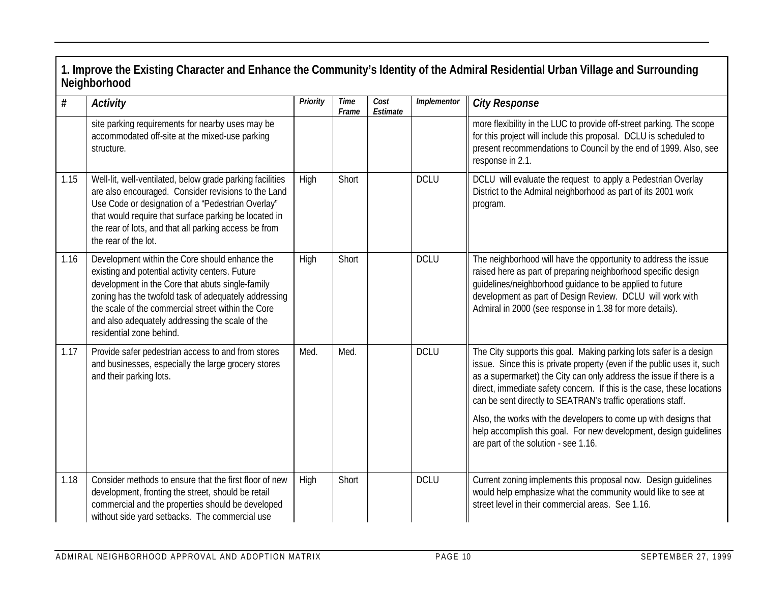| #    | <b>Activity</b>                                                                                                                                                                                                                                                                                                                                    | Priority | Time<br>Frame | Cost<br>Estimate | Implementor | <b>City Response</b>                                                                                                                                                                                                                                                                                                                                          |
|------|----------------------------------------------------------------------------------------------------------------------------------------------------------------------------------------------------------------------------------------------------------------------------------------------------------------------------------------------------|----------|---------------|------------------|-------------|---------------------------------------------------------------------------------------------------------------------------------------------------------------------------------------------------------------------------------------------------------------------------------------------------------------------------------------------------------------|
|      | site parking requirements for nearby uses may be<br>accommodated off-site at the mixed-use parking<br>structure.                                                                                                                                                                                                                                   |          |               |                  |             | more flexibility in the LUC to provide off-street parking. The scope<br>for this project will include this proposal. DCLU is scheduled to<br>present recommendations to Council by the end of 1999. Also, see<br>response in 2.1.                                                                                                                             |
| 1.15 | Well-lit, well-ventilated, below grade parking facilities<br>are also encouraged. Consider revisions to the Land<br>Use Code or designation of a "Pedestrian Overlay"<br>that would require that surface parking be located in<br>the rear of lots, and that all parking access be from<br>the rear of the lot.                                    | High     | Short         |                  | <b>DCLU</b> | DCLU will evaluate the request to apply a Pedestrian Overlay<br>District to the Admiral neighborhood as part of its 2001 work<br>program.                                                                                                                                                                                                                     |
| 1.16 | Development within the Core should enhance the<br>existing and potential activity centers. Future<br>development in the Core that abuts single-family<br>zoning has the twofold task of adequately addressing<br>the scale of the commercial street within the Core<br>and also adequately addressing the scale of the<br>residential zone behind. | High     | Short         |                  | <b>DCLU</b> | The neighborhood will have the opportunity to address the issue<br>raised here as part of preparing neighborhood specific design<br>guidelines/neighborhood guidance to be applied to future<br>development as part of Design Review. DCLU will work with<br>Admiral in 2000 (see response in 1.38 for more details).                                         |
| 1.17 | Provide safer pedestrian access to and from stores<br>and businesses, especially the large grocery stores<br>and their parking lots.                                                                                                                                                                                                               | Med.     | Med.          |                  | <b>DCLU</b> | The City supports this goal. Making parking lots safer is a design<br>issue. Since this is private property (even if the public uses it, such<br>as a supermarket) the City can only address the issue if there is a<br>direct, immediate safety concern. If this is the case, these locations<br>can be sent directly to SEATRAN's traffic operations staff. |
|      |                                                                                                                                                                                                                                                                                                                                                    |          |               |                  |             | Also, the works with the developers to come up with designs that<br>help accomplish this goal. For new development, design guidelines<br>are part of the solution - see 1.16.                                                                                                                                                                                 |
| 1.18 | Consider methods to ensure that the first floor of new<br>development, fronting the street, should be retail<br>commercial and the properties should be developed<br>without side yard setbacks. The commercial use                                                                                                                                | High     | Short         |                  | <b>DCLU</b> | Current zoning implements this proposal now. Design guidelines<br>would help emphasize what the community would like to see at<br>street level in their commercial areas. See 1.16.                                                                                                                                                                           |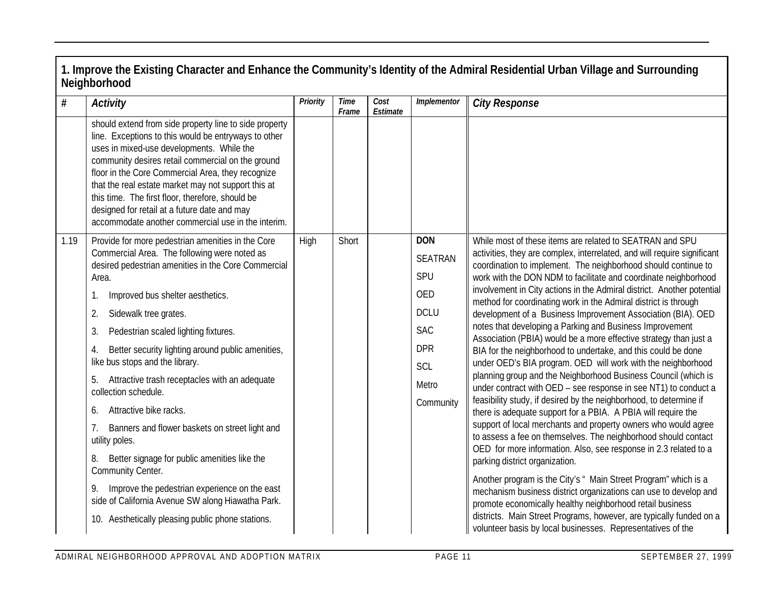|      | Neighborhood                                                                                                                                                                                                                                                                                                                                                                                                                                                                           |          |               |                  |                   | 1. Improve the Existing Character and Enhance the Community's Identity of the Admiral Residential Urban Village and Surrounding                                                                      |
|------|----------------------------------------------------------------------------------------------------------------------------------------------------------------------------------------------------------------------------------------------------------------------------------------------------------------------------------------------------------------------------------------------------------------------------------------------------------------------------------------|----------|---------------|------------------|-------------------|------------------------------------------------------------------------------------------------------------------------------------------------------------------------------------------------------|
| #    | Activity                                                                                                                                                                                                                                                                                                                                                                                                                                                                               | Priority | Time<br>Frame | Cost<br>Estimate | Implementor       | <b>City Response</b>                                                                                                                                                                                 |
|      | should extend from side property line to side property<br>line. Exceptions to this would be entryways to other<br>uses in mixed-use developments. While the<br>community desires retail commercial on the ground<br>floor in the Core Commercial Area, they recognize<br>that the real estate market may not support this at<br>this time. The first floor, therefore, should be<br>designed for retail at a future date and may<br>accommodate another commercial use in the interim. |          |               |                  |                   |                                                                                                                                                                                                      |
| 1.19 | Provide for more pedestrian amenities in the Core                                                                                                                                                                                                                                                                                                                                                                                                                                      | High     | Short         |                  | <b>DON</b>        | While most of these items are related to SEATRAN and SPU                                                                                                                                             |
|      | Commercial Area. The following were noted as<br>desired pedestrian amenities in the Core Commercial                                                                                                                                                                                                                                                                                                                                                                                    |          |               |                  | <b>SEATRAN</b>    | activities, they are complex, interrelated, and will require significant<br>coordination to implement. The neighborhood should continue to                                                           |
|      | Area.                                                                                                                                                                                                                                                                                                                                                                                                                                                                                  |          |               |                  | SPU               | work with the DON NDM to facilitate and coordinate neighborhood                                                                                                                                      |
|      | Improved bus shelter aesthetics.<br>1.                                                                                                                                                                                                                                                                                                                                                                                                                                                 |          |               |                  | OED               | involvement in City actions in the Admiral district. Another potential<br>method for coordinating work in the Admiral district is through                                                            |
|      | Sidewalk tree grates.<br>2.                                                                                                                                                                                                                                                                                                                                                                                                                                                            |          |               |                  | <b>DCLU</b>       | development of a Business Improvement Association (BIA). OED                                                                                                                                         |
|      | 3.<br>Pedestrian scaled lighting fixtures.                                                                                                                                                                                                                                                                                                                                                                                                                                             |          |               |                  | <b>SAC</b>        | notes that developing a Parking and Business Improvement<br>Association (PBIA) would be a more effective strategy than just a                                                                        |
|      | Better security lighting around public amenities,<br>4.<br>like bus stops and the library.                                                                                                                                                                                                                                                                                                                                                                                             |          |               |                  | <b>DPR</b><br>SCL | BIA for the neighborhood to undertake, and this could be done<br>under OED's BIA program. OED will work with the neighborhood                                                                        |
|      | Attractive trash receptacles with an adequate<br>5.                                                                                                                                                                                                                                                                                                                                                                                                                                    |          |               |                  | Metro             | planning group and the Neighborhood Business Council (which is                                                                                                                                       |
|      | collection schedule.                                                                                                                                                                                                                                                                                                                                                                                                                                                                   |          |               |                  | Community         | under contract with OED - see response in see NT1) to conduct a<br>feasibility study, if desired by the neighborhood, to determine if                                                                |
|      | Attractive bike racks.<br>6.                                                                                                                                                                                                                                                                                                                                                                                                                                                           |          |               |                  |                   | there is adequate support for a PBIA. A PBIA will require the                                                                                                                                        |
|      | Banners and flower baskets on street light and<br>7.<br>utility poles.                                                                                                                                                                                                                                                                                                                                                                                                                 |          |               |                  |                   | support of local merchants and property owners who would agree<br>to assess a fee on themselves. The neighborhood should contact<br>OED for more information. Also, see response in 2.3 related to a |
|      | Better signage for public amenities like the<br>8.<br>Community Center.                                                                                                                                                                                                                                                                                                                                                                                                                |          |               |                  |                   | parking district organization.                                                                                                                                                                       |
|      | Improve the pedestrian experience on the east<br>9.<br>side of California Avenue SW along Hiawatha Park.                                                                                                                                                                                                                                                                                                                                                                               |          |               |                  |                   | Another program is the City's " Main Street Program" which is a<br>mechanism business district organizations can use to develop and<br>promote economically healthy neighborhood retail business     |
|      | 10. Aesthetically pleasing public phone stations.                                                                                                                                                                                                                                                                                                                                                                                                                                      |          |               |                  |                   | districts. Main Street Programs, however, are typically funded on a<br>volunteer basis by local businesses. Representatives of the                                                                   |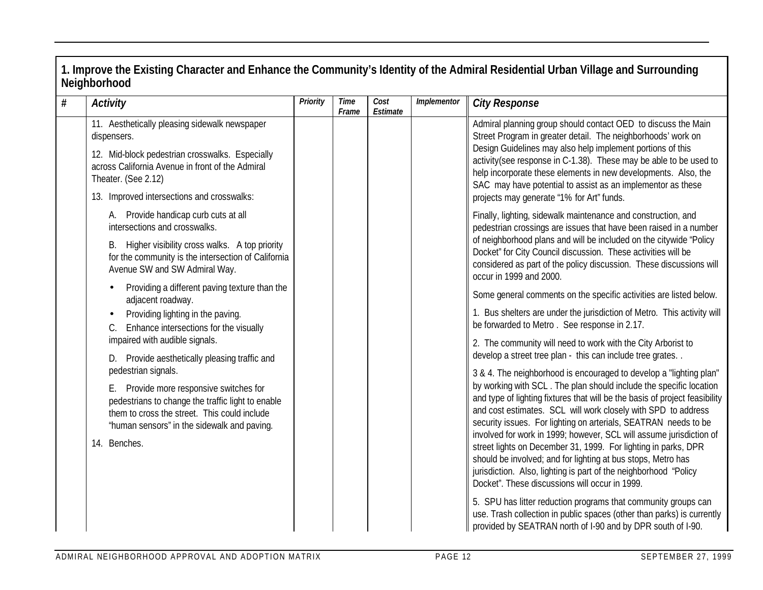#### **1. Improve the Existing Character and Enhance the Community's Identity of the Admiral Residential Urban Village and Surrounding Neighborhood** *# Activity Priority Time Frame Cost Estimate Implementor City Response* 11. Aesthetically pleasing sidewalk newspaper dispensers. 12. Mid-block pedestrian crosswalks. Especially across California Avenue in front of the Admiral Theater. (See 2.12) 13. Improved intersections and crosswalks: A. Provide handicap curb cuts at all intersections and crosswalks. B. Higher visibility cross walks. A top priority for the community is the intersection of California Avenue SW and SW Admiral Way. • Providing a different paving texture than the adjacent roadway. • Providing lighting in the paving. C. Enhance intersections for the visually impaired with audible signals. D. Provide aesthetically pleasing traffic and pedestrian signals. E. Provide more responsive switches for pedestrians to change the traffic light to enable them to cross the street. This could include "human sensors" in the sidewalk and paving. 14. Benches. Admiral planning group should contact OED to discuss the Main Street Program in greater detail. The neighborhoods' work on Design Guidelines may also help implement portions of this activity(see response in C-1.38). These may be able to be used to help incorporate these elements in new developments. Also, the SAC may have potential to assist as an implementor as these projects may generate "1% for Art" funds. Finally, lighting, sidewalk maintenance and construction, and pedestrian crossings are issues that have been raised in a number of neighborhood plans and will be included on the citywide "Policy Docket" for City Council discussion. These activities will be considered as part of the policy discussion. These discussions will occur in 1999 and 2000. Some general comments on the specific activities are listed below. 1. Bus shelters are under the jurisdiction of Metro. This activity will be forwarded to Metro . See response in 2.17. 2. The community will need to work with the City Arborist to develop a street tree plan - this can include tree grates. . 3 & 4. The neighborhood is encouraged to develop a "lighting plan" by working with SCL . The plan should include the specific location and type of lighting fixtures that will be the basis of project feasibility and cost estimates. SCL will work closely with SPD to address security issues. For lighting on arterials, SEATRAN needs to be involved for work in 1999; however, SCL will assume jurisdiction of street lights on December 31, 1999. For lighting in parks, DPR should be involved; and for lighting at bus stops, Metro has jurisdiction. Also, lighting is part of the neighborhood "Policy" Docket". These discussions will occur in 1999. 5. SPU has litter reduction programs that community groups can use. Trash collection in public spaces (other than parks) is currently provided by SEATRAN north of I-90 and by DPR south of I-90.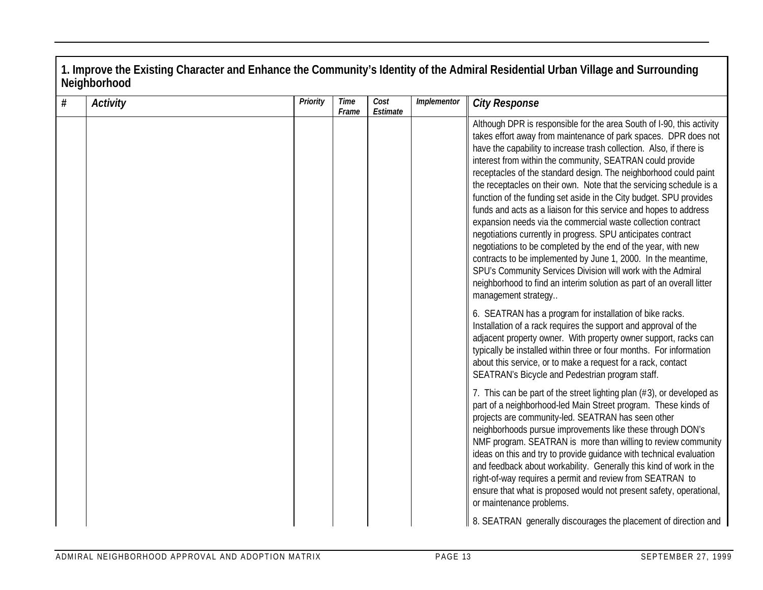| $\#$ | <b>Activity</b> | Priority | Time<br>Frame | Cost<br>Estimate | Implementor | <b>City Response</b>                                                                                                                                                                                                                                                                                                                                                                                                                                                                                                                                                                                                                                                                                                                                                                                                                                                                                                                                                                                 |
|------|-----------------|----------|---------------|------------------|-------------|------------------------------------------------------------------------------------------------------------------------------------------------------------------------------------------------------------------------------------------------------------------------------------------------------------------------------------------------------------------------------------------------------------------------------------------------------------------------------------------------------------------------------------------------------------------------------------------------------------------------------------------------------------------------------------------------------------------------------------------------------------------------------------------------------------------------------------------------------------------------------------------------------------------------------------------------------------------------------------------------------|
|      |                 |          |               |                  |             | Although DPR is responsible for the area South of I-90, this activity<br>takes effort away from maintenance of park spaces. DPR does not<br>have the capability to increase trash collection. Also, if there is<br>interest from within the community, SEATRAN could provide<br>receptacles of the standard design. The neighborhood could paint<br>the receptacles on their own. Note that the servicing schedule is a<br>function of the funding set aside in the City budget. SPU provides<br>funds and acts as a liaison for this service and hopes to address<br>expansion needs via the commercial waste collection contract<br>negotiations currently in progress. SPU anticipates contract<br>negotiations to be completed by the end of the year, with new<br>contracts to be implemented by June 1, 2000. In the meantime,<br>SPU's Community Services Division will work with the Admiral<br>neighborhood to find an interim solution as part of an overall litter<br>management strategy |
|      |                 |          |               |                  |             | 6. SEATRAN has a program for installation of bike racks.<br>Installation of a rack requires the support and approval of the<br>adjacent property owner. With property owner support, racks can<br>typically be installed within three or four months. For information<br>about this service, or to make a request for a rack, contact<br>SEATRAN's Bicycle and Pedestrian program staff.                                                                                                                                                                                                                                                                                                                                                                                                                                                                                                                                                                                                             |
|      |                 |          |               |                  |             | 7. This can be part of the street lighting plan (#3), or developed as<br>part of a neighborhood-led Main Street program. These kinds of<br>projects are community-led. SEATRAN has seen other<br>neighborhoods pursue improvements like these through DON's<br>NMF program. SEATRAN is more than willing to review community<br>ideas on this and try to provide guidance with technical evaluation<br>and feedback about workability. Generally this kind of work in the<br>right-of-way requires a permit and review from SEATRAN to<br>ensure that what is proposed would not present safety, operational,<br>or maintenance problems.                                                                                                                                                                                                                                                                                                                                                            |
|      |                 |          |               |                  |             | 8. SEATRAN generally discourages the placement of direction and                                                                                                                                                                                                                                                                                                                                                                                                                                                                                                                                                                                                                                                                                                                                                                                                                                                                                                                                      |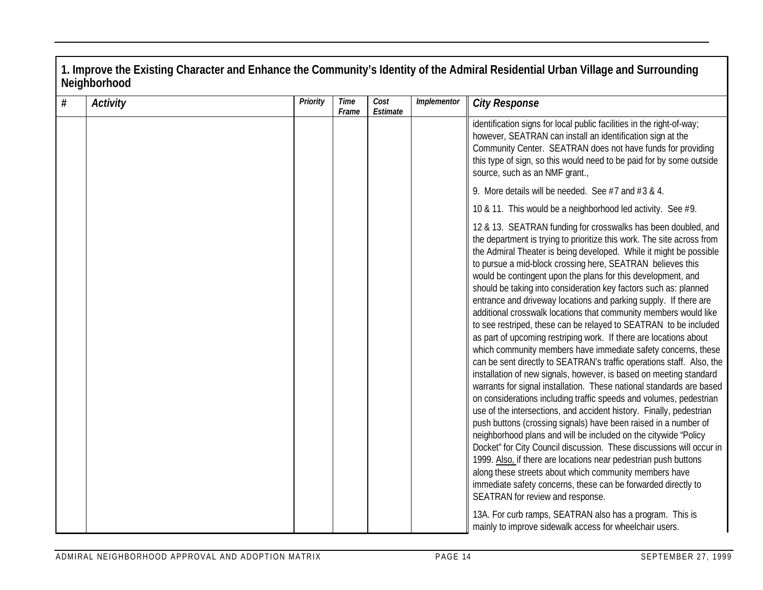| $\#$<br><b>Activity</b> | Priority | <b>Time</b><br>Frame | Cost<br>Estimate | Implementor | <b>City Response</b>                                                                                                                                                                                                                                                                                                                                                                                                                                                                                                                                                                                                                                                                                                                                                                                                                                                                                                                                                                                                                                                                                                                                                                                                                                                                                                                                                                                                                                                                                                                                                                                                                              |
|-------------------------|----------|----------------------|------------------|-------------|---------------------------------------------------------------------------------------------------------------------------------------------------------------------------------------------------------------------------------------------------------------------------------------------------------------------------------------------------------------------------------------------------------------------------------------------------------------------------------------------------------------------------------------------------------------------------------------------------------------------------------------------------------------------------------------------------------------------------------------------------------------------------------------------------------------------------------------------------------------------------------------------------------------------------------------------------------------------------------------------------------------------------------------------------------------------------------------------------------------------------------------------------------------------------------------------------------------------------------------------------------------------------------------------------------------------------------------------------------------------------------------------------------------------------------------------------------------------------------------------------------------------------------------------------------------------------------------------------------------------------------------------------|
|                         |          |                      |                  |             | identification signs for local public facilities in the right-of-way;<br>however, SEATRAN can install an identification sign at the<br>Community Center. SEATRAN does not have funds for providing<br>this type of sign, so this would need to be paid for by some outside<br>source, such as an NMF grant.,                                                                                                                                                                                                                                                                                                                                                                                                                                                                                                                                                                                                                                                                                                                                                                                                                                                                                                                                                                                                                                                                                                                                                                                                                                                                                                                                      |
|                         |          |                      |                  |             | 9. More details will be needed. See $#7$ and $#3$ & 4.                                                                                                                                                                                                                                                                                                                                                                                                                                                                                                                                                                                                                                                                                                                                                                                                                                                                                                                                                                                                                                                                                                                                                                                                                                                                                                                                                                                                                                                                                                                                                                                            |
|                         |          |                      |                  |             | 10 & 11. This would be a neighborhood led activity. See #9.                                                                                                                                                                                                                                                                                                                                                                                                                                                                                                                                                                                                                                                                                                                                                                                                                                                                                                                                                                                                                                                                                                                                                                                                                                                                                                                                                                                                                                                                                                                                                                                       |
|                         |          |                      |                  |             | 12 & 13. SEATRAN funding for crosswalks has been doubled, and<br>the department is trying to prioritize this work. The site across from<br>the Admiral Theater is being developed. While it might be possible<br>to pursue a mid-block crossing here, SEATRAN believes this<br>would be contingent upon the plans for this development, and<br>should be taking into consideration key factors such as: planned<br>entrance and driveway locations and parking supply. If there are<br>additional crosswalk locations that community members would like<br>to see restriped, these can be relayed to SEATRAN to be included<br>as part of upcoming restriping work. If there are locations about<br>which community members have immediate safety concerns, these<br>can be sent directly to SEATRAN's traffic operations staff. Also, the<br>installation of new signals, however, is based on meeting standard<br>warrants for signal installation. These national standards are based<br>on considerations including traffic speeds and volumes, pedestrian<br>use of the intersections, and accident history. Finally, pedestrian<br>push buttons (crossing signals) have been raised in a number of<br>neighborhood plans and will be included on the citywide "Policy<br>Docket" for City Council discussion. These discussions will occur in<br>1999. Also, if there are locations near pedestrian push buttons<br>along these streets about which community members have<br>immediate safety concerns, these can be forwarded directly to<br>SEATRAN for review and response.<br>13A. For curb ramps, SEATRAN also has a program. This is |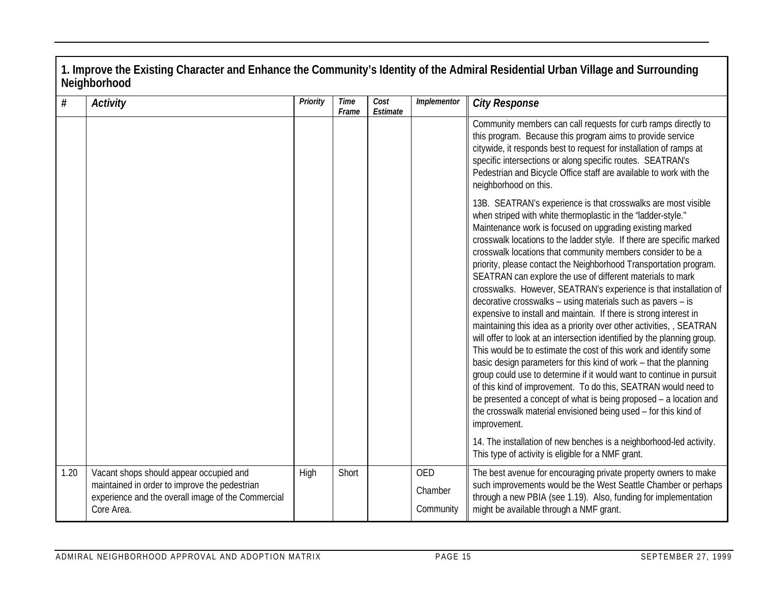| $\#$ | Activity                                                                                                                                                     | Priority | <b>Time</b><br>Frame | Cost<br>Estimate | Implementor                        | <b>City Response</b>                                                                                                                                                                                                                                                                                                                                                                                                                                                                                                                                                                                                                                                                                                                                                                                                                                                                                                                                                                                                                                                                                                                                                                                                                                                                                                                                |
|------|--------------------------------------------------------------------------------------------------------------------------------------------------------------|----------|----------------------|------------------|------------------------------------|-----------------------------------------------------------------------------------------------------------------------------------------------------------------------------------------------------------------------------------------------------------------------------------------------------------------------------------------------------------------------------------------------------------------------------------------------------------------------------------------------------------------------------------------------------------------------------------------------------------------------------------------------------------------------------------------------------------------------------------------------------------------------------------------------------------------------------------------------------------------------------------------------------------------------------------------------------------------------------------------------------------------------------------------------------------------------------------------------------------------------------------------------------------------------------------------------------------------------------------------------------------------------------------------------------------------------------------------------------|
|      |                                                                                                                                                              |          |                      |                  |                                    | Community members can call requests for curb ramps directly to<br>this program. Because this program aims to provide service<br>citywide, it responds best to request for installation of ramps at<br>specific intersections or along specific routes. SEATRAN's<br>Pedestrian and Bicycle Office staff are available to work with the<br>neighborhood on this.                                                                                                                                                                                                                                                                                                                                                                                                                                                                                                                                                                                                                                                                                                                                                                                                                                                                                                                                                                                     |
|      |                                                                                                                                                              |          |                      |                  |                                    | 13B. SEATRAN's experience is that crosswalks are most visible<br>when striped with white thermoplastic in the 'ladder-style."<br>Maintenance work is focused on upgrading existing marked<br>crosswalk locations to the ladder style. If there are specific marked<br>crosswalk locations that community members consider to be a<br>priority, please contact the Neighborhood Transportation program.<br>SEATRAN can explore the use of different materials to mark<br>crosswalks. However, SEATRAN's experience is that installation of<br>decorative crosswalks - using materials such as pavers - is<br>expensive to install and maintain. If there is strong interest in<br>maintaining this idea as a priority over other activities, , SEATRAN<br>will offer to look at an intersection identified by the planning group.<br>This would be to estimate the cost of this work and identify some<br>basic design parameters for this kind of work - that the planning<br>group could use to determine if it would want to continue in pursuit<br>of this kind of improvement. To do this, SEATRAN would need to<br>be presented a concept of what is being proposed - a location and<br>the crosswalk material envisioned being used - for this kind of<br>improvement.<br>14. The installation of new benches is a neighborhood-led activity. |
|      |                                                                                                                                                              |          |                      |                  |                                    | This type of activity is eligible for a NMF grant.                                                                                                                                                                                                                                                                                                                                                                                                                                                                                                                                                                                                                                                                                                                                                                                                                                                                                                                                                                                                                                                                                                                                                                                                                                                                                                  |
| 1.20 | Vacant shops should appear occupied and<br>maintained in order to improve the pedestrian<br>experience and the overall image of the Commercial<br>Core Area. | High     | Short                |                  | <b>OED</b><br>Chamber<br>Community | The best avenue for encouraging private property owners to make<br>such improvements would be the West Seattle Chamber or perhaps<br>through a new PBIA (see 1.19). Also, funding for implementation<br>might be available through a NMF grant.                                                                                                                                                                                                                                                                                                                                                                                                                                                                                                                                                                                                                                                                                                                                                                                                                                                                                                                                                                                                                                                                                                     |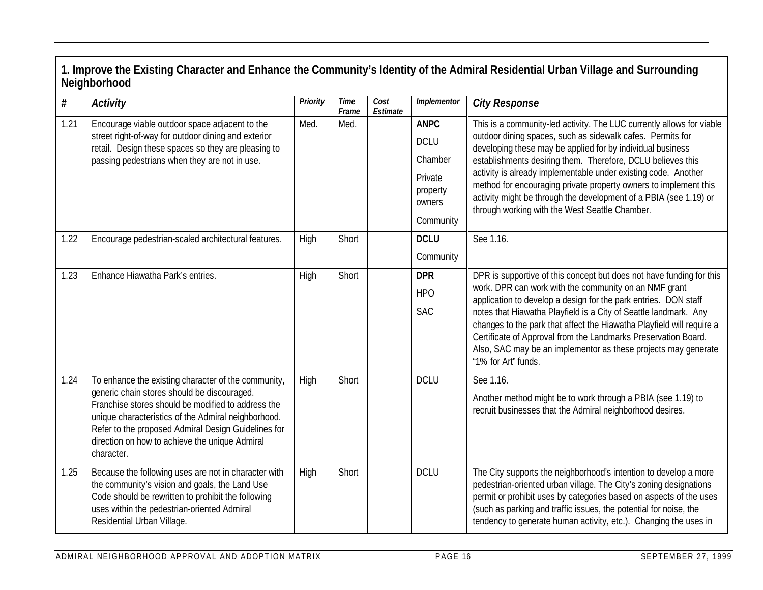| $\#$ | <b>Activity</b>                                                                                                                                                                                                                                                                                                                        | Priority | <b>Time</b><br>Frame | Cost<br>Estimate | Implementor                                                                         | <b>City Response</b>                                                                                                                                                                                                                                                                                                                                                                                                                                                                                                          |
|------|----------------------------------------------------------------------------------------------------------------------------------------------------------------------------------------------------------------------------------------------------------------------------------------------------------------------------------------|----------|----------------------|------------------|-------------------------------------------------------------------------------------|-------------------------------------------------------------------------------------------------------------------------------------------------------------------------------------------------------------------------------------------------------------------------------------------------------------------------------------------------------------------------------------------------------------------------------------------------------------------------------------------------------------------------------|
| 1.21 | Encourage viable outdoor space adjacent to the<br>street right-of-way for outdoor dining and exterior<br>retail. Design these spaces so they are pleasing to<br>passing pedestrians when they are not in use.                                                                                                                          | Med.     | Med.                 |                  | <b>ANPC</b><br><b>DCLU</b><br>Chamber<br>Private<br>property<br>owners<br>Community | This is a community-led activity. The LUC currently allows for viable<br>outdoor dining spaces, such as sidewalk cafes. Permits for<br>developing these may be applied for by individual business<br>establishments desiring them. Therefore, DCLU believes this<br>activity is already implementable under existing code. Another<br>method for encouraging private property owners to implement this<br>activity might be through the development of a PBIA (see 1.19) or<br>through working with the West Seattle Chamber. |
| 1.22 | Encourage pedestrian-scaled architectural features.                                                                                                                                                                                                                                                                                    | High     | Short                |                  | <b>DCLU</b><br>Community                                                            | See 1.16.                                                                                                                                                                                                                                                                                                                                                                                                                                                                                                                     |
| 1.23 | Enhance Hiawatha Park's entries.                                                                                                                                                                                                                                                                                                       | High     | Short                |                  | <b>DPR</b><br><b>HPO</b><br><b>SAC</b>                                              | DPR is supportive of this concept but does not have funding for this<br>work. DPR can work with the community on an NMF grant<br>application to develop a design for the park entries. DON staff<br>notes that Hiawatha Playfield is a City of Seattle landmark. Any<br>changes to the park that affect the Hiawatha Playfield will require a<br>Certificate of Approval from the Landmarks Preservation Board.<br>Also, SAC may be an implementor as these projects may generate<br>"1% for Art" funds.                      |
| 1.24 | To enhance the existing character of the community,<br>generic chain stores should be discouraged.<br>Franchise stores should be modified to address the<br>unique characteristics of the Admiral neighborhood.<br>Refer to the proposed Admiral Design Guidelines for<br>direction on how to achieve the unique Admiral<br>character. | High     | Short                |                  | <b>DCLU</b>                                                                         | See 1.16.<br>Another method might be to work through a PBIA (see 1.19) to<br>recruit businesses that the Admiral neighborhood desires.                                                                                                                                                                                                                                                                                                                                                                                        |
| 1.25 | Because the following uses are not in character with<br>the community's vision and goals, the Land Use<br>Code should be rewritten to prohibit the following<br>uses within the pedestrian-oriented Admiral<br>Residential Urban Village.                                                                                              | High     | Short                |                  | <b>DCLU</b>                                                                         | The City supports the neighborhood's intention to develop a more<br>pedestrian-oriented urban village. The City's zoning designations<br>permit or prohibit uses by categories based on aspects of the uses<br>(such as parking and traffic issues, the potential for noise, the<br>tendency to generate human activity, etc.). Changing the uses in                                                                                                                                                                          |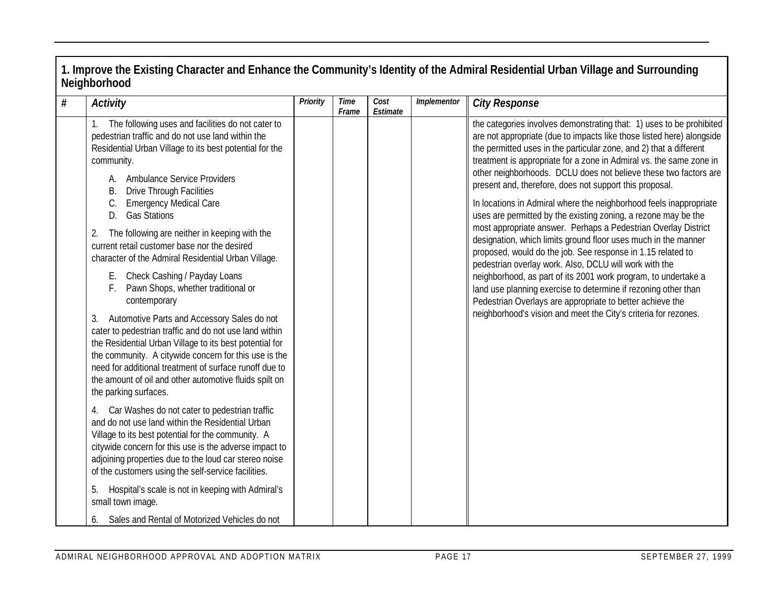| $\#$ | <b>Activity</b>                                                                                                                                                                                                                                                                                                                                                                                                                                                                                                                                                                                                                                                                                                                                                                                                                                                                                                                                                                                                                                                                                                                                                                                                                                                                                                                                                                               | Priority | <b>Time</b><br>Frame | Cost<br>Estimate | Implementor | <b>City Response</b>                                                                                                                                                                                                                                                                                                                                                                                                                                                                                                                                                                                                                                                                                                                                                                                                                                                                                                                                                                                                                                                                               |
|------|-----------------------------------------------------------------------------------------------------------------------------------------------------------------------------------------------------------------------------------------------------------------------------------------------------------------------------------------------------------------------------------------------------------------------------------------------------------------------------------------------------------------------------------------------------------------------------------------------------------------------------------------------------------------------------------------------------------------------------------------------------------------------------------------------------------------------------------------------------------------------------------------------------------------------------------------------------------------------------------------------------------------------------------------------------------------------------------------------------------------------------------------------------------------------------------------------------------------------------------------------------------------------------------------------------------------------------------------------------------------------------------------------|----------|----------------------|------------------|-------------|----------------------------------------------------------------------------------------------------------------------------------------------------------------------------------------------------------------------------------------------------------------------------------------------------------------------------------------------------------------------------------------------------------------------------------------------------------------------------------------------------------------------------------------------------------------------------------------------------------------------------------------------------------------------------------------------------------------------------------------------------------------------------------------------------------------------------------------------------------------------------------------------------------------------------------------------------------------------------------------------------------------------------------------------------------------------------------------------------|
|      | The following uses and facilities do not cater to<br>pedestrian traffic and do not use land within the<br>Residential Urban Village to its best potential for the<br>community.<br>A. Ambulance Service Providers<br>Β.<br><b>Drive Through Facilities</b><br><b>Emergency Medical Care</b><br><b>Gas Stations</b><br>D.<br>The following are neither in keeping with the<br>2.<br>current retail customer base nor the desired<br>character of the Admiral Residential Urban Village.<br>E. Check Cashing / Payday Loans<br>Pawn Shops, whether traditional or<br>F.<br>contemporary<br>3. Automotive Parts and Accessory Sales do not<br>cater to pedestrian traffic and do not use land within<br>the Residential Urban Village to its best potential for<br>the community. A citywide concern for this use is the<br>need for additional treatment of surface runoff due to<br>the amount of oil and other automotive fluids spilt on<br>the parking surfaces.<br>Car Washes do not cater to pedestrian traffic<br>4.<br>and do not use land within the Residential Urban<br>Village to its best potential for the community. A<br>citywide concern for this use is the adverse impact to<br>adjoining properties due to the loud car stereo noise<br>of the customers using the self-service facilities.<br>Hospital's scale is not in keeping with Admiral's<br>5.<br>small town image. |          |                      |                  |             | the categories involves demonstrating that: 1) uses to be prohibited<br>are not appropriate (due to impacts like those listed here) alongside<br>the permitted uses in the particular zone, and 2) that a different<br>treatment is appropriate for a zone in Admiral vs. the same zone in<br>other neighborhoods. DCLU does not believe these two factors are<br>present and, therefore, does not support this proposal.<br>In locations in Admiral where the neighborhood feels inappropriate<br>uses are permitted by the existing zoning, a rezone may be the<br>most appropriate answer. Perhaps a Pedestrian Overlay District<br>designation, which limits ground floor uses much in the manner<br>proposed, would do the job. See response in 1.15 related to<br>pedestrian overlay work. Also, DCLU will work with the<br>neighborhood, as part of its 2001 work program, to undertake a<br>land use planning exercise to determine if rezoning other than<br>Pedestrian Overlays are appropriate to better achieve the<br>neighborhood's vision and meet the City's criteria for rezones. |
|      | Sales and Rental of Motorized Vehicles do not<br>6.                                                                                                                                                                                                                                                                                                                                                                                                                                                                                                                                                                                                                                                                                                                                                                                                                                                                                                                                                                                                                                                                                                                                                                                                                                                                                                                                           |          |                      |                  |             |                                                                                                                                                                                                                                                                                                                                                                                                                                                                                                                                                                                                                                                                                                                                                                                                                                                                                                                                                                                                                                                                                                    |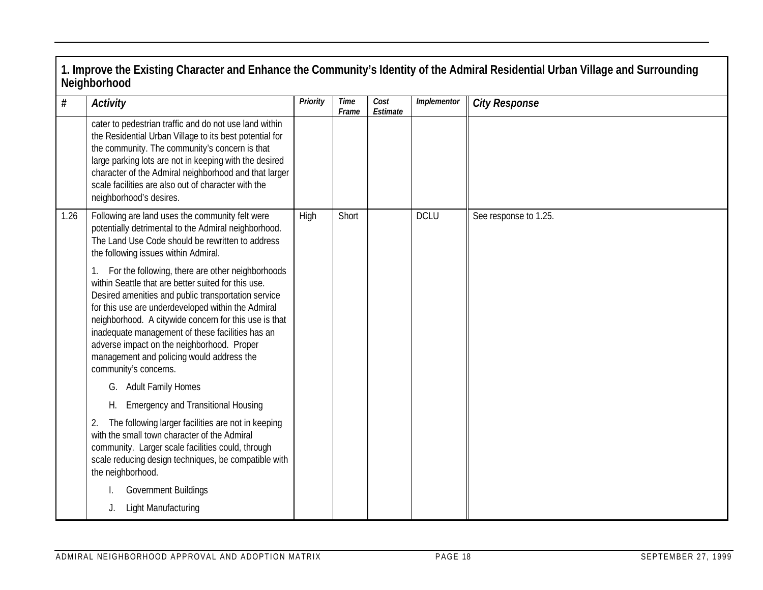|      | 1. Improve the Existing Character and Enhance the Community's Identity of the Admiral Residential Urban Village and Surrounding<br>Neighborhood                                                                                                                                                                                                                                                                                                       |          |                      |                  |             |                       |  |  |  |  |
|------|-------------------------------------------------------------------------------------------------------------------------------------------------------------------------------------------------------------------------------------------------------------------------------------------------------------------------------------------------------------------------------------------------------------------------------------------------------|----------|----------------------|------------------|-------------|-----------------------|--|--|--|--|
| $\#$ | Activity                                                                                                                                                                                                                                                                                                                                                                                                                                              | Priority | <b>Time</b><br>Frame | Cost<br>Estimate | Implementor | <b>City Response</b>  |  |  |  |  |
|      | cater to pedestrian traffic and do not use land within<br>the Residential Urban Village to its best potential for<br>the community. The community's concern is that<br>large parking lots are not in keeping with the desired<br>character of the Admiral neighborhood and that larger<br>scale facilities are also out of character with the<br>neighborhood's desires.                                                                              |          |                      |                  |             |                       |  |  |  |  |
| 1.26 | Following are land uses the community felt were<br>potentially detrimental to the Admiral neighborhood.<br>The Land Use Code should be rewritten to address<br>the following issues within Admiral.                                                                                                                                                                                                                                                   | High     | Short                |                  | <b>DCLU</b> | See response to 1.25. |  |  |  |  |
|      | For the following, there are other neighborhoods<br>within Seattle that are better suited for this use.<br>Desired amenities and public transportation service<br>for this use are underdeveloped within the Admiral<br>neighborhood. A citywide concern for this use is that<br>inadequate management of these facilities has an<br>adverse impact on the neighborhood. Proper<br>management and policing would address the<br>community's concerns. |          |                      |                  |             |                       |  |  |  |  |
|      | G. Adult Family Homes<br><b>Emergency and Transitional Housing</b><br>Н.                                                                                                                                                                                                                                                                                                                                                                              |          |                      |                  |             |                       |  |  |  |  |
|      | The following larger facilities are not in keeping<br>2.<br>with the small town character of the Admiral<br>community. Larger scale facilities could, through<br>scale reducing design techniques, be compatible with<br>the neighborhood.                                                                                                                                                                                                            |          |                      |                  |             |                       |  |  |  |  |
|      | Government Buildings                                                                                                                                                                                                                                                                                                                                                                                                                                  |          |                      |                  |             |                       |  |  |  |  |
|      | Light Manufacturing<br>J.                                                                                                                                                                                                                                                                                                                                                                                                                             |          |                      |                  |             |                       |  |  |  |  |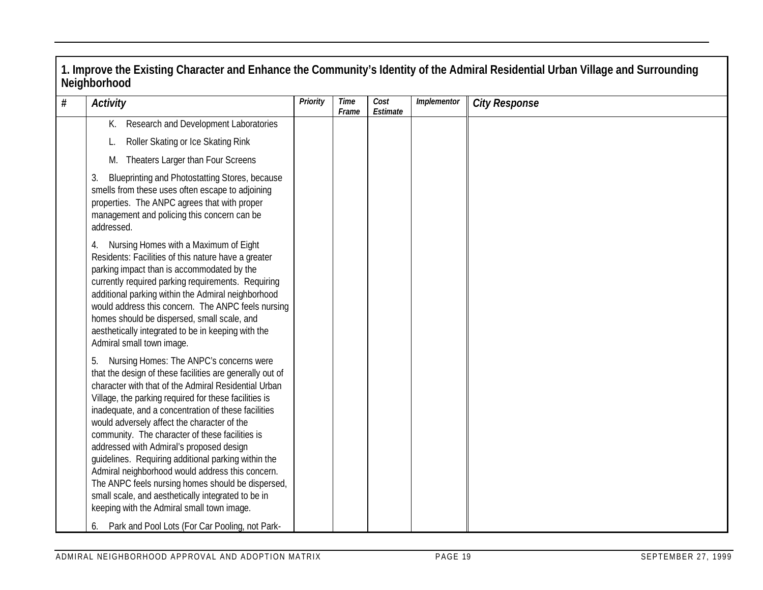| $\#$ | <b>Activity</b>                                                                                                                                                                                                                                                                                                                                                                                                                                                                                                                                                                                                                                                                                                                                    | Priority | Time<br>Frame | Cost<br>Estimate | Implementor | <b>City Response</b> |
|------|----------------------------------------------------------------------------------------------------------------------------------------------------------------------------------------------------------------------------------------------------------------------------------------------------------------------------------------------------------------------------------------------------------------------------------------------------------------------------------------------------------------------------------------------------------------------------------------------------------------------------------------------------------------------------------------------------------------------------------------------------|----------|---------------|------------------|-------------|----------------------|
|      | Research and Development Laboratories<br>К.                                                                                                                                                                                                                                                                                                                                                                                                                                                                                                                                                                                                                                                                                                        |          |               |                  |             |                      |
|      | Roller Skating or Ice Skating Rink                                                                                                                                                                                                                                                                                                                                                                                                                                                                                                                                                                                                                                                                                                                 |          |               |                  |             |                      |
|      | Theaters Larger than Four Screens<br>M.                                                                                                                                                                                                                                                                                                                                                                                                                                                                                                                                                                                                                                                                                                            |          |               |                  |             |                      |
|      | 3.<br>Blueprinting and Photostatting Stores, because<br>smells from these uses often escape to adjoining<br>properties. The ANPC agrees that with proper<br>management and policing this concern can be<br>addressed.                                                                                                                                                                                                                                                                                                                                                                                                                                                                                                                              |          |               |                  |             |                      |
|      | 4. Nursing Homes with a Maximum of Eight<br>Residents: Facilities of this nature have a greater<br>parking impact than is accommodated by the<br>currently required parking requirements. Requiring<br>additional parking within the Admiral neighborhood<br>would address this concern. The ANPC feels nursing<br>homes should be dispersed, small scale, and<br>aesthetically integrated to be in keeping with the<br>Admiral small town image.                                                                                                                                                                                                                                                                                                  |          |               |                  |             |                      |
|      | Nursing Homes: The ANPC's concerns were<br>that the design of these facilities are generally out of<br>character with that of the Admiral Residential Urban<br>Village, the parking required for these facilities is<br>inadequate, and a concentration of these facilities<br>would adversely affect the character of the<br>community. The character of these facilities is<br>addressed with Admiral's proposed design<br>guidelines. Requiring additional parking within the<br>Admiral neighborhood would address this concern.<br>The ANPC feels nursing homes should be dispersed,<br>small scale, and aesthetically integrated to be in<br>keeping with the Admiral small town image.<br>6. Park and Pool Lots (For Car Pooling, not Park- |          |               |                  |             |                      |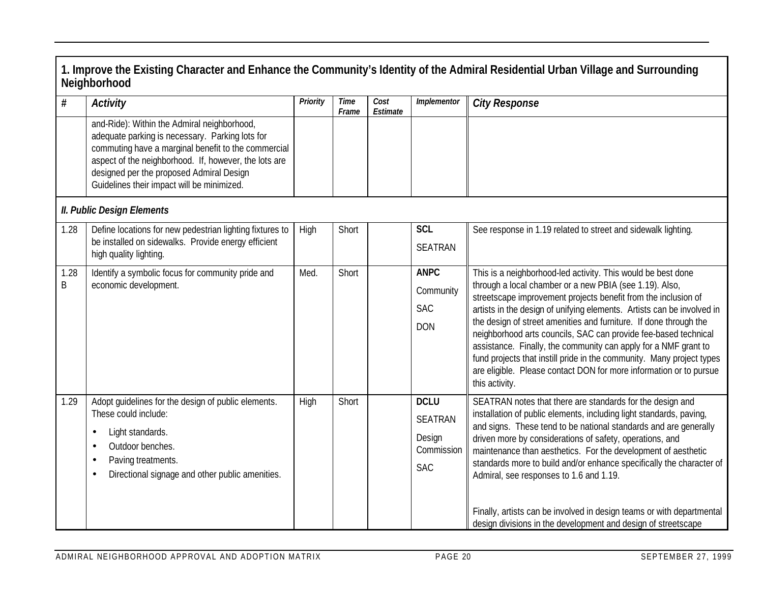|           | 1. Improve the Existing Character and Enhance the Community's Identity of the Admiral Residential Urban Village and Surrounding<br>Neighborhood                                                                                                                                                          |          |               |                  |                                                                     |                                                                                                                                                                                                                                                                                                                                                                                                                                                                                                                                                                                                                                                 |  |  |  |  |
|-----------|----------------------------------------------------------------------------------------------------------------------------------------------------------------------------------------------------------------------------------------------------------------------------------------------------------|----------|---------------|------------------|---------------------------------------------------------------------|-------------------------------------------------------------------------------------------------------------------------------------------------------------------------------------------------------------------------------------------------------------------------------------------------------------------------------------------------------------------------------------------------------------------------------------------------------------------------------------------------------------------------------------------------------------------------------------------------------------------------------------------------|--|--|--|--|
| #         | Activity                                                                                                                                                                                                                                                                                                 | Priority | Time<br>Frame | Cost<br>Estimate | Implementor                                                         | <b>City Response</b>                                                                                                                                                                                                                                                                                                                                                                                                                                                                                                                                                                                                                            |  |  |  |  |
|           | and-Ride): Within the Admiral neighborhood,<br>adequate parking is necessary. Parking lots for<br>commuting have a marginal benefit to the commercial<br>aspect of the neighborhood. If, however, the lots are<br>designed per the proposed Admiral Design<br>Guidelines their impact will be minimized. |          |               |                  |                                                                     |                                                                                                                                                                                                                                                                                                                                                                                                                                                                                                                                                                                                                                                 |  |  |  |  |
|           | <b>II. Public Design Elements</b>                                                                                                                                                                                                                                                                        |          |               |                  |                                                                     |                                                                                                                                                                                                                                                                                                                                                                                                                                                                                                                                                                                                                                                 |  |  |  |  |
| 1.28      | Define locations for new pedestrian lighting fixtures to<br>be installed on sidewalks. Provide energy efficient<br>high quality lighting.                                                                                                                                                                | High     | Short         |                  | <b>SCL</b><br><b>SEATRAN</b>                                        | See response in 1.19 related to street and sidewalk lighting.                                                                                                                                                                                                                                                                                                                                                                                                                                                                                                                                                                                   |  |  |  |  |
| 1.28<br>Β | Identify a symbolic focus for community pride and<br>economic development.                                                                                                                                                                                                                               | Med.     | Short         |                  | <b>ANPC</b><br>Community<br><b>SAC</b><br><b>DON</b>                | This is a neighborhood-led activity. This would be best done<br>through a local chamber or a new PBIA (see 1.19). Also,<br>streetscape improvement projects benefit from the inclusion of<br>artists in the design of unifying elements. Artists can be involved in<br>the design of street amenities and furniture. If done through the<br>neighborhood arts councils, SAC can provide fee-based technical<br>assistance. Finally, the community can apply for a NMF grant to<br>fund projects that instill pride in the community. Many project types<br>are eligible. Please contact DON for more information or to pursue<br>this activity. |  |  |  |  |
| 1.29      | Adopt guidelines for the design of public elements.<br>These could include:<br>Light standards.<br>٠<br>Outdoor benches.<br>٠<br>Paving treatments.<br>٠<br>Directional signage and other public amenities.<br>٠                                                                                         | High     | Short         |                  | <b>DCLU</b><br><b>SEATRAN</b><br>Design<br>Commission<br><b>SAC</b> | SEATRAN notes that there are standards for the design and<br>installation of public elements, including light standards, paving,<br>and signs. These tend to be national standards and are generally<br>driven more by considerations of safety, operations, and<br>maintenance than aesthetics. For the development of aesthetic<br>standards more to build and/or enhance specifically the character of<br>Admiral, see responses to 1.6 and 1.19.<br>Finally, artists can be involved in design teams or with departmental<br>design divisions in the development and design of streetscape                                                  |  |  |  |  |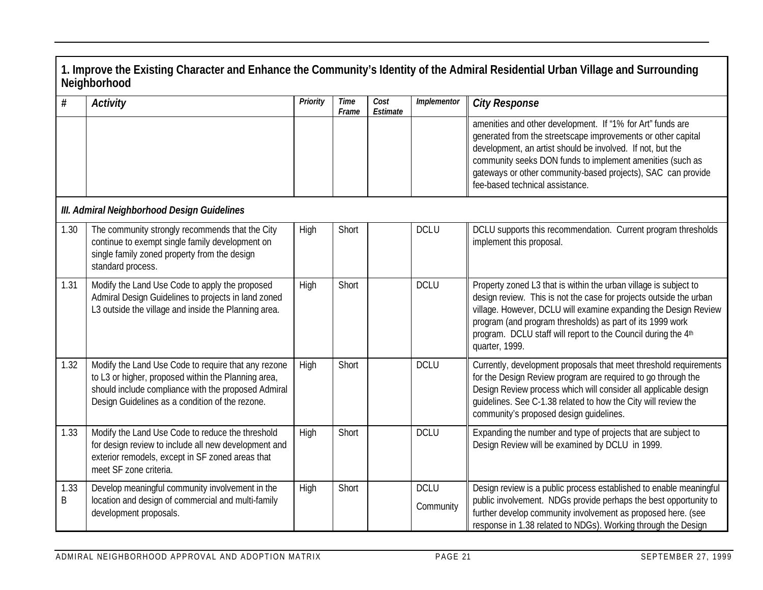|           | Neighborhood                                                                                                                                                                                                         |          |                      |                  |                          | 1. Improve the Existing Character and Enhance the Community's Identity of the Admiral Residential Urban Village and Surrounding                                                                                                                                                                                                                           |  |  |  |  |
|-----------|----------------------------------------------------------------------------------------------------------------------------------------------------------------------------------------------------------------------|----------|----------------------|------------------|--------------------------|-----------------------------------------------------------------------------------------------------------------------------------------------------------------------------------------------------------------------------------------------------------------------------------------------------------------------------------------------------------|--|--|--|--|
| #         | <b>Activity</b>                                                                                                                                                                                                      | Priority | <b>Time</b><br>Frame | Cost<br>Estimate | Implementor              | <b>City Response</b>                                                                                                                                                                                                                                                                                                                                      |  |  |  |  |
|           |                                                                                                                                                                                                                      |          |                      |                  |                          | amenities and other development. If "1% for Art" funds are<br>generated from the streetscape improvements or other capital<br>development, an artist should be involved. If not, but the<br>community seeks DON funds to implement amenities (such as<br>gateways or other community-based projects), SAC can provide<br>fee-based technical assistance.  |  |  |  |  |
|           | III. Admiral Neighborhood Design Guidelines                                                                                                                                                                          |          |                      |                  |                          |                                                                                                                                                                                                                                                                                                                                                           |  |  |  |  |
| 1.30      | The community strongly recommends that the City<br>continue to exempt single family development on<br>single family zoned property from the design<br>standard process.                                              | High     | Short                |                  | <b>DCLU</b>              | DCLU supports this recommendation. Current program thresholds<br>implement this proposal.                                                                                                                                                                                                                                                                 |  |  |  |  |
| 1.31      | Modify the Land Use Code to apply the proposed<br>Admiral Design Guidelines to projects in land zoned<br>L3 outside the village and inside the Planning area.                                                        | High     | Short                |                  | <b>DCLU</b>              | Property zoned L3 that is within the urban village is subject to<br>design review. This is not the case for projects outside the urban<br>village. However, DCLU will examine expanding the Design Review<br>program (and program thresholds) as part of its 1999 work<br>program. DCLU staff will report to the Council during the 4th<br>quarter, 1999. |  |  |  |  |
| 1.32      | Modify the Land Use Code to require that any rezone<br>to L3 or higher, proposed within the Planning area,<br>should include compliance with the proposed Admiral<br>Design Guidelines as a condition of the rezone. | High     | Short                |                  | <b>DCLU</b>              | Currently, development proposals that meet threshold requirements<br>for the Design Review program are required to go through the<br>Design Review process which will consider all applicable design<br>quidelines. See C-1.38 related to how the City will review the<br>community's proposed design quidelines.                                         |  |  |  |  |
| 1.33      | Modify the Land Use Code to reduce the threshold<br>for design review to include all new development and<br>exterior remodels, except in SF zoned areas that<br>meet SF zone criteria.                               | High     | Short                |                  | <b>DCLU</b>              | Expanding the number and type of projects that are subject to<br>Design Review will be examined by DCLU in 1999.                                                                                                                                                                                                                                          |  |  |  |  |
| 1.33<br>B | Develop meaningful community involvement in the<br>location and design of commercial and multi-family<br>development proposals.                                                                                      | High     | Short                |                  | <b>DCLU</b><br>Community | Design review is a public process established to enable meaningful<br>public involvement. NDGs provide perhaps the best opportunity to<br>further develop community involvement as proposed here. (see<br>response in 1.38 related to NDGs). Working through the Design                                                                                   |  |  |  |  |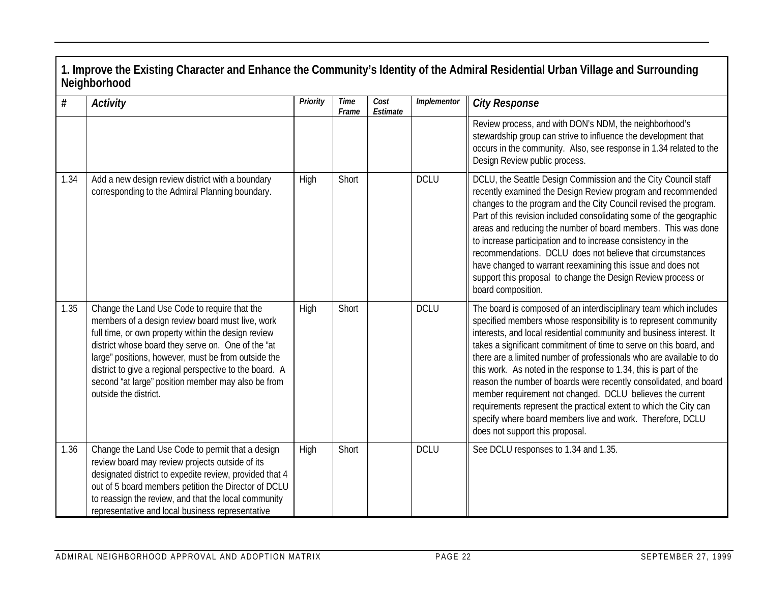| $\#$ | <b>Activity</b>                                                                                                                                                                                                                                                                                                                                                                                                | Priority | <b>Time</b><br>Frame | Cost<br>Estimate | Implementor | <b>City Response</b>                                                                                                                                                                                                                                                                                                                                                                                                                                                                                                                                                                                                                                                                                                                   |
|------|----------------------------------------------------------------------------------------------------------------------------------------------------------------------------------------------------------------------------------------------------------------------------------------------------------------------------------------------------------------------------------------------------------------|----------|----------------------|------------------|-------------|----------------------------------------------------------------------------------------------------------------------------------------------------------------------------------------------------------------------------------------------------------------------------------------------------------------------------------------------------------------------------------------------------------------------------------------------------------------------------------------------------------------------------------------------------------------------------------------------------------------------------------------------------------------------------------------------------------------------------------------|
|      |                                                                                                                                                                                                                                                                                                                                                                                                                |          |                      |                  |             | Review process, and with DON's NDM, the neighborhood's<br>stewardship group can strive to influence the development that<br>occurs in the community. Also, see response in 1.34 related to the<br>Design Review public process.                                                                                                                                                                                                                                                                                                                                                                                                                                                                                                        |
| 1.34 | Add a new design review district with a boundary<br>corresponding to the Admiral Planning boundary.                                                                                                                                                                                                                                                                                                            | High     | Short                |                  | <b>DCLU</b> | DCLU, the Seattle Design Commission and the City Council staff<br>recently examined the Design Review program and recommended<br>changes to the program and the City Council revised the program.<br>Part of this revision included consolidating some of the geographic<br>areas and reducing the number of board members. This was done<br>to increase participation and to increase consistency in the<br>recommendations. DCLU does not believe that circumstances<br>have changed to warrant reexamining this issue and does not<br>support this proposal to change the Design Review process or<br>board composition.                                                                                                            |
| 1.35 | Change the Land Use Code to require that the<br>members of a design review board must live, work<br>full time, or own property within the design review<br>district whose board they serve on. One of the "at<br>large" positions, however, must be from outside the<br>district to give a regional perspective to the board. A<br>second "at large" position member may also be from<br>outside the district. | High     | Short                |                  | <b>DCLU</b> | The board is composed of an interdisciplinary team which includes<br>specified members whose responsibility is to represent community<br>interests, and local residential community and business interest. It<br>takes a significant commitment of time to serve on this board, and<br>there are a limited number of professionals who are available to do<br>this work. As noted in the response to 1.34, this is part of the<br>reason the number of boards were recently consolidated, and board<br>member requirement not changed. DCLU believes the current<br>requirements represent the practical extent to which the City can<br>specify where board members live and work. Therefore, DCLU<br>does not support this proposal. |
| 1.36 | Change the Land Use Code to permit that a design<br>review board may review projects outside of its<br>designated district to expedite review, provided that 4<br>out of 5 board members petition the Director of DCLU<br>to reassign the review, and that the local community<br>representative and local business representative                                                                             | High     | Short                |                  | <b>DCLU</b> | See DCLU responses to 1.34 and 1.35.                                                                                                                                                                                                                                                                                                                                                                                                                                                                                                                                                                                                                                                                                                   |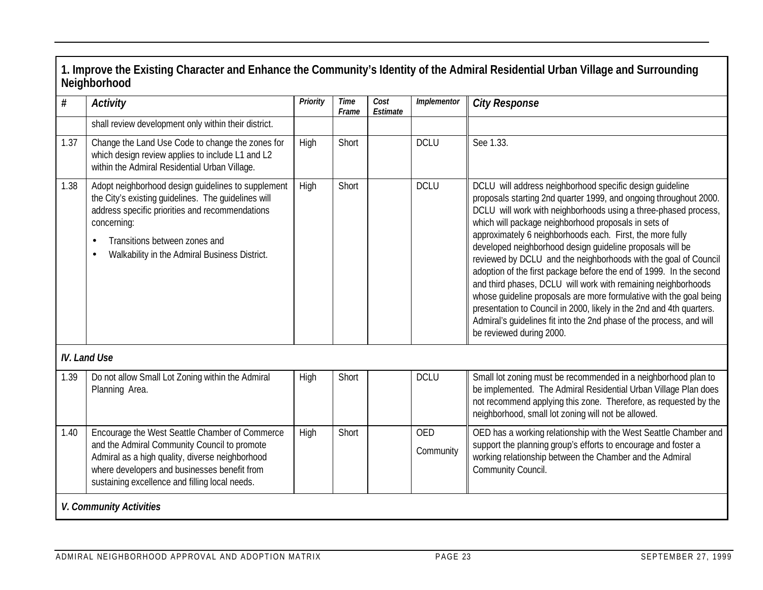| shall review development only within their district.<br>Change the Land Use Code to change the zones for<br>which design review applies to include L1 and L2<br>within the Admiral Residential Urban Village.<br>Adopt neighborhood design guidelines to supplement<br>the City's existing guidelines. The guidelines will<br>address specific priorities and recommendations<br>Transitions between zones and<br>Walkability in the Admiral Business District. | High<br>High | Short<br>Short          | <b>DCLU</b><br><b>DCLU</b> | See 1.33.<br>DCLU will address neighborhood specific design guideline<br>proposals starting 2nd quarter 1999, and ongoing throughout 2000.<br>DCLU will work with neighborhoods using a three-phased process,<br>which will package neighborhood proposals in sets of                                                                                                                                                                                                                                                                                                               |
|-----------------------------------------------------------------------------------------------------------------------------------------------------------------------------------------------------------------------------------------------------------------------------------------------------------------------------------------------------------------------------------------------------------------------------------------------------------------|--------------|-------------------------|----------------------------|-------------------------------------------------------------------------------------------------------------------------------------------------------------------------------------------------------------------------------------------------------------------------------------------------------------------------------------------------------------------------------------------------------------------------------------------------------------------------------------------------------------------------------------------------------------------------------------|
|                                                                                                                                                                                                                                                                                                                                                                                                                                                                 |              |                         |                            |                                                                                                                                                                                                                                                                                                                                                                                                                                                                                                                                                                                     |
|                                                                                                                                                                                                                                                                                                                                                                                                                                                                 |              |                         |                            |                                                                                                                                                                                                                                                                                                                                                                                                                                                                                                                                                                                     |
|                                                                                                                                                                                                                                                                                                                                                                                                                                                                 |              |                         |                            | approximately 6 neighborhoods each. First, the more fully<br>developed neighborhood design guideline proposals will be<br>reviewed by DCLU and the neighborhoods with the goal of Council<br>adoption of the first package before the end of 1999. In the second<br>and third phases, DCLU will work with remaining neighborhoods<br>whose guideline proposals are more formulative with the goal being<br>presentation to Council in 2000, likely in the 2nd and 4th quarters.<br>Admiral's quidelines fit into the 2nd phase of the process, and will<br>be reviewed during 2000. |
|                                                                                                                                                                                                                                                                                                                                                                                                                                                                 |              |                         |                            |                                                                                                                                                                                                                                                                                                                                                                                                                                                                                                                                                                                     |
| Do not allow Small Lot Zoning within the Admiral<br>Planning Area.                                                                                                                                                                                                                                                                                                                                                                                              | High         | Short                   | <b>DCLU</b>                | Small lot zoning must be recommended in a neighborhood plan to<br>be implemented. The Admiral Residential Urban Village Plan does<br>not recommend applying this zone. Therefore, as requested by the<br>neighborhood, small lot zoning will not be allowed.                                                                                                                                                                                                                                                                                                                        |
| Encourage the West Seattle Chamber of Commerce<br>and the Admiral Community Council to promote<br>Admiral as a high quality, diverse neighborhood<br>where developers and businesses benefit from<br>sustaining excellence and filling local needs.                                                                                                                                                                                                             | High         | Short                   | <b>OED</b><br>Community    | OED has a working relationship with the West Seattle Chamber and<br>support the planning group's efforts to encourage and foster a<br>working relationship between the Chamber and the Admiral<br>Community Council.                                                                                                                                                                                                                                                                                                                                                                |
|                                                                                                                                                                                                                                                                                                                                                                                                                                                                 |              | V. Community Activities |                            |                                                                                                                                                                                                                                                                                                                                                                                                                                                                                                                                                                                     |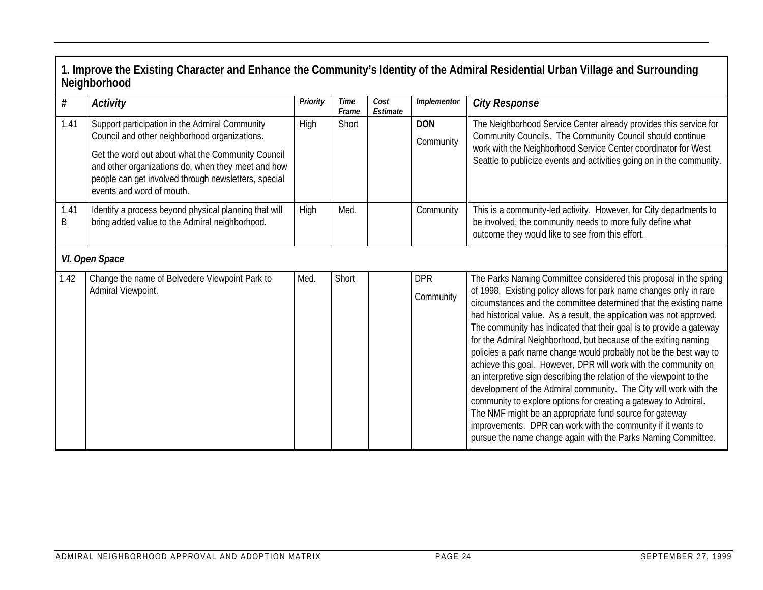|           | Neighborhood                                                                                                                                                                                                                                                                                    |          |                      |                  |                         | 1. Improve the Existing Character and Enhance the Community's Identity of the Admiral Residential Urban Village and Surrounding                                                                                                                                                                                                                                                                                                                                                                                                                                                                                                                                                                                                                                                                                                                                                                                                                                                    |
|-----------|-------------------------------------------------------------------------------------------------------------------------------------------------------------------------------------------------------------------------------------------------------------------------------------------------|----------|----------------------|------------------|-------------------------|------------------------------------------------------------------------------------------------------------------------------------------------------------------------------------------------------------------------------------------------------------------------------------------------------------------------------------------------------------------------------------------------------------------------------------------------------------------------------------------------------------------------------------------------------------------------------------------------------------------------------------------------------------------------------------------------------------------------------------------------------------------------------------------------------------------------------------------------------------------------------------------------------------------------------------------------------------------------------------|
| $\#$      | <b>Activity</b>                                                                                                                                                                                                                                                                                 | Priority | <b>Time</b><br>Frame | Cost<br>Estimate | Implementor             | <b>City Response</b>                                                                                                                                                                                                                                                                                                                                                                                                                                                                                                                                                                                                                                                                                                                                                                                                                                                                                                                                                               |
| 1.41      | Support participation in the Admiral Community<br>Council and other neighborhood organizations.<br>Get the word out about what the Community Council<br>and other organizations do, when they meet and how<br>people can get involved through newsletters, special<br>events and word of mouth. | High     | Short                |                  | <b>DON</b><br>Community | The Neighborhood Service Center already provides this service for<br>Community Councils. The Community Council should continue<br>work with the Neighborhood Service Center coordinator for West<br>Seattle to publicize events and activities going on in the community.                                                                                                                                                                                                                                                                                                                                                                                                                                                                                                                                                                                                                                                                                                          |
| 1.41<br>B | Identify a process beyond physical planning that will<br>bring added value to the Admiral neighborhood.                                                                                                                                                                                         | High     | Med.                 |                  | Community               | This is a community-led activity. However, for City departments to<br>be involved, the community needs to more fully define what<br>outcome they would like to see from this effort.                                                                                                                                                                                                                                                                                                                                                                                                                                                                                                                                                                                                                                                                                                                                                                                               |
|           | VI. Open Space                                                                                                                                                                                                                                                                                  |          |                      |                  |                         |                                                                                                                                                                                                                                                                                                                                                                                                                                                                                                                                                                                                                                                                                                                                                                                                                                                                                                                                                                                    |
| 1.42      | Change the name of Belvedere Viewpoint Park to<br>Admiral Viewpoint.                                                                                                                                                                                                                            | Med.     | Short                |                  | <b>DPR</b><br>Community | The Parks Naming Committee considered this proposal in the spring<br>of 1998. Existing policy allows for park name changes only in rare<br>circumstances and the committee determined that the existing name<br>had historical value. As a result, the application was not approved.<br>The community has indicated that their goal is to provide a gateway<br>for the Admiral Neighborhood, but because of the exiting naming<br>policies a park name change would probably not be the best way to<br>achieve this goal. However, DPR will work with the community on<br>an interpretive sign describing the relation of the viewpoint to the<br>development of the Admiral community. The City will work with the<br>community to explore options for creating a gateway to Admiral.<br>The NMF might be an appropriate fund source for gateway<br>improvements. DPR can work with the community if it wants to<br>pursue the name change again with the Parks Naming Committee. |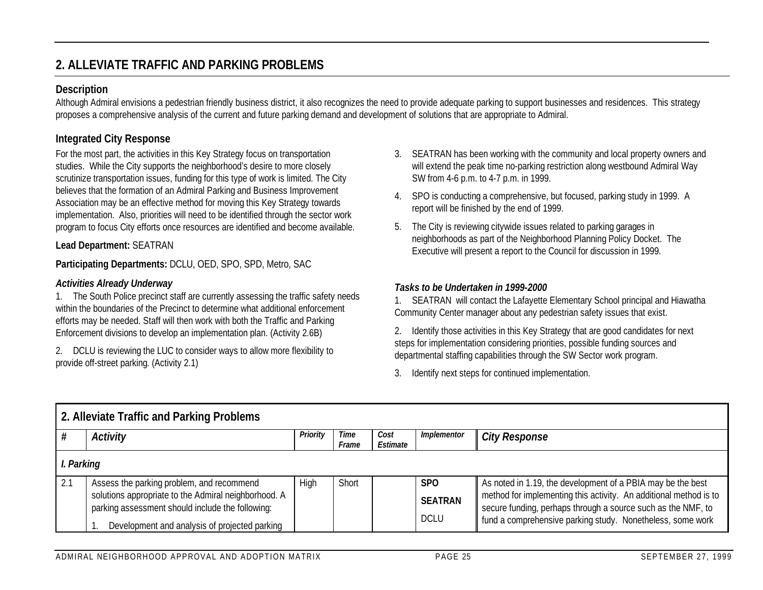# **2. ALLEVIATE TRAFFIC AND PARKING PROBLEMS**

#### **Description**

Although Admiral envisions a pedestrian friendly business district, it also recognizes the need to provide adequate parking to support businesses and residences. This strategy proposes a comprehensive analysis of the current and future parking demand and development of solutions that are appropriate to Admiral.

# **Integrated City Response**

For the most part, the activities in this Key Strategy focus on transportation studies. While the City supports the neighborhood's desire to more closely scrutinize transportation issues, funding for this type of work is limited. The City believes that the formation of an Admiral Parking and Business Improvement Association may be an effective method for moving this Key Strategy towards implementation. Also, priorities will need to be identified through the sector work program to focus City efforts once resources are identified and become available.

#### **Lead Department:** SEATRAN

**Participating Departments:** DCLU, OED, SPO, SPD, Metro, SAC

#### *Activities Already Underway*

1. The South Police precinct staff are currently assessing the traffic safety needs within the boundaries of the Precinct to determine what additional enforcement efforts may be needed. Staff will then work with both the Traffic and Parking Enforcement divisions to develop an implementation plan. (Activity 2.6B)

2. DCLU is reviewing the LUC to consider ways to allow more flexibility to provide off-street parking. (Activity 2.1)

- 3. SEATRAN has been working with the community and local property owners and will extend the peak time no-parking restriction along westbound Admiral Way SW from 4-6 p.m. to 4-7 p.m. in 1999.
- 4. SPO is conducting a comprehensive, but focused, parking study in 1999. A report will be finished by the end of 1999.
- 5. The City is reviewing citywide issues related to parking garages in neighborhoods as part of the Neighborhood Planning Policy Docket. The Executive will present a report to the Council for discussion in 1999.

#### *Tasks to be Undertaken in 1999-2000*

1. SEATRAN will contact the Lafayette Elementary School principal and Hiawatha Community Center manager about any pedestrian safety issues that exist.

2. Identify those activities in this Key Strategy that are good candidates for next steps for implementation considering priorities, possible funding sources and departmental staffing capabilities through the SW Sector work program.

3. Identify next steps for continued implementation.

|     | 2. Alleviate Traffic and Parking Problems            |          |               |                  |                 |                                                                                                                            |  |  |  |  |
|-----|------------------------------------------------------|----------|---------------|------------------|-----------------|----------------------------------------------------------------------------------------------------------------------------|--|--|--|--|
|     | <b>Activity</b>                                      | Priority | Time<br>Frame | Cost<br>Estimate | Implementor     | <b>City Response</b>                                                                                                       |  |  |  |  |
|     | I. Parking                                           |          |               |                  |                 |                                                                                                                            |  |  |  |  |
| 2.1 | Assess the parking problem, and recommend            | High     | Short         |                  | SP <sub>O</sub> | As noted in 1.19, the development of a PBIA may be the best                                                                |  |  |  |  |
|     | solutions appropriate to the Admiral neighborhood. A |          |               |                  | <b>SEATRAN</b>  | method for implementing this activity. An additional method is to                                                          |  |  |  |  |
|     | parking assessment should include the following:     |          |               |                  | <b>DCLU</b>     | secure funding, perhaps through a source such as the NMF, to<br>fund a comprehensive parking study. Nonetheless, some work |  |  |  |  |
|     | Development and analysis of projected parking        |          |               |                  |                 |                                                                                                                            |  |  |  |  |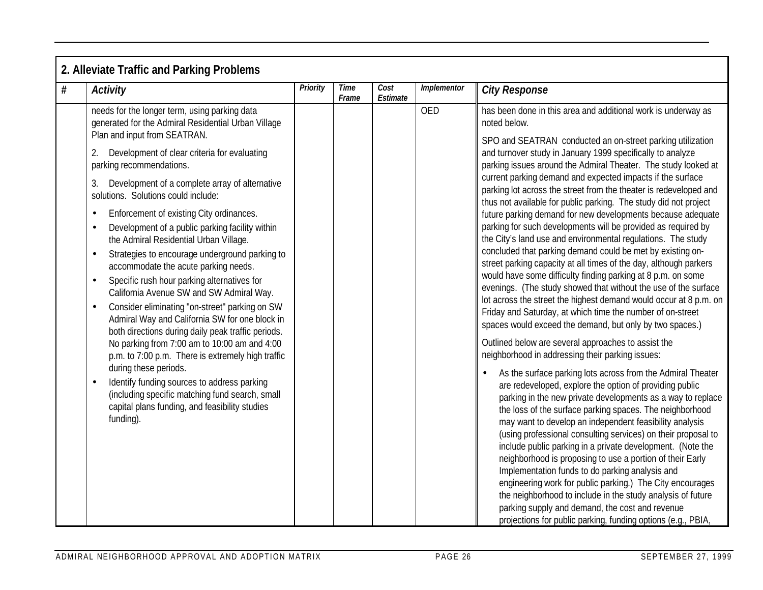|   | 2. Alleviate Traffic and Parking Problems                                                                                                                                                                                                                                                                |          |                      |                  |             |                                                                                                                                                                                                                                                                                                                                                                                                                                                                                                                                                       |
|---|----------------------------------------------------------------------------------------------------------------------------------------------------------------------------------------------------------------------------------------------------------------------------------------------------------|----------|----------------------|------------------|-------------|-------------------------------------------------------------------------------------------------------------------------------------------------------------------------------------------------------------------------------------------------------------------------------------------------------------------------------------------------------------------------------------------------------------------------------------------------------------------------------------------------------------------------------------------------------|
| # | <b>Activity</b>                                                                                                                                                                                                                                                                                          | Priority | <b>Time</b><br>Frame | Cost<br>Estimate | Implementor | <b>City Response</b>                                                                                                                                                                                                                                                                                                                                                                                                                                                                                                                                  |
|   | needs for the longer term, using parking data<br>generated for the Admiral Residential Urban Village                                                                                                                                                                                                     |          |                      |                  | <b>OED</b>  | has been done in this area and additional work is underway as<br>noted below.                                                                                                                                                                                                                                                                                                                                                                                                                                                                         |
|   | Plan and input from SEATRAN.<br>Development of clear criteria for evaluating<br>parking recommendations.<br>Development of a complete array of alternative<br>solutions. Solutions could include:<br>Enforcement of existing City ordinances.                                                            |          |                      |                  |             | SPO and SEATRAN conducted an on-street parking utilization<br>and turnover study in January 1999 specifically to analyze<br>parking issues around the Admiral Theater. The study looked at<br>current parking demand and expected impacts if the surface<br>parking lot across the street from the theater is redeveloped and<br>thus not available for public parking. The study did not project<br>future parking demand for new developments because adequate                                                                                      |
|   | Development of a public parking facility within<br>$\bullet$<br>the Admiral Residential Urban Village.<br>Strategies to encourage underground parking to<br>$\bullet$<br>accommodate the acute parking needs.                                                                                            |          |                      |                  |             | parking for such developments will be provided as required by<br>the City's land use and environmental regulations. The study<br>concluded that parking demand could be met by existing on-<br>street parking capacity at all times of the day, although parkers                                                                                                                                                                                                                                                                                      |
|   | Specific rush hour parking alternatives for<br>$\bullet$<br>California Avenue SW and SW Admiral Way.<br>Consider eliminating "on-street" parking on SW<br>$\bullet$<br>Admiral Way and California SW for one block in<br>both directions during daily peak traffic periods.                              |          |                      |                  |             | would have some difficulty finding parking at 8 p.m. on some<br>evenings. (The study showed that without the use of the surface<br>lot across the street the highest demand would occur at 8 p.m. on<br>Friday and Saturday, at which time the number of on-street<br>spaces would exceed the demand, but only by two spaces.)                                                                                                                                                                                                                        |
|   | No parking from 7:00 am to 10:00 am and 4:00<br>p.m. to 7:00 p.m. There is extremely high traffic<br>during these periods.<br>Identify funding sources to address parking<br>$\bullet$<br>(including specific matching fund search, small<br>capital plans funding, and feasibility studies<br>funding). |          |                      |                  |             | Outlined below are several approaches to assist the<br>neighborhood in addressing their parking issues:<br>As the surface parking lots across from the Admiral Theater<br>are redeveloped, explore the option of providing public<br>parking in the new private developments as a way to replace<br>the loss of the surface parking spaces. The neighborhood                                                                                                                                                                                          |
|   |                                                                                                                                                                                                                                                                                                          |          |                      |                  |             | may want to develop an independent feasibility analysis<br>(using professional consulting services) on their proposal to<br>include public parking in a private development. (Note the<br>neighborhood is proposing to use a portion of their Early<br>Implementation funds to do parking analysis and<br>engineering work for public parking.) The City encourages<br>the neighborhood to include in the study analysis of future<br>parking supply and demand, the cost and revenue<br>projections for public parking, funding options (e.g., PBIA, |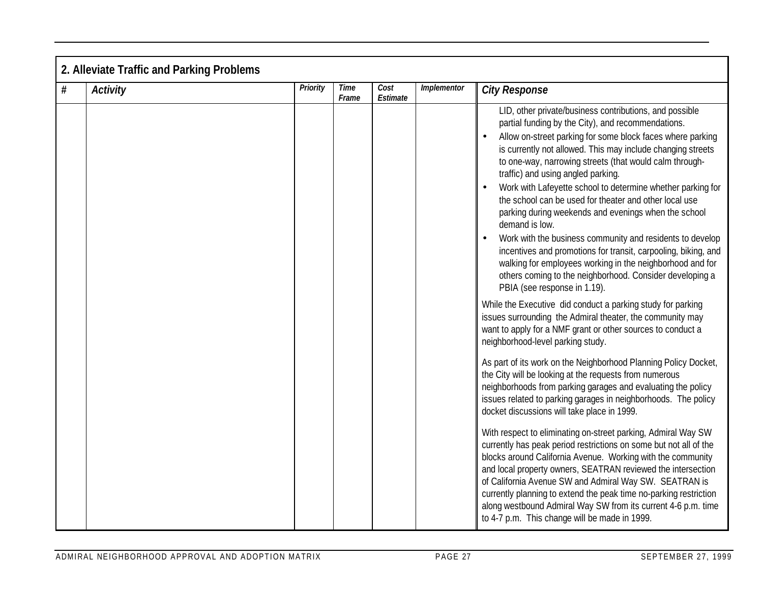|      | 2. Alleviate Traffic and Parking Problems |          |                      |                  |             |                                                                                                                                                                                                                                                                                                                                                                                                                                                                                                                                                                                                                                                                                                                                                                                                                                                                                                                                                                                                                                                                                                                                                                                                                                                                                                                                                                                                                                                                                                                                                                                                                                                                                                                                                                                                                                                                                                                                      |
|------|-------------------------------------------|----------|----------------------|------------------|-------------|--------------------------------------------------------------------------------------------------------------------------------------------------------------------------------------------------------------------------------------------------------------------------------------------------------------------------------------------------------------------------------------------------------------------------------------------------------------------------------------------------------------------------------------------------------------------------------------------------------------------------------------------------------------------------------------------------------------------------------------------------------------------------------------------------------------------------------------------------------------------------------------------------------------------------------------------------------------------------------------------------------------------------------------------------------------------------------------------------------------------------------------------------------------------------------------------------------------------------------------------------------------------------------------------------------------------------------------------------------------------------------------------------------------------------------------------------------------------------------------------------------------------------------------------------------------------------------------------------------------------------------------------------------------------------------------------------------------------------------------------------------------------------------------------------------------------------------------------------------------------------------------------------------------------------------------|
| $\#$ | <b>Activity</b>                           | Priority | <b>Time</b><br>Frame | Cost<br>Estimate | Implementor | <b>City Response</b>                                                                                                                                                                                                                                                                                                                                                                                                                                                                                                                                                                                                                                                                                                                                                                                                                                                                                                                                                                                                                                                                                                                                                                                                                                                                                                                                                                                                                                                                                                                                                                                                                                                                                                                                                                                                                                                                                                                 |
|      |                                           |          |                      |                  |             | LID, other private/business contributions, and possible<br>partial funding by the City), and recommendations.<br>Allow on-street parking for some block faces where parking<br>$\bullet$<br>is currently not allowed. This may include changing streets<br>to one-way, narrowing streets (that would calm through-<br>traffic) and using angled parking.<br>Work with Lafeyette school to determine whether parking for<br>the school can be used for theater and other local use<br>parking during weekends and evenings when the school<br>demand is low.<br>Work with the business community and residents to develop<br>$\bullet$<br>incentives and promotions for transit, carpooling, biking, and<br>walking for employees working in the neighborhood and for<br>others coming to the neighborhood. Consider developing a<br>PBIA (see response in 1.19).<br>While the Executive did conduct a parking study for parking<br>issues surrounding the Admiral theater, the community may<br>want to apply for a NMF grant or other sources to conduct a<br>neighborhood-level parking study.<br>As part of its work on the Neighborhood Planning Policy Docket,<br>the City will be looking at the requests from numerous<br>neighborhoods from parking garages and evaluating the policy<br>issues related to parking garages in neighborhoods. The policy<br>docket discussions will take place in 1999.<br>With respect to eliminating on-street parking, Admiral Way SW<br>currently has peak period restrictions on some but not all of the<br>blocks around California Avenue. Working with the community<br>and local property owners, SEATRAN reviewed the intersection<br>of California Avenue SW and Admiral Way SW. SEATRAN is<br>currently planning to extend the peak time no-parking restriction<br>along westbound Admiral Way SW from its current 4-6 p.m. time<br>to 4-7 p.m. This change will be made in 1999. |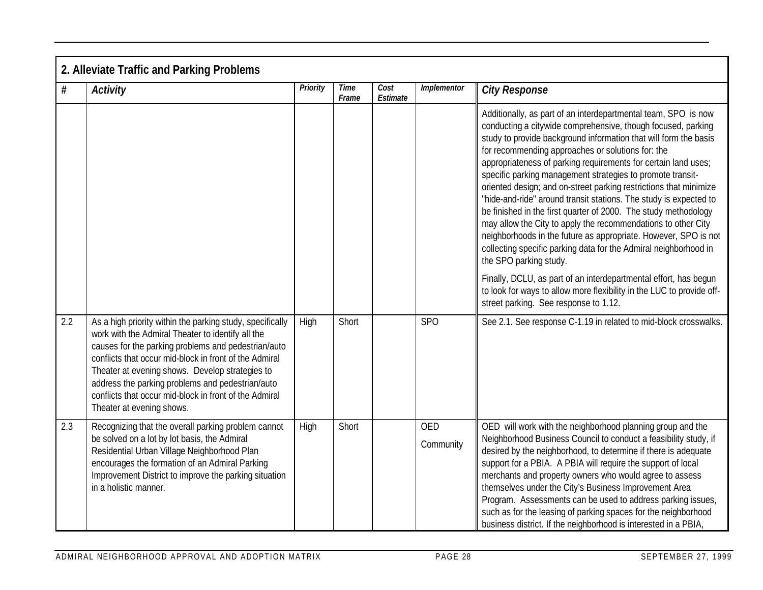|     | 2. Alleviate Traffic and Parking Problems                                                                                                                                                                                                                                                                                                                                                                                     |          |                      |                  |                         |                                                                                                                                                                                                                                                                                                                                                                                                                                                                                                                                                                                                                                                                                                                                                                                                                                        |  |  |  |
|-----|-------------------------------------------------------------------------------------------------------------------------------------------------------------------------------------------------------------------------------------------------------------------------------------------------------------------------------------------------------------------------------------------------------------------------------|----------|----------------------|------------------|-------------------------|----------------------------------------------------------------------------------------------------------------------------------------------------------------------------------------------------------------------------------------------------------------------------------------------------------------------------------------------------------------------------------------------------------------------------------------------------------------------------------------------------------------------------------------------------------------------------------------------------------------------------------------------------------------------------------------------------------------------------------------------------------------------------------------------------------------------------------------|--|--|--|
| #   | <b>Activity</b>                                                                                                                                                                                                                                                                                                                                                                                                               | Priority | <b>Time</b><br>Frame | Cost<br>Estimate | Implementor             | <b>City Response</b>                                                                                                                                                                                                                                                                                                                                                                                                                                                                                                                                                                                                                                                                                                                                                                                                                   |  |  |  |
|     |                                                                                                                                                                                                                                                                                                                                                                                                                               |          |                      |                  |                         | Additionally, as part of an interdepartmental team, SPO is now<br>conducting a citywide comprehensive, though focused, parking<br>study to provide background information that will form the basis<br>for recommending approaches or solutions for: the<br>appropriateness of parking requirements for certain land uses;<br>specific parking management strategies to promote transit-<br>oriented design; and on-street parking restrictions that minimize<br>"hide-and-ride" around transit stations. The study is expected to<br>be finished in the first quarter of 2000. The study methodology<br>may allow the City to apply the recommendations to other City<br>neighborhoods in the future as appropriate. However, SPO is not<br>collecting specific parking data for the Admiral neighborhood in<br>the SPO parking study. |  |  |  |
|     |                                                                                                                                                                                                                                                                                                                                                                                                                               |          |                      |                  |                         | Finally, DCLU, as part of an interdepartmental effort, has begun<br>to look for ways to allow more flexibility in the LUC to provide off-<br>street parking. See response to 1.12.                                                                                                                                                                                                                                                                                                                                                                                                                                                                                                                                                                                                                                                     |  |  |  |
| 2.2 | As a high priority within the parking study, specifically<br>work with the Admiral Theater to identify all the<br>causes for the parking problems and pedestrian/auto<br>conflicts that occur mid-block in front of the Admiral<br>Theater at evening shows. Develop strategies to<br>address the parking problems and pedestrian/auto<br>conflicts that occur mid-block in front of the Admiral<br>Theater at evening shows. | High     | Short                |                  | <b>SPO</b>              | See 2.1. See response C-1.19 in related to mid-block crosswalks.                                                                                                                                                                                                                                                                                                                                                                                                                                                                                                                                                                                                                                                                                                                                                                       |  |  |  |
| 2.3 | Recognizing that the overall parking problem cannot<br>be solved on a lot by lot basis, the Admiral<br>Residential Urban Village Neighborhood Plan<br>encourages the formation of an Admiral Parking<br>Improvement District to improve the parking situation<br>in a holistic manner.                                                                                                                                        | High     | Short                |                  | <b>OED</b><br>Community | OED will work with the neighborhood planning group and the<br>Neighborhood Business Council to conduct a feasibility study, if<br>desired by the neighborhood, to determine if there is adequate<br>support for a PBIA. A PBIA will require the support of local<br>merchants and property owners who would agree to assess<br>themselves under the City's Business Improvement Area<br>Program. Assessments can be used to address parking issues,<br>such as for the leasing of parking spaces for the neighborhood<br>business district. If the neighborhood is interested in a PBIA,                                                                                                                                                                                                                                               |  |  |  |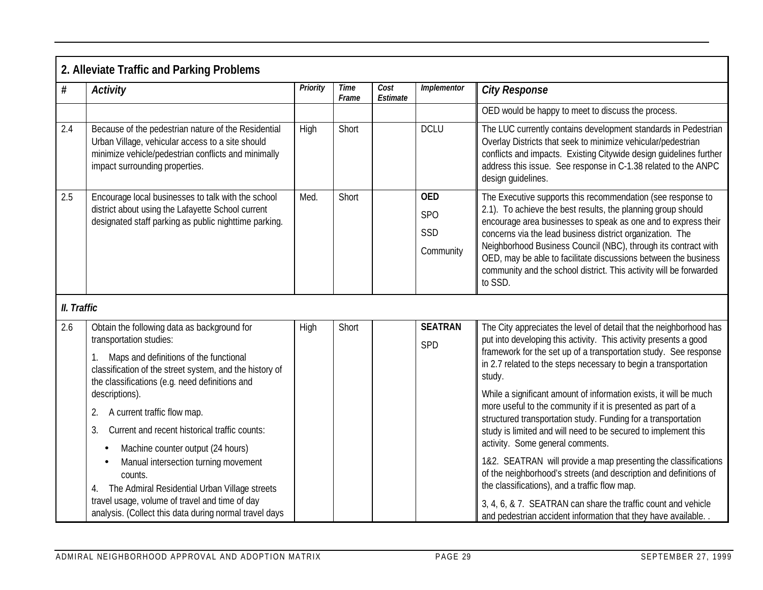|             | 2. Alleviate Traffic and Parking Problems                                                                                                                                                        |                 |               |                  |                                                                                                                                                                                      |                                                                                                                                                                                                                                                                                                                                                                                                                                                                                  |
|-------------|--------------------------------------------------------------------------------------------------------------------------------------------------------------------------------------------------|-----------------|---------------|------------------|--------------------------------------------------------------------------------------------------------------------------------------------------------------------------------------|----------------------------------------------------------------------------------------------------------------------------------------------------------------------------------------------------------------------------------------------------------------------------------------------------------------------------------------------------------------------------------------------------------------------------------------------------------------------------------|
| $\#$        | <b>Activity</b>                                                                                                                                                                                  | <b>Priority</b> | Time<br>Frame | Cost<br>Estimate | Implementor                                                                                                                                                                          | <b>City Response</b>                                                                                                                                                                                                                                                                                                                                                                                                                                                             |
|             |                                                                                                                                                                                                  |                 |               |                  |                                                                                                                                                                                      | OED would be happy to meet to discuss the process.                                                                                                                                                                                                                                                                                                                                                                                                                               |
| 2.4         | Because of the pedestrian nature of the Residential<br>Urban Village, vehicular access to a site should<br>minimize vehicle/pedestrian conflicts and minimally<br>impact surrounding properties. | High            | Short         |                  | <b>DCLU</b>                                                                                                                                                                          | The LUC currently contains development standards in Pedestrian<br>Overlay Districts that seek to minimize vehicular/pedestrian<br>conflicts and impacts. Existing Citywide design guidelines further<br>address this issue. See response in C-1.38 related to the ANPC<br>design guidelines.                                                                                                                                                                                     |
| 2.5         | Encourage local businesses to talk with the school<br>district about using the Lafayette School current<br>designated staff parking as public nighttime parking.                                 | Med.            | Short         |                  | <b>OED</b><br>SP <sub>O</sub><br>SSD<br>Community                                                                                                                                    | The Executive supports this recommendation (see response to<br>2.1). To achieve the best results, the planning group should<br>encourage area businesses to speak as one and to express their<br>concerns via the lead business district organization. The<br>Neighborhood Business Council (NBC), through its contract with<br>OED, may be able to facilitate discussions between the business<br>community and the school district. This activity will be forwarded<br>to SSD. |
| II. Traffic |                                                                                                                                                                                                  |                 |               |                  |                                                                                                                                                                                      |                                                                                                                                                                                                                                                                                                                                                                                                                                                                                  |
| 2.6         | Obtain the following data as background for<br>transportation studies:                                                                                                                           | High            | Short         |                  | <b>SEATRAN</b>                                                                                                                                                                       | The City appreciates the level of detail that the neighborhood has<br>put into developing this activity. This activity presents a good                                                                                                                                                                                                                                                                                                                                           |
|             | Maps and definitions of the functional<br>classification of the street system, and the history of<br>the classifications (e.g. need definitions and                                              |                 |               |                  | SPD                                                                                                                                                                                  | framework for the set up of a transportation study. See response<br>in 2.7 related to the steps necessary to begin a transportation<br>study.                                                                                                                                                                                                                                                                                                                                    |
|             | descriptions).                                                                                                                                                                                   |                 |               |                  |                                                                                                                                                                                      | While a significant amount of information exists, it will be much                                                                                                                                                                                                                                                                                                                                                                                                                |
|             | A current traffic flow map.<br>2.                                                                                                                                                                |                 |               |                  |                                                                                                                                                                                      | more useful to the community if it is presented as part of a<br>structured transportation study. Funding for a transportation                                                                                                                                                                                                                                                                                                                                                    |
|             | Current and recent historical traffic counts:<br>3.                                                                                                                                              |                 |               |                  |                                                                                                                                                                                      | study is limited and will need to be secured to implement this                                                                                                                                                                                                                                                                                                                                                                                                                   |
|             | Machine counter output (24 hours)<br>٠                                                                                                                                                           |                 |               |                  |                                                                                                                                                                                      | activity. Some general comments.                                                                                                                                                                                                                                                                                                                                                                                                                                                 |
|             | Manual intersection turning movement<br>counts.<br>The Admiral Residential Urban Village streets<br>4.                                                                                           |                 |               |                  | 1&2. SEATRAN will provide a map presenting the classifications<br>of the neighborhood's streets (and description and definitions of<br>the classifications), and a traffic flow map. |                                                                                                                                                                                                                                                                                                                                                                                                                                                                                  |
|             | travel usage, volume of travel and time of day<br>analysis. (Collect this data during normal travel days                                                                                         |                 |               |                  |                                                                                                                                                                                      | 3, 4, 6, & 7. SEATRAN can share the traffic count and vehicle<br>and pedestrian accident information that they have available.                                                                                                                                                                                                                                                                                                                                                   |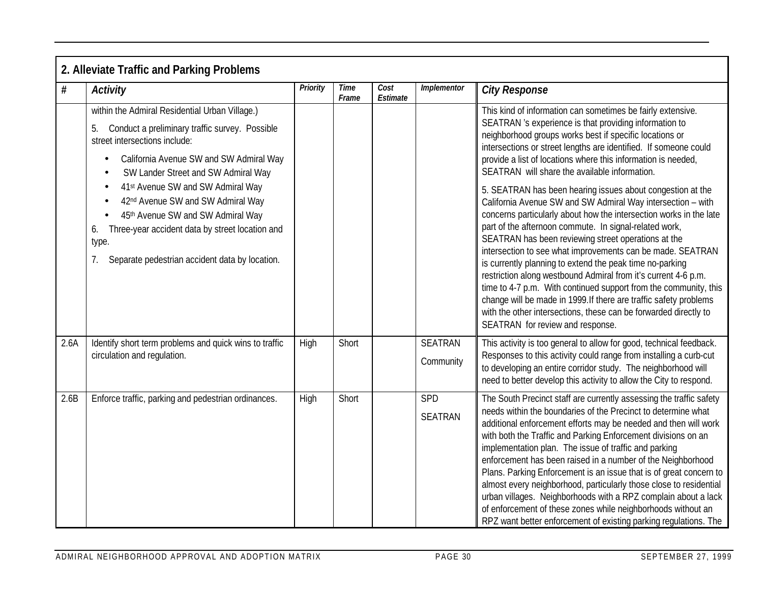|      | 2. Alleviate Traffic and Parking Problems                                                                                                                                                                                                                                                                                                                                                                                                                                                                                   |          |               |                  |                             |                                                                                                                                                                                                                                                                                                                                                                                                                                                                                                                                                                                                                                                                                                                                                                                                                                                                                                                                                                                                                                                                                                                                        |  |  |  |  |
|------|-----------------------------------------------------------------------------------------------------------------------------------------------------------------------------------------------------------------------------------------------------------------------------------------------------------------------------------------------------------------------------------------------------------------------------------------------------------------------------------------------------------------------------|----------|---------------|------------------|-----------------------------|----------------------------------------------------------------------------------------------------------------------------------------------------------------------------------------------------------------------------------------------------------------------------------------------------------------------------------------------------------------------------------------------------------------------------------------------------------------------------------------------------------------------------------------------------------------------------------------------------------------------------------------------------------------------------------------------------------------------------------------------------------------------------------------------------------------------------------------------------------------------------------------------------------------------------------------------------------------------------------------------------------------------------------------------------------------------------------------------------------------------------------------|--|--|--|--|
| #    | <b>Activity</b>                                                                                                                                                                                                                                                                                                                                                                                                                                                                                                             | Priority | Time<br>Frame | Cost<br>Estimate | Implementor                 | <b>City Response</b>                                                                                                                                                                                                                                                                                                                                                                                                                                                                                                                                                                                                                                                                                                                                                                                                                                                                                                                                                                                                                                                                                                                   |  |  |  |  |
|      | within the Admiral Residential Urban Village.)<br>Conduct a preliminary traffic survey. Possible<br>street intersections include:<br>California Avenue SW and SW Admiral Way<br>SW Lander Street and SW Admiral Way<br>$\bullet$<br>41 <sup>st</sup> Avenue SW and SW Admiral Way<br>$\bullet$<br>42 <sup>nd</sup> Avenue SW and SW Admiral Way<br>$\bullet$<br>45th Avenue SW and SW Admiral Way<br>Three-year accident data by street location and<br>6.<br>type.<br>Separate pedestrian accident data by location.<br>7. |          |               |                  |                             | This kind of information can sometimes be fairly extensive.<br>SEATRAN 's experience is that providing information to<br>neighborhood groups works best if specific locations or<br>intersections or street lengths are identified. If someone could<br>provide a list of locations where this information is needed<br>SEATRAN will share the available information.<br>5. SEATRAN has been hearing issues about congestion at the<br>California Avenue SW and SW Admiral Way intersection - with<br>concerns particularly about how the intersection works in the late<br>part of the afternoon commute. In signal-related work,<br>SEATRAN has been reviewing street operations at the<br>intersection to see what improvements can be made. SEATRAN<br>is currently planning to extend the peak time no-parking<br>restriction along westbound Admiral from it's current 4-6 p.m.<br>time to 4-7 p.m. With continued support from the community, this<br>change will be made in 1999. If there are traffic safety problems<br>with the other intersections, these can be forwarded directly to<br>SEATRAN for review and response. |  |  |  |  |
| 2.6A | Identify short term problems and quick wins to traffic<br>circulation and regulation.                                                                                                                                                                                                                                                                                                                                                                                                                                       | High     | Short         |                  | <b>SEATRAN</b><br>Community | This activity is too general to allow for good, technical feedback.<br>Responses to this activity could range from installing a curb-cut<br>to developing an entire corridor study. The neighborhood will<br>need to better develop this activity to allow the City to respond.                                                                                                                                                                                                                                                                                                                                                                                                                                                                                                                                                                                                                                                                                                                                                                                                                                                        |  |  |  |  |
| 2.6B | Enforce traffic, parking and pedestrian ordinances.                                                                                                                                                                                                                                                                                                                                                                                                                                                                         | High     | Short         |                  | SPD<br><b>SEATRAN</b>       | The South Precinct staff are currently assessing the traffic safety<br>needs within the boundaries of the Precinct to determine what<br>additional enforcement efforts may be needed and then will work<br>with both the Traffic and Parking Enforcement divisions on an<br>implementation plan. The issue of traffic and parking<br>enforcement has been raised in a number of the Neighborhood<br>Plans. Parking Enforcement is an issue that is of great concern to<br>almost every neighborhood, particularly those close to residential<br>urban villages. Neighborhoods with a RPZ complain about a lack<br>of enforcement of these zones while neighborhoods without an<br>RPZ want better enforcement of existing parking regulations. The                                                                                                                                                                                                                                                                                                                                                                                     |  |  |  |  |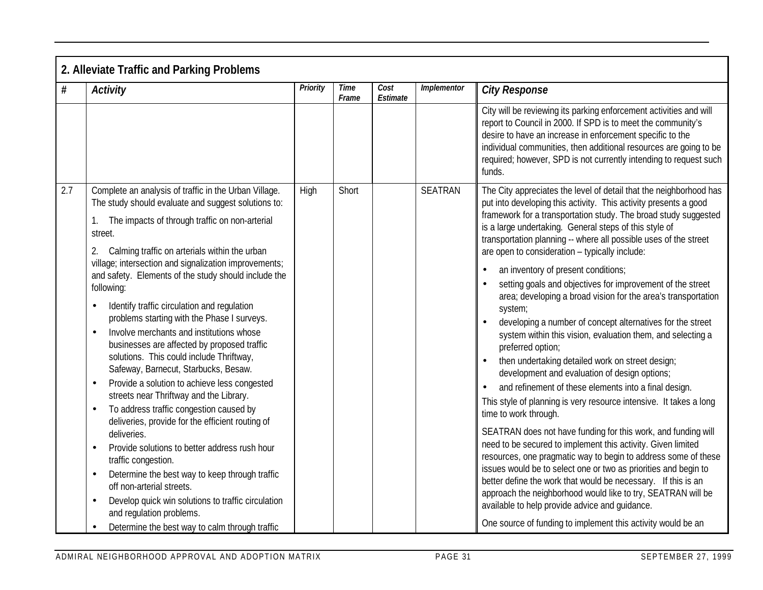|     | 2. Alleviate Traffic and Parking Problems                                                                                                                                                                                                                                                                                                                                                                                                                                                                                                                                                                                                                                                                                                                                                                                                                                                                                                                                                                                                                                                                                                                                                                                      |          |               |                  |                |                                                                                                                                                                                                                                                                                                                                                                                                                                                                                                                                                                                                                                                                                                                                                                                                                                                                                                                                                                                                                                                                                                                                                                                                                                                                                                                                                                                                                                                                                                                    |  |  |  |  |  |
|-----|--------------------------------------------------------------------------------------------------------------------------------------------------------------------------------------------------------------------------------------------------------------------------------------------------------------------------------------------------------------------------------------------------------------------------------------------------------------------------------------------------------------------------------------------------------------------------------------------------------------------------------------------------------------------------------------------------------------------------------------------------------------------------------------------------------------------------------------------------------------------------------------------------------------------------------------------------------------------------------------------------------------------------------------------------------------------------------------------------------------------------------------------------------------------------------------------------------------------------------|----------|---------------|------------------|----------------|--------------------------------------------------------------------------------------------------------------------------------------------------------------------------------------------------------------------------------------------------------------------------------------------------------------------------------------------------------------------------------------------------------------------------------------------------------------------------------------------------------------------------------------------------------------------------------------------------------------------------------------------------------------------------------------------------------------------------------------------------------------------------------------------------------------------------------------------------------------------------------------------------------------------------------------------------------------------------------------------------------------------------------------------------------------------------------------------------------------------------------------------------------------------------------------------------------------------------------------------------------------------------------------------------------------------------------------------------------------------------------------------------------------------------------------------------------------------------------------------------------------------|--|--|--|--|--|
| #   | <b>Activity</b>                                                                                                                                                                                                                                                                                                                                                                                                                                                                                                                                                                                                                                                                                                                                                                                                                                                                                                                                                                                                                                                                                                                                                                                                                | Priority | Time<br>Frame | Cost<br>Estimate | Implementor    | <b>City Response</b>                                                                                                                                                                                                                                                                                                                                                                                                                                                                                                                                                                                                                                                                                                                                                                                                                                                                                                                                                                                                                                                                                                                                                                                                                                                                                                                                                                                                                                                                                               |  |  |  |  |  |
|     |                                                                                                                                                                                                                                                                                                                                                                                                                                                                                                                                                                                                                                                                                                                                                                                                                                                                                                                                                                                                                                                                                                                                                                                                                                |          |               |                  |                | City will be reviewing its parking enforcement activities and will<br>report to Council in 2000. If SPD is to meet the community's<br>desire to have an increase in enforcement specific to the<br>individual communities, then additional resources are going to be<br>required; however, SPD is not currently intending to request such<br>funds.                                                                                                                                                                                                                                                                                                                                                                                                                                                                                                                                                                                                                                                                                                                                                                                                                                                                                                                                                                                                                                                                                                                                                                |  |  |  |  |  |
| 2.7 | Complete an analysis of traffic in the Urban Village.<br>The study should evaluate and suggest solutions to:<br>The impacts of through traffic on non-arterial<br>street.<br>Calming traffic on arterials within the urban<br>2.<br>village; intersection and signalization improvements;<br>and safety. Elements of the study should include the<br>following:<br>Identify traffic circulation and regulation<br>problems starting with the Phase I surveys.<br>Involve merchants and institutions whose<br>$\bullet$<br>businesses are affected by proposed traffic<br>solutions. This could include Thriftway,<br>Safeway, Barnecut, Starbucks, Besaw.<br>Provide a solution to achieve less congested<br>$\bullet$<br>streets near Thriftway and the Library.<br>To address traffic congestion caused by<br>$\bullet$<br>deliveries, provide for the efficient routing of<br>deliveries.<br>Provide solutions to better address rush hour<br>$\bullet$<br>traffic congestion.<br>Determine the best way to keep through traffic<br>$\bullet$<br>off non-arterial streets.<br>Develop quick win solutions to traffic circulation<br>$\bullet$<br>and regulation problems.<br>Determine the best way to calm through traffic | High     | Short         |                  | <b>SEATRAN</b> | The City appreciates the level of detail that the neighborhood has<br>put into developing this activity. This activity presents a good<br>framework for a transportation study. The broad study suggested<br>is a large undertaking. General steps of this style of<br>transportation planning -- where all possible uses of the street<br>are open to consideration - typically include:<br>an inventory of present conditions;<br>setting goals and objectives for improvement of the street<br>area; developing a broad vision for the area's transportation<br>system;<br>developing a number of concept alternatives for the street<br>system within this vision, evaluation them, and selecting a<br>preferred option;<br>then undertaking detailed work on street design;<br>development and evaluation of design options;<br>and refinement of these elements into a final design.<br>This style of planning is very resource intensive. It takes a long<br>time to work through.<br>SEATRAN does not have funding for this work, and funding will<br>need to be secured to implement this activity. Given limited<br>resources, one pragmatic way to begin to address some of these<br>issues would be to select one or two as priorities and begin to<br>better define the work that would be necessary. If this is an<br>approach the neighborhood would like to try, SEATRAN will be<br>available to help provide advice and quidance.<br>One source of funding to implement this activity would be an |  |  |  |  |  |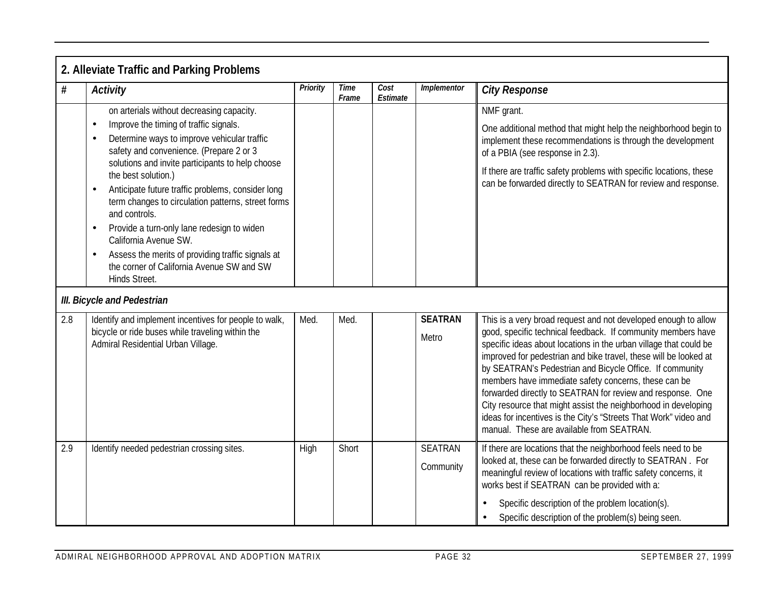|     | 2. Alleviate Traffic and Parking Problems                                                                                                                                                                                                                                                                                                                                                                                                                                                                                                                                                                                                       |          |                      |                                        |                             |                                                                                                                                                                                                                                                                                                                                                                                                                                                                                                                                                                                                                                              |  |  |  |
|-----|-------------------------------------------------------------------------------------------------------------------------------------------------------------------------------------------------------------------------------------------------------------------------------------------------------------------------------------------------------------------------------------------------------------------------------------------------------------------------------------------------------------------------------------------------------------------------------------------------------------------------------------------------|----------|----------------------|----------------------------------------|-----------------------------|----------------------------------------------------------------------------------------------------------------------------------------------------------------------------------------------------------------------------------------------------------------------------------------------------------------------------------------------------------------------------------------------------------------------------------------------------------------------------------------------------------------------------------------------------------------------------------------------------------------------------------------------|--|--|--|
| #   | <b>Activity</b>                                                                                                                                                                                                                                                                                                                                                                                                                                                                                                                                                                                                                                 | Priority | <b>Time</b><br>Frame | $\overline{\mathit{Cost}}$<br>Estimate | <b>Implementor</b>          | <b>City Response</b>                                                                                                                                                                                                                                                                                                                                                                                                                                                                                                                                                                                                                         |  |  |  |
|     | on arterials without decreasing capacity.<br>Improve the timing of traffic signals.<br>$\bullet$<br>Determine ways to improve vehicular traffic<br>$\bullet$<br>safety and convenience. (Prepare 2 or 3<br>solutions and invite participants to help choose<br>the best solution.)<br>Anticipate future traffic problems, consider long<br>$\bullet$<br>term changes to circulation patterns, street forms<br>and controls.<br>Provide a turn-only lane redesign to widen<br>$\bullet$<br>California Avenue SW.<br>Assess the merits of providing traffic signals at<br>$\bullet$<br>the corner of California Avenue SW and SW<br>Hinds Street. |          |                      |                                        |                             | NMF grant.<br>One additional method that might help the neighborhood begin to<br>implement these recommendations is through the development<br>of a PBIA (see response in 2.3).<br>If there are traffic safety problems with specific locations, these<br>can be forwarded directly to SEATRAN for review and response.                                                                                                                                                                                                                                                                                                                      |  |  |  |
|     | III. Bicycle and Pedestrian                                                                                                                                                                                                                                                                                                                                                                                                                                                                                                                                                                                                                     |          |                      |                                        |                             |                                                                                                                                                                                                                                                                                                                                                                                                                                                                                                                                                                                                                                              |  |  |  |
| 2.8 | Identify and implement incentives for people to walk,<br>bicycle or ride buses while traveling within the<br>Admiral Residential Urban Village.                                                                                                                                                                                                                                                                                                                                                                                                                                                                                                 | Med.     | Med.                 |                                        | <b>SEATRAN</b><br>Metro     | This is a very broad request and not developed enough to allow<br>good, specific technical feedback. If community members have<br>specific ideas about locations in the urban village that could be<br>improved for pedestrian and bike travel, these will be looked at<br>by SEATRAN's Pedestrian and Bicycle Office. If community<br>members have immediate safety concerns, these can be<br>forwarded directly to SEATRAN for review and response. One<br>City resource that might assist the neighborhood in developing<br>ideas for incentives is the City's "Streets That Work" video and<br>manual. These are available from SEATRAN. |  |  |  |
| 2.9 | Identify needed pedestrian crossing sites.                                                                                                                                                                                                                                                                                                                                                                                                                                                                                                                                                                                                      | High     | Short                |                                        | <b>SEATRAN</b><br>Community | If there are locations that the neighborhood feels need to be<br>looked at, these can be forwarded directly to SEATRAN. For<br>meaningful review of locations with traffic safety concerns, it<br>works best if SEATRAN can be provided with a:<br>Specific description of the problem location(s).<br>Specific description of the problem(s) being seen.<br>$\bullet$                                                                                                                                                                                                                                                                       |  |  |  |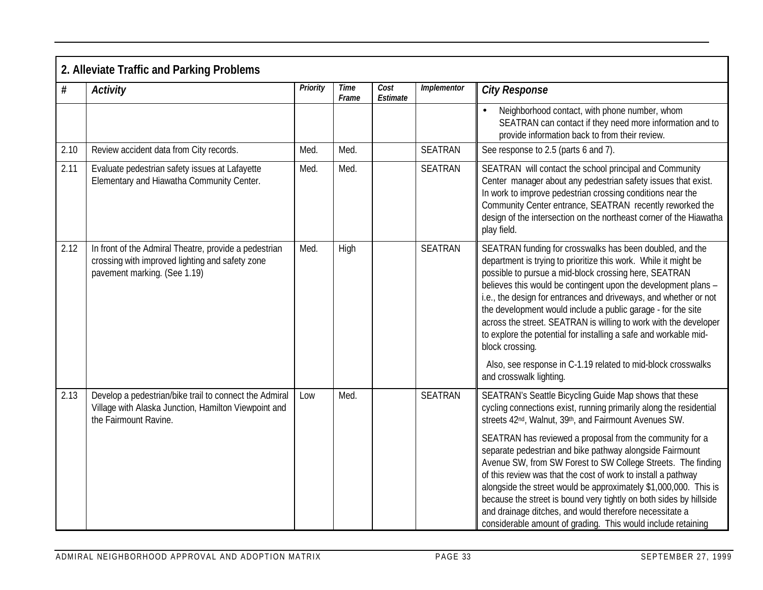|      | 2. Alleviate Traffic and Parking Problems                                                                                                |          |                      |                  |                |                                                                                                                                                                                                                                                                                                                                                                                                                                                                                                                                                                                                                                                  |  |  |  |  |  |
|------|------------------------------------------------------------------------------------------------------------------------------------------|----------|----------------------|------------------|----------------|--------------------------------------------------------------------------------------------------------------------------------------------------------------------------------------------------------------------------------------------------------------------------------------------------------------------------------------------------------------------------------------------------------------------------------------------------------------------------------------------------------------------------------------------------------------------------------------------------------------------------------------------------|--|--|--|--|--|
| #    | <b>Activity</b>                                                                                                                          | Priority | <b>Time</b><br>Frame | Cost<br>Estimate | Implementor    | <b>City Response</b>                                                                                                                                                                                                                                                                                                                                                                                                                                                                                                                                                                                                                             |  |  |  |  |  |
|      |                                                                                                                                          |          |                      |                  |                | Neighborhood contact, with phone number, whom<br>SEATRAN can contact if they need more information and to<br>provide information back to from their review.                                                                                                                                                                                                                                                                                                                                                                                                                                                                                      |  |  |  |  |  |
| 2.10 | Review accident data from City records.                                                                                                  | Med.     | Med.                 |                  | <b>SEATRAN</b> | See response to 2.5 (parts 6 and 7).                                                                                                                                                                                                                                                                                                                                                                                                                                                                                                                                                                                                             |  |  |  |  |  |
| 2.11 | Evaluate pedestrian safety issues at Lafayette<br>Elementary and Hiawatha Community Center.                                              | Med.     | Med.                 |                  | <b>SEATRAN</b> | SEATRAN will contact the school principal and Community<br>Center manager about any pedestrian safety issues that exist.<br>In work to improve pedestrian crossing conditions near the<br>Community Center entrance, SEATRAN recently reworked the<br>design of the intersection on the northeast corner of the Hiawatha<br>play field.                                                                                                                                                                                                                                                                                                          |  |  |  |  |  |
| 2.12 | In front of the Admiral Theatre, provide a pedestrian<br>crossing with improved lighting and safety zone<br>pavement marking. (See 1.19) | Med.     | High                 |                  | <b>SEATRAN</b> | SEATRAN funding for crosswalks has been doubled, and the<br>department is trying to prioritize this work. While it might be<br>possible to pursue a mid-block crossing here, SEATRAN<br>believes this would be contingent upon the development plans -<br>i.e., the design for entrances and driveways, and whether or not<br>the development would include a public garage - for the site<br>across the street. SEATRAN is willing to work with the developer<br>to explore the potential for installing a safe and workable mid-<br>block crossing.<br>Also, see response in C-1.19 related to mid-block crosswalks<br>and crosswalk lighting. |  |  |  |  |  |
| 2.13 | Develop a pedestrian/bike trail to connect the Admiral<br>Village with Alaska Junction, Hamilton Viewpoint and<br>the Fairmount Ravine.  | Low      | Med.                 |                  | <b>SEATRAN</b> | SEATRAN's Seattle Bicycling Guide Map shows that these<br>cycling connections exist, running primarily along the residential<br>streets 42nd, Walnut, 39th, and Fairmount Avenues SW.<br>SEATRAN has reviewed a proposal from the community for a                                                                                                                                                                                                                                                                                                                                                                                                |  |  |  |  |  |
|      |                                                                                                                                          |          |                      |                  |                | separate pedestrian and bike pathway alongside Fairmount<br>Avenue SW, from SW Forest to SW College Streets. The finding<br>of this review was that the cost of work to install a pathway<br>alongside the street would be approximately \$1,000,000. This is<br>because the street is bound very tightly on both sides by hillside<br>and drainage ditches, and would therefore necessitate a<br>considerable amount of grading. This would include retaining                                                                                                                                                                                   |  |  |  |  |  |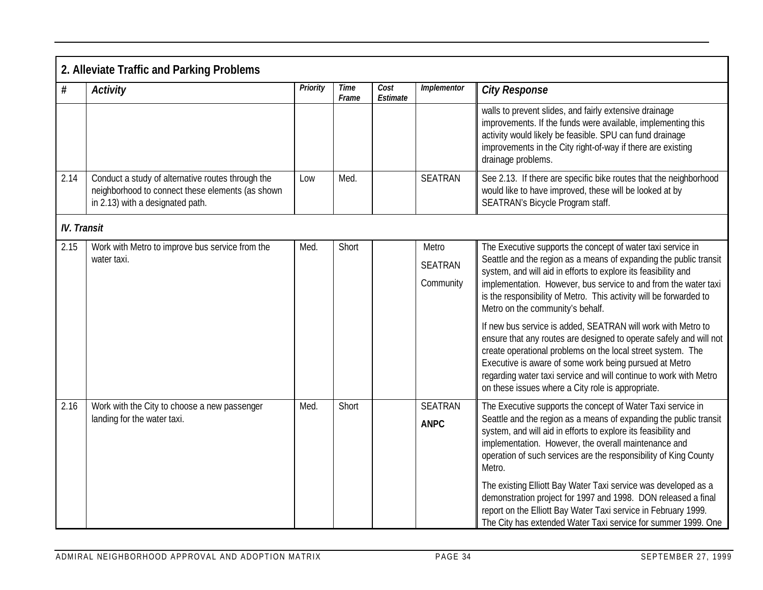|                    | 2. Alleviate Traffic and Parking Problems                                                                                                 |          |                      |                  |                                      |                                                                                                                                                                                                                                                                                                                                                                                                                                                                                                                                                                                                                                                                                                                                                                          |  |  |  |  |  |
|--------------------|-------------------------------------------------------------------------------------------------------------------------------------------|----------|----------------------|------------------|--------------------------------------|--------------------------------------------------------------------------------------------------------------------------------------------------------------------------------------------------------------------------------------------------------------------------------------------------------------------------------------------------------------------------------------------------------------------------------------------------------------------------------------------------------------------------------------------------------------------------------------------------------------------------------------------------------------------------------------------------------------------------------------------------------------------------|--|--|--|--|--|
| #                  | Activity                                                                                                                                  | Priority | <b>Time</b><br>Frame | Cost<br>Estimate | Implementor                          | <b>City Response</b>                                                                                                                                                                                                                                                                                                                                                                                                                                                                                                                                                                                                                                                                                                                                                     |  |  |  |  |  |
|                    |                                                                                                                                           |          |                      |                  |                                      | walls to prevent slides, and fairly extensive drainage<br>improvements. If the funds were available, implementing this<br>activity would likely be feasible. SPU can fund drainage<br>improvements in the City right-of-way if there are existing<br>drainage problems.                                                                                                                                                                                                                                                                                                                                                                                                                                                                                                  |  |  |  |  |  |
| 2.14               | Conduct a study of alternative routes through the<br>neighborhood to connect these elements (as shown<br>in 2.13) with a designated path. | Low      | Med.                 |                  | <b>SEATRAN</b>                       | See 2.13. If there are specific bike routes that the neighborhood<br>would like to have improved, these will be looked at by<br>SEATRAN's Bicycle Program staff.                                                                                                                                                                                                                                                                                                                                                                                                                                                                                                                                                                                                         |  |  |  |  |  |
| <b>IV.</b> Transit |                                                                                                                                           |          |                      |                  |                                      |                                                                                                                                                                                                                                                                                                                                                                                                                                                                                                                                                                                                                                                                                                                                                                          |  |  |  |  |  |
| 2.15               | Work with Metro to improve bus service from the<br>water taxi.                                                                            | Med.     | Short                |                  | Metro<br><b>SEATRAN</b><br>Community | The Executive supports the concept of water taxi service in<br>Seattle and the region as a means of expanding the public transit<br>system, and will aid in efforts to explore its feasibility and<br>implementation. However, bus service to and from the water taxi<br>is the responsibility of Metro. This activity will be forwarded to<br>Metro on the community's behalf.<br>If new bus service is added, SEATRAN will work with Metro to<br>ensure that any routes are designed to operate safely and will not<br>create operational problems on the local street system. The<br>Executive is aware of some work being pursued at Metro<br>regarding water taxi service and will continue to work with Metro<br>on these issues where a City role is appropriate. |  |  |  |  |  |
| 2.16               | Work with the City to choose a new passenger<br>landing for the water taxi.                                                               | Med.     | Short                |                  | <b>SEATRAN</b><br><b>ANPC</b>        | The Executive supports the concept of Water Taxi service in<br>Seattle and the region as a means of expanding the public transit<br>system, and will aid in efforts to explore its feasibility and<br>implementation. However, the overall maintenance and<br>operation of such services are the responsibility of King County<br>Metro.<br>The existing Elliott Bay Water Taxi service was developed as a<br>demonstration project for 1997 and 1998. DON released a final<br>report on the Elliott Bay Water Taxi service in February 1999.<br>The City has extended Water Taxi service for summer 1999. One                                                                                                                                                           |  |  |  |  |  |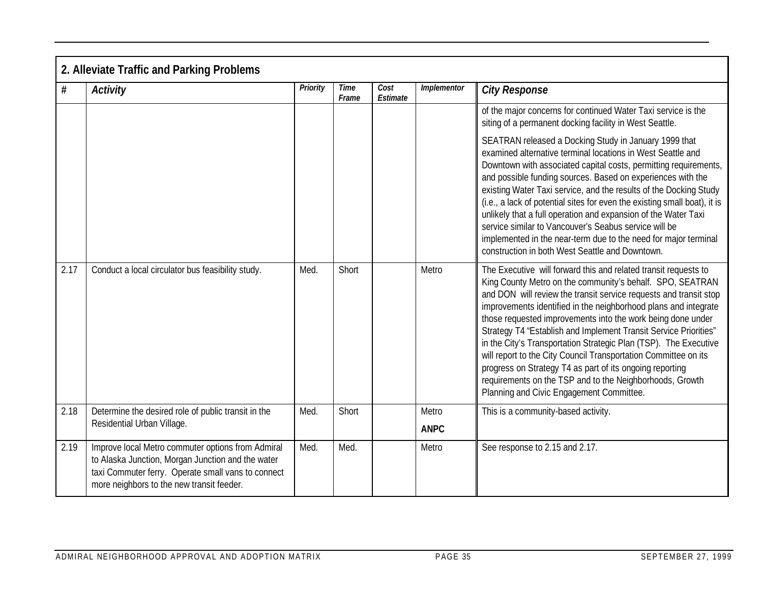|      | 2. Alleviate Traffic and Parking Problems                                                                                                                                                                 |          |                      |                  |                      |                                                                                                                                                                                                                                                                                                                                                                                                                                                                                                                                                                                                                                                                                                                    |
|------|-----------------------------------------------------------------------------------------------------------------------------------------------------------------------------------------------------------|----------|----------------------|------------------|----------------------|--------------------------------------------------------------------------------------------------------------------------------------------------------------------------------------------------------------------------------------------------------------------------------------------------------------------------------------------------------------------------------------------------------------------------------------------------------------------------------------------------------------------------------------------------------------------------------------------------------------------------------------------------------------------------------------------------------------------|
| $\#$ | <b>Activity</b>                                                                                                                                                                                           | Priority | <b>Time</b><br>Frame | Cost<br>Estimate | Implementor          | <b>City Response</b>                                                                                                                                                                                                                                                                                                                                                                                                                                                                                                                                                                                                                                                                                               |
|      |                                                                                                                                                                                                           |          |                      |                  |                      | of the major concerns for continued Water Taxi service is the<br>siting of a permanent docking facility in West Seattle.                                                                                                                                                                                                                                                                                                                                                                                                                                                                                                                                                                                           |
|      |                                                                                                                                                                                                           |          |                      |                  |                      | SEATRAN released a Docking Study in January 1999 that<br>examined alternative terminal locations in West Seattle and<br>Downtown with associated capital costs, permitting requirements,<br>and possible funding sources. Based on experiences with the<br>existing Water Taxi service, and the results of the Docking Study<br>(i.e., a lack of potential sites for even the existing small boat), it is<br>unlikely that a full operation and expansion of the Water Taxi<br>service similar to Vancouver's Seabus service will be<br>implemented in the near-term due to the need for major terminal<br>construction in both West Seattle and Downtown.                                                         |
| 2.17 | Conduct a local circulator bus feasibility study.                                                                                                                                                         | Med.     | Short                |                  | Metro                | The Executive will forward this and related transit requests to<br>King County Metro on the community's behalf. SPO, SEATRAN<br>and DON will review the transit service requests and transit stop<br>improvements identified in the neighborhood plans and integrate<br>those requested improvements into the work being done under<br>Strategy T4 "Establish and Implement Transit Service Priorities"<br>in the City's Transportation Strategic Plan (TSP). The Executive<br>will report to the City Council Transportation Committee on its<br>progress on Strategy T4 as part of its ongoing reporting<br>requirements on the TSP and to the Neighborhoods, Growth<br>Planning and Civic Engagement Committee. |
| 2.18 | Determine the desired role of public transit in the<br>Residential Urban Village.                                                                                                                         | Med.     | Short                |                  | Metro<br><b>ANPC</b> | This is a community-based activity.                                                                                                                                                                                                                                                                                                                                                                                                                                                                                                                                                                                                                                                                                |
| 2.19 | Improve local Metro commuter options from Admiral<br>to Alaska Junction, Morgan Junction and the water<br>taxi Commuter ferry. Operate small vans to connect<br>more neighbors to the new transit feeder. | Med.     | Med.                 |                  | Metro                | See response to 2.15 and 2.17.                                                                                                                                                                                                                                                                                                                                                                                                                                                                                                                                                                                                                                                                                     |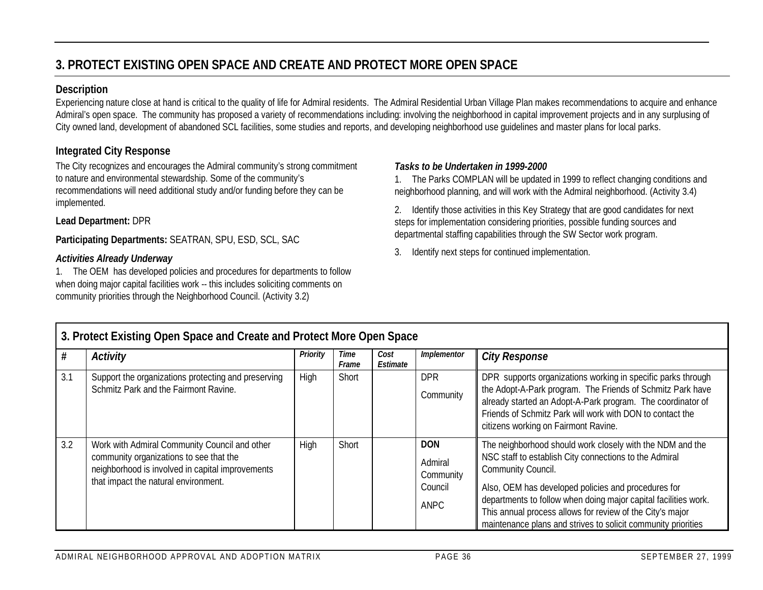# **3. PROTECT EXISTING OPEN SPACE AND CREATE AND PROTECT MORE OPEN SPACE**

#### **Description**

Experiencing nature close at hand is critical to the quality of life for Admiral residents. The Admiral Residential Urban Village Plan makes recommendations to acquire and enhance Admiral's open space. The community has proposed a variety of recommendations including: involving the neighborhood in capital improvement projects and in any surplusing of City owned land, development of abandoned SCL facilities, some studies and reports, and developing neighborhood use guidelines and master plans for local parks.

#### **Integrated City Response**

The City recognizes and encourages the Admiral community's strong commitment to nature and environmental stewardship. Some of the community's recommendations will need additional study and/or funding before they can be implemented.

#### **Lead Department:** DPR

**Participating Departments:** SEATRAN, SPU, ESD, SCL, SAC

#### *Activities Already Underway*

1. The OEM has developed policies and procedures for departments to follow when doing major capital facilities work -- this includes soliciting comments on community priorities through the Neighborhood Council. (Activity 3.2)

#### *Tasks to be Undertaken in 1999-2000*

1. The Parks COMPLAN will be updated in 1999 to reflect changing conditions and neighborhood planning, and will work with the Admiral neighborhood. (Activity 3.4)

2. Identify those activities in this Key Strategy that are good candidates for next steps for implementation considering priorities, possible funding sources and departmental staffing capabilities through the SW Sector work program.

3. Identify next steps for continued implementation.

|     | 3. Protect Existing Open Space and Create and Protect More Open Space                                                                                                                |          |               |                  |                                                       |                                                                                                                                                                                                                                                                                                                                                                                                   |  |  |  |  |  |  |
|-----|--------------------------------------------------------------------------------------------------------------------------------------------------------------------------------------|----------|---------------|------------------|-------------------------------------------------------|---------------------------------------------------------------------------------------------------------------------------------------------------------------------------------------------------------------------------------------------------------------------------------------------------------------------------------------------------------------------------------------------------|--|--|--|--|--|--|
|     | Activity                                                                                                                                                                             | Priority | Time<br>Frame | Cost<br>Estimate | Implementor                                           | <b>City Response</b>                                                                                                                                                                                                                                                                                                                                                                              |  |  |  |  |  |  |
| 3.1 | Support the organizations protecting and preserving<br>Schmitz Park and the Fairmont Ravine.                                                                                         | High     | Short         |                  | <b>DPR</b><br>Community                               | DPR supports organizations working in specific parks through<br>the Adopt-A-Park program. The Friends of Schmitz Park have<br>already started an Adopt-A-Park program. The coordinator of<br>Friends of Schmitz Park will work with DON to contact the<br>citizens working on Fairmont Ravine.                                                                                                    |  |  |  |  |  |  |
| 3.2 | Work with Admiral Community Council and other<br>community organizations to see that the<br>neighborhood is involved in capital improvements<br>that impact the natural environment. | High     | Short         |                  | <b>DON</b><br>Admiral<br>Community<br>Council<br>ANPC | The neighborhood should work closely with the NDM and the<br>NSC staff to establish City connections to the Admiral<br>Community Council.<br>Also, OEM has developed policies and procedures for<br>departments to follow when doing major capital facilities work.<br>This annual process allows for review of the City's major<br>maintenance plans and strives to solicit community priorities |  |  |  |  |  |  |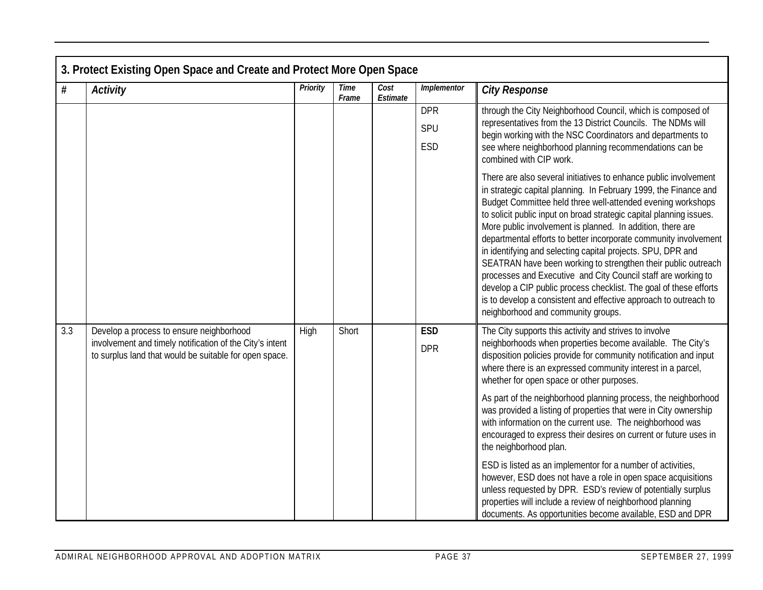|     | 3. Protect Existing Open Space and Create and Protect More Open Space                                              |          |                      |                  |             |                                                                                                                                                                                                                                                                                                                                                                                                                                                                                                                                                                                                                                                                                                                                                                                              |  |  |  |  |  |
|-----|--------------------------------------------------------------------------------------------------------------------|----------|----------------------|------------------|-------------|----------------------------------------------------------------------------------------------------------------------------------------------------------------------------------------------------------------------------------------------------------------------------------------------------------------------------------------------------------------------------------------------------------------------------------------------------------------------------------------------------------------------------------------------------------------------------------------------------------------------------------------------------------------------------------------------------------------------------------------------------------------------------------------------|--|--|--|--|--|
| #   | <b>Activity</b>                                                                                                    | Priority | <b>Time</b><br>Frame | Cost<br>Estimate | Implementor | <b>City Response</b>                                                                                                                                                                                                                                                                                                                                                                                                                                                                                                                                                                                                                                                                                                                                                                         |  |  |  |  |  |
|     |                                                                                                                    |          |                      |                  | <b>DPR</b>  | through the City Neighborhood Council, which is composed of                                                                                                                                                                                                                                                                                                                                                                                                                                                                                                                                                                                                                                                                                                                                  |  |  |  |  |  |
|     |                                                                                                                    |          |                      |                  | SPU         | representatives from the 13 District Councils. The NDMs will<br>begin working with the NSC Coordinators and departments to                                                                                                                                                                                                                                                                                                                                                                                                                                                                                                                                                                                                                                                                   |  |  |  |  |  |
|     |                                                                                                                    |          |                      |                  | ESD         | see where neighborhood planning recommendations can be<br>combined with CIP work.                                                                                                                                                                                                                                                                                                                                                                                                                                                                                                                                                                                                                                                                                                            |  |  |  |  |  |
|     |                                                                                                                    |          |                      |                  |             | There are also several initiatives to enhance public involvement<br>in strategic capital planning. In February 1999, the Finance and<br>Budget Committee held three well-attended evening workshops<br>to solicit public input on broad strategic capital planning issues.<br>More public involvement is planned. In addition, there are<br>departmental efforts to better incorporate community involvement<br>in identifying and selecting capital projects. SPU, DPR and<br>SEATRAN have been working to strengthen their public outreach<br>processes and Executive and City Council staff are working to<br>develop a CIP public process checklist. The goal of these efforts<br>is to develop a consistent and effective approach to outreach to<br>neighborhood and community groups. |  |  |  |  |  |
| 3.3 | Develop a process to ensure neighborhood                                                                           | High     | Short                |                  | <b>ESD</b>  | The City supports this activity and strives to involve                                                                                                                                                                                                                                                                                                                                                                                                                                                                                                                                                                                                                                                                                                                                       |  |  |  |  |  |
|     | involvement and timely notification of the City's intent<br>to surplus land that would be suitable for open space. |          |                      |                  | <b>DPR</b>  | neighborhoods when properties become available. The City's<br>disposition policies provide for community notification and input<br>where there is an expressed community interest in a parcel,<br>whether for open space or other purposes.                                                                                                                                                                                                                                                                                                                                                                                                                                                                                                                                                  |  |  |  |  |  |
|     |                                                                                                                    |          |                      |                  |             | As part of the neighborhood planning process, the neighborhood<br>was provided a listing of properties that were in City ownership<br>with information on the current use. The neighborhood was<br>encouraged to express their desires on current or future uses in<br>the neighborhood plan.                                                                                                                                                                                                                                                                                                                                                                                                                                                                                                |  |  |  |  |  |
|     |                                                                                                                    |          |                      |                  |             | ESD is listed as an implementor for a number of activities,<br>however, ESD does not have a role in open space acquisitions<br>unless requested by DPR. ESD's review of potentially surplus<br>properties will include a review of neighborhood planning<br>documents. As opportunities become available, ESD and DPR                                                                                                                                                                                                                                                                                                                                                                                                                                                                        |  |  |  |  |  |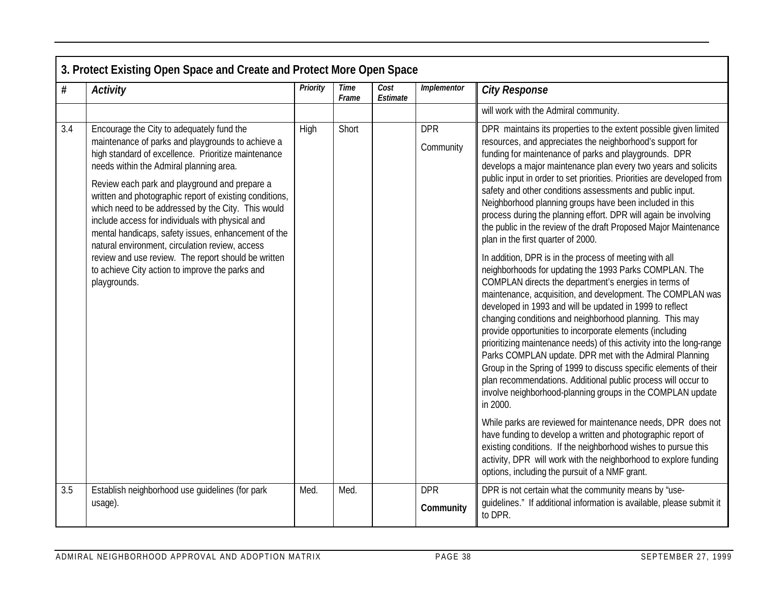| #   | <b>Activity</b>                                                                                                                                                                                                                                                                                                                                                                                                                                                                                                                  | Priority | <b>Time</b><br>Frame | Cost<br>Estimate | <i><u><b>Implementor</b></u></i> | <b>City Response</b>                                                                                                                                                                                                                                                                                                                                                                                                                                                                                                                                                                                                                                                                                                                                                          |
|-----|----------------------------------------------------------------------------------------------------------------------------------------------------------------------------------------------------------------------------------------------------------------------------------------------------------------------------------------------------------------------------------------------------------------------------------------------------------------------------------------------------------------------------------|----------|----------------------|------------------|----------------------------------|-------------------------------------------------------------------------------------------------------------------------------------------------------------------------------------------------------------------------------------------------------------------------------------------------------------------------------------------------------------------------------------------------------------------------------------------------------------------------------------------------------------------------------------------------------------------------------------------------------------------------------------------------------------------------------------------------------------------------------------------------------------------------------|
|     |                                                                                                                                                                                                                                                                                                                                                                                                                                                                                                                                  |          |                      |                  |                                  | will work with the Admiral community.                                                                                                                                                                                                                                                                                                                                                                                                                                                                                                                                                                                                                                                                                                                                         |
| 3.4 | Encourage the City to adequately fund the<br>maintenance of parks and playgrounds to achieve a<br>high standard of excellence. Prioritize maintenance<br>needs within the Admiral planning area.<br>Review each park and playground and prepare a<br>written and photographic report of existing conditions,<br>which need to be addressed by the City. This would<br>include access for individuals with physical and<br>mental handicaps, safety issues, enhancement of the<br>natural environment, circulation review, access | High     | Short                |                  | <b>DPR</b><br>Community          | DPR maintains its properties to the extent possible given limited<br>resources, and appreciates the neighborhood's support for<br>funding for maintenance of parks and playgrounds. DPR<br>develops a major maintenance plan every two years and solicits<br>public input in order to set priorities. Priorities are developed from<br>safety and other conditions assessments and public input.<br>Neighborhood planning groups have been included in this<br>process during the planning effort. DPR will again be involving<br>the public in the review of the draft Proposed Major Maintenance<br>plan in the first quarter of 2000.                                                                                                                                      |
|     | review and use review. The report should be written<br>to achieve City action to improve the parks and<br>playgrounds.                                                                                                                                                                                                                                                                                                                                                                                                           |          |                      |                  |                                  | In addition, DPR is in the process of meeting with all<br>neighborhoods for updating the 1993 Parks COMPLAN. The<br>COMPLAN directs the department's energies in terms of<br>maintenance, acquisition, and development. The COMPLAN was<br>developed in 1993 and will be updated in 1999 to reflect<br>changing conditions and neighborhood planning. This may<br>provide opportunities to incorporate elements (including<br>prioritizing maintenance needs) of this activity into the long-range<br>Parks COMPLAN update. DPR met with the Admiral Planning<br>Group in the Spring of 1999 to discuss specific elements of their<br>plan recommendations. Additional public process will occur to<br>involve neighborhood-planning groups in the COMPLAN update<br>in 2000. |
|     |                                                                                                                                                                                                                                                                                                                                                                                                                                                                                                                                  |          |                      |                  |                                  | While parks are reviewed for maintenance needs, DPR does not<br>have funding to develop a written and photographic report of<br>existing conditions. If the neighborhood wishes to pursue this<br>activity, DPR will work with the neighborhood to explore funding<br>options, including the pursuit of a NMF grant.                                                                                                                                                                                                                                                                                                                                                                                                                                                          |
| 3.5 | Establish neighborhood use quidelines (for park<br>usage).                                                                                                                                                                                                                                                                                                                                                                                                                                                                       | Med.     | Med.                 |                  | <b>DPR</b><br>Community          | DPR is not certain what the community means by 'use-<br>quidelines." If additional information is available, please submit it<br>to DPR.                                                                                                                                                                                                                                                                                                                                                                                                                                                                                                                                                                                                                                      |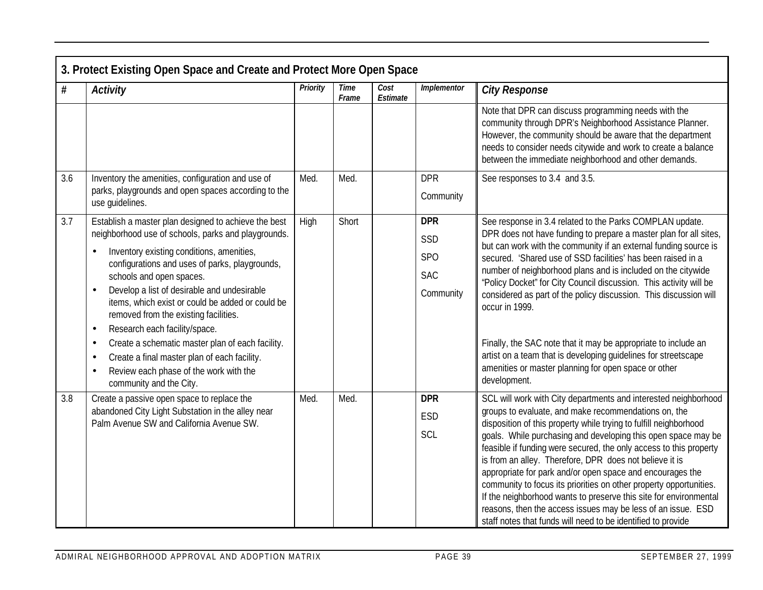|     | 3. Protect Existing Open Space and Create and Protect More Open Space                                                                                 |          |                      |                  |                   |                                                                                                                                                                                                                                                                                                          |  |  |  |  |
|-----|-------------------------------------------------------------------------------------------------------------------------------------------------------|----------|----------------------|------------------|-------------------|----------------------------------------------------------------------------------------------------------------------------------------------------------------------------------------------------------------------------------------------------------------------------------------------------------|--|--|--|--|
| #   | Activity                                                                                                                                              | Priority | <b>Time</b><br>Frame | Cost<br>Estimate | Implementor       | <b>City Response</b>                                                                                                                                                                                                                                                                                     |  |  |  |  |
|     |                                                                                                                                                       |          |                      |                  |                   | Note that DPR can discuss programming needs with the<br>community through DPR's Neighborhood Assistance Planner.<br>However, the community should be aware that the department<br>needs to consider needs citywide and work to create a balance<br>between the immediate neighborhood and other demands. |  |  |  |  |
| 3.6 | Inventory the amenities, configuration and use of                                                                                                     | Med.     | Med.                 |                  | <b>DPR</b>        | See responses to 3.4 and 3.5.                                                                                                                                                                                                                                                                            |  |  |  |  |
|     | parks, playgrounds and open spaces according to the<br>use quidelines.                                                                                |          |                      |                  | Community         |                                                                                                                                                                                                                                                                                                          |  |  |  |  |
| 3.7 | Establish a master plan designed to achieve the best<br>neighborhood use of schools, parks and playgrounds.                                           | High     | Short                |                  | <b>DPR</b><br>SSD | See response in 3.4 related to the Parks COMPLAN update.<br>DPR does not have funding to prepare a master plan for all sites,<br>but can work with the community if an external funding source is                                                                                                        |  |  |  |  |
|     | Inventory existing conditions, amenities,<br>$\bullet$<br>configurations and uses of parks, playgrounds,                                              |          |                      |                  | <b>SPO</b>        | secured. 'Shared use of SSD facilities' has been raised in a                                                                                                                                                                                                                                             |  |  |  |  |
|     | schools and open spaces.                                                                                                                              |          |                      |                  | <b>SAC</b>        | number of neighborhood plans and is included on the citywide<br>"Policy Docket" for City Council discussion. This activity will be                                                                                                                                                                       |  |  |  |  |
|     | Develop a list of desirable and undesirable<br>$\bullet$<br>items, which exist or could be added or could be<br>removed from the existing facilities. |          |                      |                  | Community         | considered as part of the policy discussion. This discussion will<br>occur in 1999.                                                                                                                                                                                                                      |  |  |  |  |
|     | Research each facility/space.<br>$\bullet$<br>Create a schematic master plan of each facility.<br>$\bullet$                                           |          |                      |                  |                   | Finally, the SAC note that it may be appropriate to include an                                                                                                                                                                                                                                           |  |  |  |  |
|     | Create a final master plan of each facility.<br>$\bullet$                                                                                             |          |                      |                  |                   | artist on a team that is developing guidelines for streetscape                                                                                                                                                                                                                                           |  |  |  |  |
|     | Review each phase of the work with the<br>$\bullet$<br>community and the City.                                                                        |          |                      |                  |                   | amenities or master planning for open space or other<br>development.                                                                                                                                                                                                                                     |  |  |  |  |
| 3.8 | Create a passive open space to replace the<br>abandoned City Light Substation in the alley near                                                       | Med.     | Med.                 |                  | <b>DPR</b>        | SCL will work with City departments and interested neighborhood<br>groups to evaluate, and make recommendations on, the                                                                                                                                                                                  |  |  |  |  |
|     | Palm Avenue SW and California Avenue SW.                                                                                                              |          |                      |                  | <b>ESD</b>        | disposition of this property while trying to fulfill neighborhood                                                                                                                                                                                                                                        |  |  |  |  |
|     |                                                                                                                                                       |          |                      |                  | SCL               | goals. While purchasing and developing this open space may be<br>feasible if funding were secured, the only access to this property                                                                                                                                                                      |  |  |  |  |
|     |                                                                                                                                                       |          |                      |                  |                   | is from an alley. Therefore, DPR does not believe it is<br>appropriate for park and/or open space and encourages the                                                                                                                                                                                     |  |  |  |  |
|     |                                                                                                                                                       |          |                      |                  |                   | community to focus its priorities on other property opportunities.                                                                                                                                                                                                                                       |  |  |  |  |
|     |                                                                                                                                                       |          |                      |                  |                   | If the neighborhood wants to preserve this site for environmental<br>reasons, then the access issues may be less of an issue. ESD                                                                                                                                                                        |  |  |  |  |
|     |                                                                                                                                                       |          |                      |                  |                   | staff notes that funds will need to be identified to provide                                                                                                                                                                                                                                             |  |  |  |  |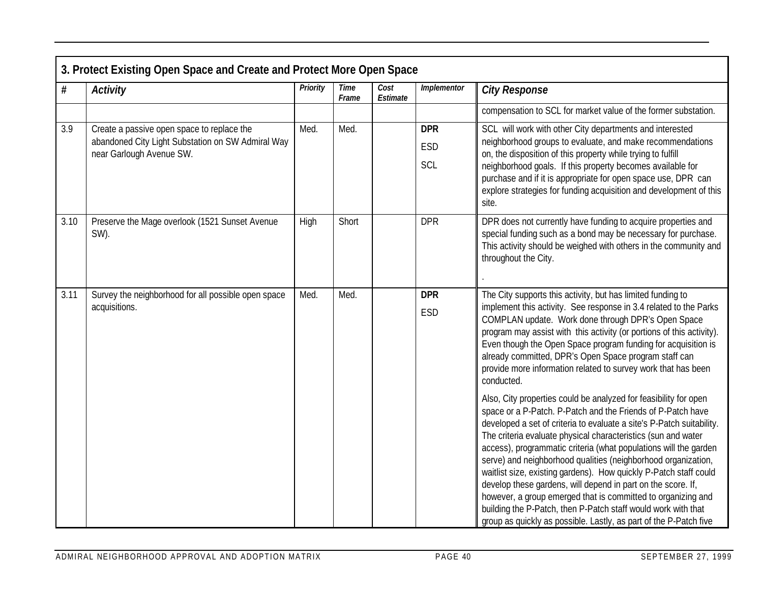|      | 3. Protect Existing Open Space and Create and Protect More Open Space                                                       |          |                      |                  |                          |                                                                                                                                                                                                                                                                                                                                                                                                                                                                                                                                                                                                                                                                                                                                                           |  |  |  |  |
|------|-----------------------------------------------------------------------------------------------------------------------------|----------|----------------------|------------------|--------------------------|-----------------------------------------------------------------------------------------------------------------------------------------------------------------------------------------------------------------------------------------------------------------------------------------------------------------------------------------------------------------------------------------------------------------------------------------------------------------------------------------------------------------------------------------------------------------------------------------------------------------------------------------------------------------------------------------------------------------------------------------------------------|--|--|--|--|
| #    | <b>Activity</b>                                                                                                             | Priority | <b>Time</b><br>Frame | Cost<br>Estimate | Implementor              | <b>City Response</b>                                                                                                                                                                                                                                                                                                                                                                                                                                                                                                                                                                                                                                                                                                                                      |  |  |  |  |
|      |                                                                                                                             |          |                      |                  |                          | compensation to SCL for market value of the former substation.                                                                                                                                                                                                                                                                                                                                                                                                                                                                                                                                                                                                                                                                                            |  |  |  |  |
| 3.9  | Create a passive open space to replace the<br>abandoned City Light Substation on SW Admiral Way<br>near Garlough Avenue SW. | Med.     | Med.                 |                  | <b>DPR</b><br>ESD<br>SCL | SCL will work with other City departments and interested<br>neighborhood groups to evaluate, and make recommendations<br>on, the disposition of this property while trying to fulfill<br>neighborhood goals. If this property becomes available for<br>purchase and if it is appropriate for open space use, DPR can<br>explore strategies for funding acquisition and development of this<br>site.                                                                                                                                                                                                                                                                                                                                                       |  |  |  |  |
| 3.10 | Preserve the Mage overlook (1521 Sunset Avenue<br>SW).                                                                      | High     | Short                |                  | <b>DPR</b>               | DPR does not currently have funding to acquire properties and<br>special funding such as a bond may be necessary for purchase.<br>This activity should be weighed with others in the community and<br>throughout the City.                                                                                                                                                                                                                                                                                                                                                                                                                                                                                                                                |  |  |  |  |
| 3.11 | Survey the neighborhood for all possible open space<br>acquisitions.                                                        | Med.     | Med.                 |                  | <b>DPR</b><br>ESD        | The City supports this activity, but has limited funding to<br>implement this activity. See response in 3.4 related to the Parks<br>COMPLAN update. Work done through DPR's Open Space<br>program may assist with this activity (or portions of this activity).<br>Even though the Open Space program funding for acquisition is<br>already committed, DPR's Open Space program staff can<br>provide more information related to survey work that has been<br>conducted.                                                                                                                                                                                                                                                                                  |  |  |  |  |
|      |                                                                                                                             |          |                      |                  |                          | Also, City properties could be analyzed for feasibility for open<br>space or a P-Patch. P-Patch and the Friends of P-Patch have<br>developed a set of criteria to evaluate a site's P-Patch suitability.<br>The criteria evaluate physical characteristics (sun and water<br>access), programmatic criteria (what populations will the garden<br>serve) and neighborhood qualities (neighborhood organization,<br>waitlist size, existing gardens). How quickly P-Patch staff could<br>develop these gardens, will depend in part on the score. If,<br>however, a group emerged that is committed to organizing and<br>building the P-Patch, then P-Patch staff would work with that<br>group as quickly as possible. Lastly, as part of the P-Patch five |  |  |  |  |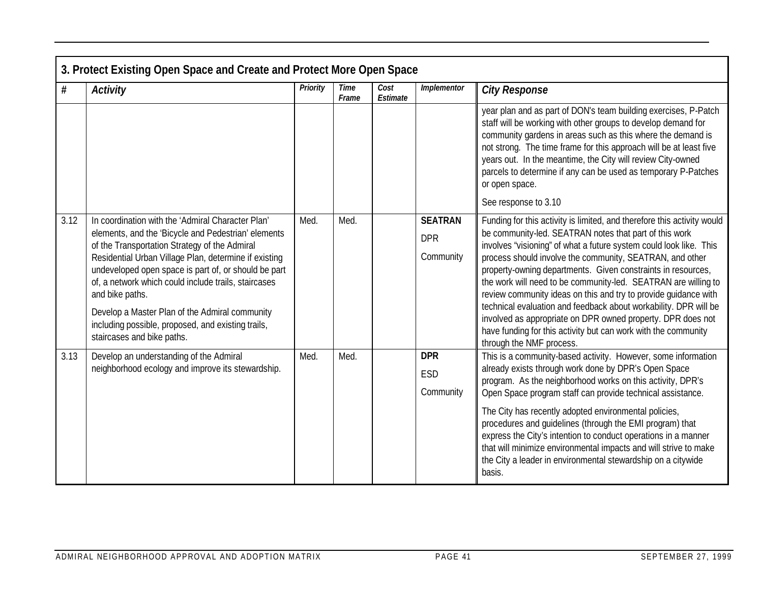|      | 3. Protect Existing Open Space and Create and Protect More Open Space                                                                                                                                                                                                                                                                                                                                                                                                                       |          |                      |                  |                                           |                                                                                                                                                                                                                                                                                                                                                                                                                                                                                                                                                                                                                                                                                                           |  |  |  |  |
|------|---------------------------------------------------------------------------------------------------------------------------------------------------------------------------------------------------------------------------------------------------------------------------------------------------------------------------------------------------------------------------------------------------------------------------------------------------------------------------------------------|----------|----------------------|------------------|-------------------------------------------|-----------------------------------------------------------------------------------------------------------------------------------------------------------------------------------------------------------------------------------------------------------------------------------------------------------------------------------------------------------------------------------------------------------------------------------------------------------------------------------------------------------------------------------------------------------------------------------------------------------------------------------------------------------------------------------------------------------|--|--|--|--|
| #    | <b>Activity</b>                                                                                                                                                                                                                                                                                                                                                                                                                                                                             | Priority | <b>Time</b><br>Frame | Cost<br>Estimate | Implementor                               | <b>City Response</b>                                                                                                                                                                                                                                                                                                                                                                                                                                                                                                                                                                                                                                                                                      |  |  |  |  |
|      |                                                                                                                                                                                                                                                                                                                                                                                                                                                                                             |          |                      |                  |                                           | year plan and as part of DON's team building exercises, P-Patch<br>staff will be working with other groups to develop demand for<br>community gardens in areas such as this where the demand is<br>not strong. The time frame for this approach will be at least five<br>years out. In the meantime, the City will review City-owned<br>parcels to determine if any can be used as temporary P-Patches<br>or open space.                                                                                                                                                                                                                                                                                  |  |  |  |  |
|      |                                                                                                                                                                                                                                                                                                                                                                                                                                                                                             |          |                      |                  |                                           | See response to 3.10                                                                                                                                                                                                                                                                                                                                                                                                                                                                                                                                                                                                                                                                                      |  |  |  |  |
| 3.12 | In coordination with the 'Admiral Character Plan'<br>elements, and the 'Bicycle and Pedestrian' elements<br>of the Transportation Strategy of the Admiral<br>Residential Urban Village Plan, determine if existing<br>undeveloped open space is part of, or should be part<br>of, a network which could include trails, staircases<br>and bike paths.<br>Develop a Master Plan of the Admiral community<br>including possible, proposed, and existing trails,<br>staircases and bike paths. | Med.     | Med.                 |                  | <b>SEATRAN</b><br><b>DPR</b><br>Community | Funding for this activity is limited, and therefore this activity would<br>be community-led. SEATRAN notes that part of this work<br>involves "visioning" of what a future system could look like. This<br>process should involve the community, SEATRAN, and other<br>property-owning departments. Given constraints in resources,<br>the work will need to be community-led. SEATRAN are willing to<br>review community ideas on this and try to provide guidance with<br>technical evaluation and feedback about workability. DPR will be<br>involved as appropriate on DPR owned property. DPR does not<br>have funding for this activity but can work with the community<br>through the NMF process. |  |  |  |  |
| 3.13 | Develop an understanding of the Admiral                                                                                                                                                                                                                                                                                                                                                                                                                                                     | Med.     | Med.                 |                  | <b>DPR</b>                                | This is a community-based activity. However, some information                                                                                                                                                                                                                                                                                                                                                                                                                                                                                                                                                                                                                                             |  |  |  |  |
|      | neighborhood ecology and improve its stewardship.                                                                                                                                                                                                                                                                                                                                                                                                                                           |          |                      |                  | ESD<br>Community                          | already exists through work done by DPR's Open Space<br>program. As the neighborhood works on this activity, DPR's<br>Open Space program staff can provide technical assistance.                                                                                                                                                                                                                                                                                                                                                                                                                                                                                                                          |  |  |  |  |
|      |                                                                                                                                                                                                                                                                                                                                                                                                                                                                                             |          |                      |                  |                                           | The City has recently adopted environmental policies,<br>procedures and guidelines (through the EMI program) that<br>express the City's intention to conduct operations in a manner<br>that will minimize environmental impacts and will strive to make<br>the City a leader in environmental stewardship on a citywide<br>basis.                                                                                                                                                                                                                                                                                                                                                                         |  |  |  |  |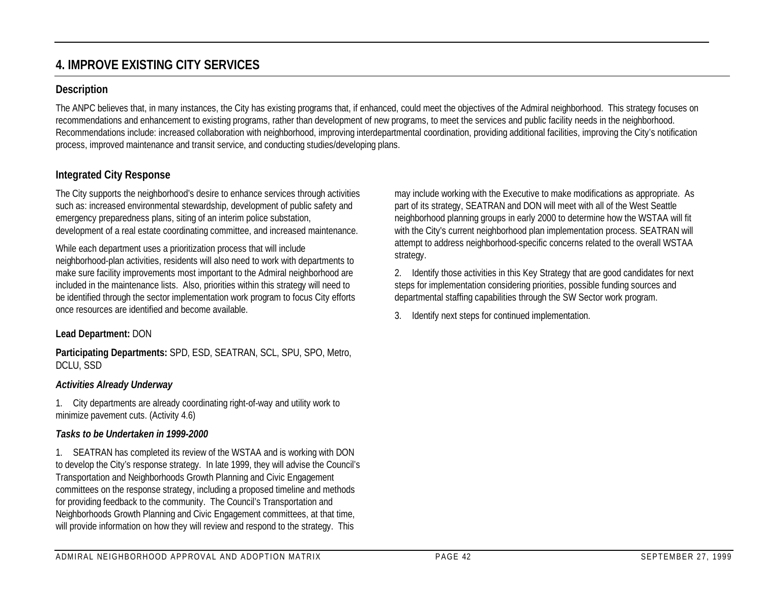# **4. IMPROVE EXISTING CITY SERVICES**

### **Description**

The ANPC believes that, in many instances, the City has existing programs that, if enhanced, could meet the objectives of the Admiral neighborhood. This strategy focuses on recommendations and enhancement to existing programs, rather than development of new programs, to meet the services and public facility needs in the neighborhood. Recommendations include: increased collaboration with neighborhood, improving interdepartmental coordination, providing additional facilities, improving the City's notification process, improved maintenance and transit service, and conducting studies/developing plans.

## **Integrated City Response**

The City supports the neighborhood's desire to enhance services through activities such as: increased environmental stewardship, development of public safety and emergency preparedness plans, siting of an interim police substation, development of a real estate coordinating committee, and increased maintenance.

While each department uses a prioritization process that will include neighborhood-plan activities, residents will also need to work with departments to make sure facility improvements most important to the Admiral neighborhood are included in the maintenance lists. Also, priorities within this strategy will need to be identified through the sector implementation work program to focus City efforts once resources are identified and become available.

#### **Lead Department:** DON

**Participating Departments:** SPD, ESD, SEATRAN, SCL, SPU, SPO, Metro, DCLU, SSD

#### *Activities Already Underway*

1. City departments are already coordinating right-of-way and utility work to minimize pavement cuts. (Activity 4.6)

#### *Tasks to be Undertaken in 1999-2000*

1. SEATRAN has completed its review of the WSTAA and is working with DON to develop the City's response strategy. In late 1999, they will advise the Council's Transportation and Neighborhoods Growth Planning and Civic Engagement committees on the response strategy, including a proposed timeline and methods for providing feedback to the community. The Council's Transportation and Neighborhoods Growth Planning and Civic Engagement committees, at that time, will provide information on how they will review and respond to the strategy. This

may include working with the Executive to make modifications as appropriate. As part of its strategy, SEATRAN and DON will meet with all of the West Seattle neighborhood planning groups in early 2000 to determine how the WSTAA will fit with the City's current neighborhood plan implementation process. SEATRAN will attempt to address neighborhood-specific concerns related to the overall WSTAA strategy.

2. Identify those activities in this Key Strategy that are good candidates for next steps for implementation considering priorities, possible funding sources and departmental staffing capabilities through the SW Sector work program.

3. Identify next steps for continued implementation.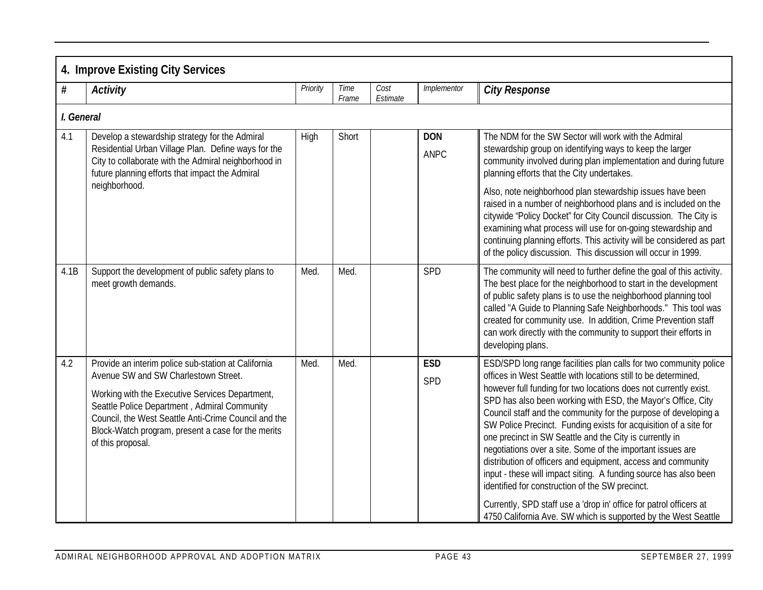|      | 4. Improve Existing City Services                                                                                                                                                                                                                                                                                                 |          |               |                  |                    |                                                                                                                                                                                                                                                                                                                                                                                                                                                                                                                                                                                                                                                                                                                                                                                                                                                                        |  |  |  |  |  |
|------|-----------------------------------------------------------------------------------------------------------------------------------------------------------------------------------------------------------------------------------------------------------------------------------------------------------------------------------|----------|---------------|------------------|--------------------|------------------------------------------------------------------------------------------------------------------------------------------------------------------------------------------------------------------------------------------------------------------------------------------------------------------------------------------------------------------------------------------------------------------------------------------------------------------------------------------------------------------------------------------------------------------------------------------------------------------------------------------------------------------------------------------------------------------------------------------------------------------------------------------------------------------------------------------------------------------------|--|--|--|--|--|
| #    | <b>Activity</b>                                                                                                                                                                                                                                                                                                                   | Priority | Time<br>Frame | Cost<br>Estimate | Implementor        | <b>City Response</b>                                                                                                                                                                                                                                                                                                                                                                                                                                                                                                                                                                                                                                                                                                                                                                                                                                                   |  |  |  |  |  |
|      | I. General                                                                                                                                                                                                                                                                                                                        |          |               |                  |                    |                                                                                                                                                                                                                                                                                                                                                                                                                                                                                                                                                                                                                                                                                                                                                                                                                                                                        |  |  |  |  |  |
| 4.1  | Develop a stewardship strategy for the Admiral<br>Residential Urban Village Plan. Define ways for the<br>City to collaborate with the Admiral neighborhood in<br>future planning efforts that impact the Admiral                                                                                                                  | High     | Short         |                  | <b>DON</b><br>ANPC | The NDM for the SW Sector will work with the Admiral<br>stewardship group on identifying ways to keep the larger<br>community involved during plan implementation and during future<br>planning efforts that the City undertakes.                                                                                                                                                                                                                                                                                                                                                                                                                                                                                                                                                                                                                                      |  |  |  |  |  |
|      | neighborhood.                                                                                                                                                                                                                                                                                                                     |          |               |                  |                    | Also, note neighborhood plan stewardship issues have been<br>raised in a number of neighborhood plans and is included on the<br>citywide 'Policy Docket" for City Council discussion. The City is<br>examining what process will use for on-going stewardship and<br>continuing planning efforts. This activity will be considered as part<br>of the policy discussion. This discussion will occur in 1999.                                                                                                                                                                                                                                                                                                                                                                                                                                                            |  |  |  |  |  |
| 4.1B | Support the development of public safety plans to<br>meet growth demands.                                                                                                                                                                                                                                                         | Med.     | Med.          |                  | SPD                | The community will need to further define the goal of this activity.<br>The best place for the neighborhood to start in the development<br>of public safety plans is to use the neighborhood planning tool<br>called "A Guide to Planning Safe Neighborhoods." This tool was<br>created for community use. In addition, Crime Prevention staff<br>can work directly with the community to support their efforts in<br>developing plans.                                                                                                                                                                                                                                                                                                                                                                                                                                |  |  |  |  |  |
| 4.2  | Provide an interim police sub-station at California<br>Avenue SW and SW Charlestown Street.<br>Working with the Executive Services Department,<br>Seattle Police Department, Admiral Community<br>Council, the West Seattle Anti-Crime Council and the<br>Block-Watch program, present a case for the merits<br>of this proposal. | Med.     | Med.          |                  | <b>ESD</b><br>SPD  | ESD/SPD long range facilities plan calls for two community police<br>offices in West Seattle with locations still to be determined,<br>however full funding for two locations does not currently exist.<br>SPD has also been working with ESD, the Mayor's Office, City<br>Council staff and the community for the purpose of developing a<br>SW Police Precinct. Funding exists for acquisition of a site for<br>one precinct in SW Seattle and the City is currently in<br>negotiations over a site. Some of the important issues are<br>distribution of officers and equipment, access and community<br>input - these will impact siting. A funding source has also been<br>identified for construction of the SW precinct.<br>Currently, SPD staff use a 'drop in' office for patrol officers at<br>4750 California Ave. SW which is supported by the West Seattle |  |  |  |  |  |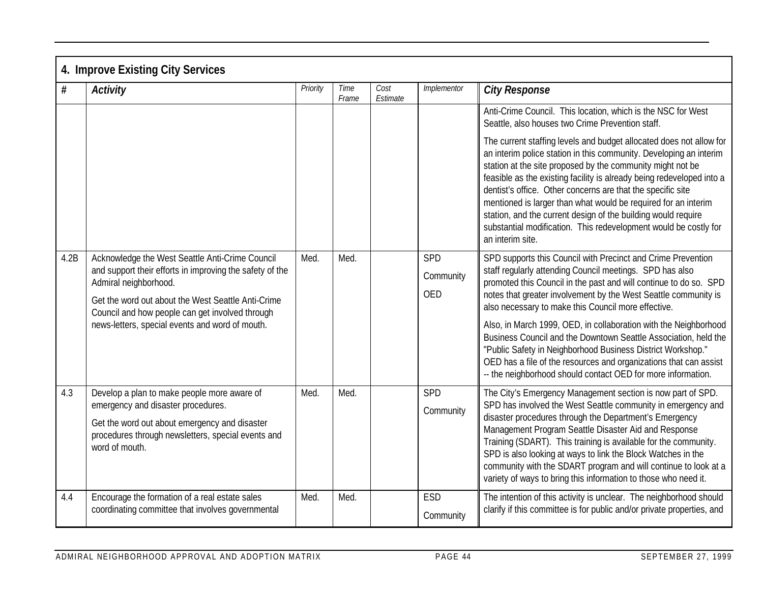|      | 4. Improve Existing City Services                                                                                                                                                                                                                                                                |          |               |                  |                         |                                                                                                                                                                                                                                                                                                                                                                                                                                                                                                                                                                            |
|------|--------------------------------------------------------------------------------------------------------------------------------------------------------------------------------------------------------------------------------------------------------------------------------------------------|----------|---------------|------------------|-------------------------|----------------------------------------------------------------------------------------------------------------------------------------------------------------------------------------------------------------------------------------------------------------------------------------------------------------------------------------------------------------------------------------------------------------------------------------------------------------------------------------------------------------------------------------------------------------------------|
| $\#$ | <b>Activity</b>                                                                                                                                                                                                                                                                                  | Priority | Time<br>Frame | Cost<br>Estimate | Implementor             | <b>City Response</b>                                                                                                                                                                                                                                                                                                                                                                                                                                                                                                                                                       |
|      |                                                                                                                                                                                                                                                                                                  |          |               |                  |                         | Anti-Crime Council. This location, which is the NSC for West<br>Seattle, also houses two Crime Prevention staff.                                                                                                                                                                                                                                                                                                                                                                                                                                                           |
|      |                                                                                                                                                                                                                                                                                                  |          |               |                  |                         | The current staffing levels and budget allocated does not allow for<br>an interim police station in this community. Developing an interim<br>station at the site proposed by the community might not be<br>feasible as the existing facility is already being redeveloped into a<br>dentist's office. Other concerns are that the specific site<br>mentioned is larger than what would be required for an interim<br>station, and the current design of the building would require<br>substantial modification. This redevelopment would be costly for<br>an interim site. |
| 4.2B | Acknowledge the West Seattle Anti-Crime Council<br>and support their efforts in improving the safety of the<br>Admiral neighborhood.<br>Get the word out about the West Seattle Anti-Crime<br>Council and how people can get involved through<br>news-letters, special events and word of mouth. | Med.     | Med.          |                  | SPD<br>Community<br>OED | SPD supports this Council with Precinct and Crime Prevention<br>staff regularly attending Council meetings. SPD has also<br>promoted this Council in the past and will continue to do so. SPD<br>notes that greater involvement by the West Seattle community is<br>also necessary to make this Council more effective.                                                                                                                                                                                                                                                    |
|      |                                                                                                                                                                                                                                                                                                  |          |               |                  |                         | Also, in March 1999, OED, in collaboration with the Neighborhood<br>Business Council and the Downtown Seattle Association, held the<br>"Public Safety in Neighborhood Business District Workshop."<br>OED has a file of the resources and organizations that can assist<br>-- the neighborhood should contact OED for more information.                                                                                                                                                                                                                                    |
| 4.3  | Develop a plan to make people more aware of<br>emergency and disaster procedures.                                                                                                                                                                                                                | Med.     | Med.          |                  | SPD<br>Community        | The City's Emergency Management section is now part of SPD.<br>SPD has involved the West Seattle community in emergency and                                                                                                                                                                                                                                                                                                                                                                                                                                                |
|      | Get the word out about emergency and disaster<br>procedures through newsletters, special events and<br>word of mouth.                                                                                                                                                                            |          |               |                  |                         | disaster procedures through the Department's Emergency<br>Management Program Seattle Disaster Aid and Response<br>Training (SDART). This training is available for the community.<br>SPD is also looking at ways to link the Block Watches in the<br>community with the SDART program and will continue to look at a<br>variety of ways to bring this information to those who need it.                                                                                                                                                                                    |
| 4.4  | Encourage the formation of a real estate sales<br>coordinating committee that involves governmental                                                                                                                                                                                              | Med.     | Med.          |                  | ESD<br>Community        | The intention of this activity is unclear. The neighborhood should<br>clarify if this committee is for public and/or private properties, and                                                                                                                                                                                                                                                                                                                                                                                                                               |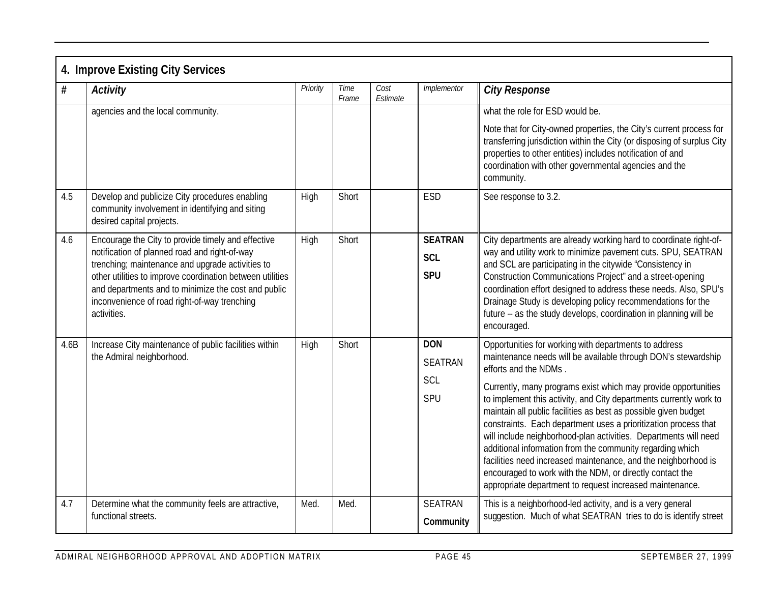|      | 4. Improve Existing City Services                                                                                                                                                                                                                                                                                                          |          |               |                  |                                            |                                                                                                                                                                                                                                                                                                                                                                                                                                                                                                                                                                                                                                                                                                                                                          |
|------|--------------------------------------------------------------------------------------------------------------------------------------------------------------------------------------------------------------------------------------------------------------------------------------------------------------------------------------------|----------|---------------|------------------|--------------------------------------------|----------------------------------------------------------------------------------------------------------------------------------------------------------------------------------------------------------------------------------------------------------------------------------------------------------------------------------------------------------------------------------------------------------------------------------------------------------------------------------------------------------------------------------------------------------------------------------------------------------------------------------------------------------------------------------------------------------------------------------------------------------|
| $\#$ | <b>Activity</b>                                                                                                                                                                                                                                                                                                                            | Priority | Time<br>Frame | Cost<br>Estimate | Implementor                                | <b>City Response</b>                                                                                                                                                                                                                                                                                                                                                                                                                                                                                                                                                                                                                                                                                                                                     |
|      | agencies and the local community.                                                                                                                                                                                                                                                                                                          |          |               |                  |                                            | what the role for ESD would be.                                                                                                                                                                                                                                                                                                                                                                                                                                                                                                                                                                                                                                                                                                                          |
|      |                                                                                                                                                                                                                                                                                                                                            |          |               |                  |                                            | Note that for City-owned properties, the City's current process for<br>transferring jurisdiction within the City (or disposing of surplus City<br>properties to other entities) includes notification of and<br>coordination with other governmental agencies and the<br>community.                                                                                                                                                                                                                                                                                                                                                                                                                                                                      |
| 4.5  | Develop and publicize City procedures enabling<br>community involvement in identifying and siting<br>desired capital projects.                                                                                                                                                                                                             | High     | Short         |                  | ESD                                        | See response to 3.2.                                                                                                                                                                                                                                                                                                                                                                                                                                                                                                                                                                                                                                                                                                                                     |
| 4.6  | Encourage the City to provide timely and effective<br>notification of planned road and right-of-way<br>trenching; maintenance and upgrade activities to<br>other utilities to improve coordination between utilities<br>and departments and to minimize the cost and public<br>inconvenience of road right-of-way trenching<br>activities. | High     | Short         |                  | <b>SEATRAN</b><br><b>SCL</b><br><b>SPU</b> | City departments are already working hard to coordinate right-of-<br>way and utility work to minimize pavement cuts. SPU, SEATRAN<br>and SCL are participating in the citywide "Consistency in<br>Construction Communications Project" and a street-opening<br>coordination effort designed to address these needs. Also, SPU's<br>Drainage Study is developing policy recommendations for the<br>future -- as the study develops, coordination in planning will be<br>encouraged.                                                                                                                                                                                                                                                                       |
| 4.6B | Increase City maintenance of public facilities within<br>the Admiral neighborhood.                                                                                                                                                                                                                                                         | High     | Short         |                  | <b>DON</b><br><b>SEATRAN</b><br>SCL<br>SPU | Opportunities for working with departments to address<br>maintenance needs will be available through DON's stewardship<br>efforts and the NDMs.<br>Currently, many programs exist which may provide opportunities<br>to implement this activity, and City departments currently work to<br>maintain all public facilities as best as possible given budget<br>constraints. Each department uses a prioritization process that<br>will include neighborhood-plan activities. Departments will need<br>additional information from the community regarding which<br>facilities need increased maintenance, and the neighborhood is<br>encouraged to work with the NDM, or directly contact the<br>appropriate department to request increased maintenance. |
| 4.7  | Determine what the community feels are attractive,<br>functional streets.                                                                                                                                                                                                                                                                  | Med.     | Med.          |                  | <b>SEATRAN</b><br>Community                | This is a neighborhood-led activity, and is a very general<br>suggestion. Much of what SEATRAN tries to do is identify street                                                                                                                                                                                                                                                                                                                                                                                                                                                                                                                                                                                                                            |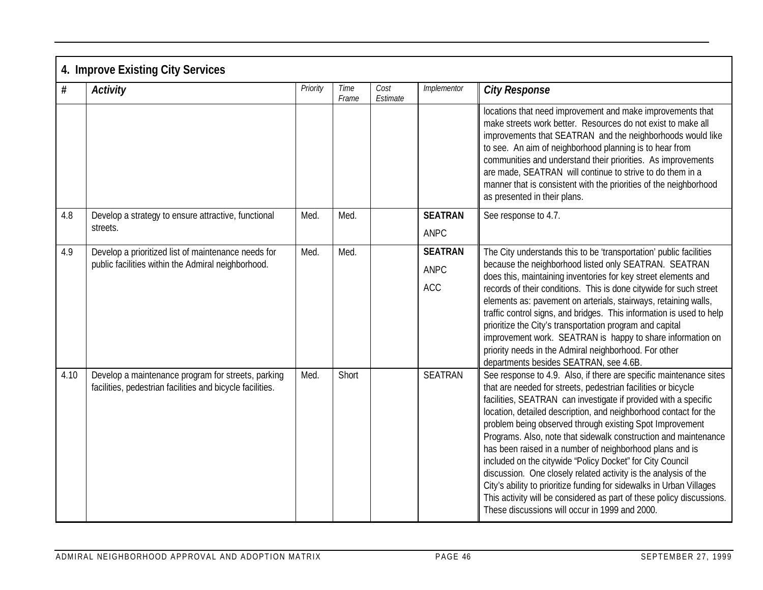|      | 4. Improve Existing City Services                                                                               |          |               |                  |                                             |                                                                                                                                                                                                                                                                                                                                                                                                                                                                                                                                                                                                                                                                                                                                                                                                          |  |  |  |  |  |
|------|-----------------------------------------------------------------------------------------------------------------|----------|---------------|------------------|---------------------------------------------|----------------------------------------------------------------------------------------------------------------------------------------------------------------------------------------------------------------------------------------------------------------------------------------------------------------------------------------------------------------------------------------------------------------------------------------------------------------------------------------------------------------------------------------------------------------------------------------------------------------------------------------------------------------------------------------------------------------------------------------------------------------------------------------------------------|--|--|--|--|--|
| $\#$ | <b>Activity</b>                                                                                                 | Priority | Time<br>Frame | Cost<br>Estimate | Implementor                                 | <b>City Response</b>                                                                                                                                                                                                                                                                                                                                                                                                                                                                                                                                                                                                                                                                                                                                                                                     |  |  |  |  |  |
|      |                                                                                                                 |          |               |                  |                                             | locations that need improvement and make improvements that<br>make streets work better. Resources do not exist to make all<br>improvements that SEATRAN and the neighborhoods would like<br>to see. An aim of neighborhood planning is to hear from<br>communities and understand their priorities. As improvements<br>are made, SEATRAN will continue to strive to do them in a<br>manner that is consistent with the priorities of the neighborhood<br>as presented in their plans.                                                                                                                                                                                                                                                                                                                    |  |  |  |  |  |
| 4.8  | Develop a strategy to ensure attractive, functional<br>streets.                                                 | Med.     | Med.          |                  | <b>SEATRAN</b><br>ANPC                      | See response to 4.7.                                                                                                                                                                                                                                                                                                                                                                                                                                                                                                                                                                                                                                                                                                                                                                                     |  |  |  |  |  |
| 4.9  | Develop a prioritized list of maintenance needs for<br>public facilities within the Admiral neighborhood.       | Med.     | Med.          |                  | <b>SEATRAN</b><br><b>ANPC</b><br><b>ACC</b> | The City understands this to be 'transportation' public facilities<br>because the neighborhood listed only SEATRAN. SEATRAN<br>does this, maintaining inventories for key street elements and<br>records of their conditions. This is done citywide for such street<br>elements as: pavement on arterials, stairways, retaining walls,<br>traffic control signs, and bridges. This information is used to help<br>prioritize the City's transportation program and capital<br>improvement work. SEATRAN is happy to share information on<br>priority needs in the Admiral neighborhood. For other<br>departments besides SEATRAN, see 4.6B.                                                                                                                                                              |  |  |  |  |  |
| 4.10 | Develop a maintenance program for streets, parking<br>facilities, pedestrian facilities and bicycle facilities. | Med.     | Short         |                  | <b>SEATRAN</b>                              | See response to 4.9. Also, if there are specific maintenance sites<br>that are needed for streets, pedestrian facilities or bicycle<br>facilities, SEATRAN can investigate if provided with a specific<br>location, detailed description, and neighborhood contact for the<br>problem being observed through existing Spot Improvement<br>Programs. Also, note that sidewalk construction and maintenance<br>has been raised in a number of neighborhood plans and is<br>included on the citywide "Policy Docket" for City Council<br>discussion. One closely related activity is the analysis of the<br>City's ability to prioritize funding for sidewalks in Urban Villages<br>This activity will be considered as part of these policy discussions.<br>These discussions will occur in 1999 and 2000. |  |  |  |  |  |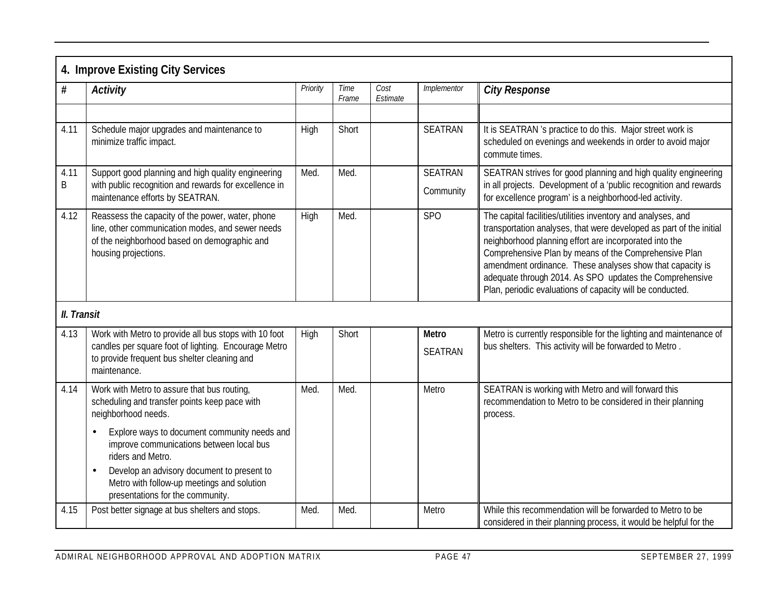|             | 4. Improve Existing City Services                                                                                                                                             |          |               |                  |                         |                                                                                                                                                                                                                                                                                                                                                                                                                                             |
|-------------|-------------------------------------------------------------------------------------------------------------------------------------------------------------------------------|----------|---------------|------------------|-------------------------|---------------------------------------------------------------------------------------------------------------------------------------------------------------------------------------------------------------------------------------------------------------------------------------------------------------------------------------------------------------------------------------------------------------------------------------------|
| $\#$        | <b>Activity</b>                                                                                                                                                               | Priority | Time<br>Frame | Cost<br>Estimate | Implementor             | <b>City Response</b>                                                                                                                                                                                                                                                                                                                                                                                                                        |
|             |                                                                                                                                                                               |          |               |                  |                         |                                                                                                                                                                                                                                                                                                                                                                                                                                             |
| 4.11        | Schedule major upgrades and maintenance to<br>minimize traffic impact.                                                                                                        | High     | Short         |                  | <b>SEATRAN</b>          | It is SEATRAN 's practice to do this. Major street work is<br>scheduled on evenings and weekends in order to avoid major<br>commute times.                                                                                                                                                                                                                                                                                                  |
| 4.11        | Support good planning and high quality engineering                                                                                                                            | Med.     | Med.          |                  | <b>SEATRAN</b>          | SEATRAN strives for good planning and high quality engineering                                                                                                                                                                                                                                                                                                                                                                              |
| B           | with public recognition and rewards for excellence in<br>maintenance efforts by SEATRAN.                                                                                      |          |               |                  | Community               | in all projects. Development of a 'public recognition and rewards<br>for excellence program' is a neighborhood-led activity.                                                                                                                                                                                                                                                                                                                |
| 4.12        | Reassess the capacity of the power, water, phone<br>line, other communication modes, and sewer needs<br>of the neighborhood based on demographic and<br>housing projections.  | High     | Med.          |                  | <b>SPO</b>              | The capital facilities/utilities inventory and analyses, and<br>transportation analyses, that were developed as part of the initial<br>neighborhood planning effort are incorporated into the<br>Comprehensive Plan by means of the Comprehensive Plan<br>amendment ordinance. These analyses show that capacity is<br>adequate through 2014. As SPO updates the Comprehensive<br>Plan, periodic evaluations of capacity will be conducted. |
| II. Transit |                                                                                                                                                                               |          |               |                  |                         |                                                                                                                                                                                                                                                                                                                                                                                                                                             |
| 4.13        | Work with Metro to provide all bus stops with 10 foot<br>candles per square foot of lighting. Encourage Metro<br>to provide frequent bus shelter cleaning and<br>maintenance. | High     | Short         |                  | Metro<br><b>SEATRAN</b> | Metro is currently responsible for the lighting and maintenance of<br>bus shelters. This activity will be forwarded to Metro.                                                                                                                                                                                                                                                                                                               |
| 4.14        | Work with Metro to assure that bus routing,<br>scheduling and transfer points keep pace with<br>neighborhood needs.                                                           | Med.     | Med.          |                  | Metro                   | SEATRAN is working with Metro and will forward this<br>recommendation to Metro to be considered in their planning<br>process.                                                                                                                                                                                                                                                                                                               |
|             | Explore ways to document community needs and<br>$\bullet$<br>improve communications between local bus<br>riders and Metro.                                                    |          |               |                  |                         |                                                                                                                                                                                                                                                                                                                                                                                                                                             |
|             | Develop an advisory document to present to<br>$\bullet$<br>Metro with follow-up meetings and solution<br>presentations for the community.                                     |          |               |                  |                         |                                                                                                                                                                                                                                                                                                                                                                                                                                             |
| 4.15        | Post better signage at bus shelters and stops.                                                                                                                                | Med.     | Med.          |                  | Metro                   | While this recommendation will be forwarded to Metro to be<br>considered in their planning process, it would be helpful for the                                                                                                                                                                                                                                                                                                             |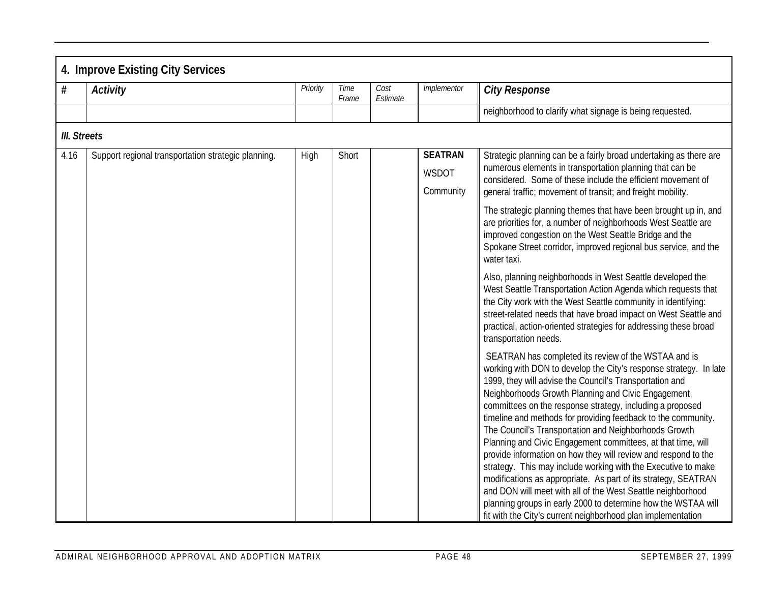|                     | 4. Improve Existing City Services                   |          |               |                  |                                      |                                                                                                                                                                                                                                                                                                                                                                                                                                                                                                                                                                                                                                                                                                                                                                                                                                                                                                        |  |  |  |  |  |
|---------------------|-----------------------------------------------------|----------|---------------|------------------|--------------------------------------|--------------------------------------------------------------------------------------------------------------------------------------------------------------------------------------------------------------------------------------------------------------------------------------------------------------------------------------------------------------------------------------------------------------------------------------------------------------------------------------------------------------------------------------------------------------------------------------------------------------------------------------------------------------------------------------------------------------------------------------------------------------------------------------------------------------------------------------------------------------------------------------------------------|--|--|--|--|--|
| $\#$                | <b>Activity</b>                                     | Priority | Time<br>Frame | Cost<br>Estimate | Implementor                          | <b>City Response</b>                                                                                                                                                                                                                                                                                                                                                                                                                                                                                                                                                                                                                                                                                                                                                                                                                                                                                   |  |  |  |  |  |
|                     |                                                     |          |               |                  |                                      | neighborhood to clarify what signage is being requested.                                                                                                                                                                                                                                                                                                                                                                                                                                                                                                                                                                                                                                                                                                                                                                                                                                               |  |  |  |  |  |
| <b>III.</b> Streets |                                                     |          |               |                  |                                      |                                                                                                                                                                                                                                                                                                                                                                                                                                                                                                                                                                                                                                                                                                                                                                                                                                                                                                        |  |  |  |  |  |
| 4.16                | Support regional transportation strategic planning. | High     | Short         |                  | <b>SEATRAN</b><br>WSDOT<br>Community | Strategic planning can be a fairly broad undertaking as there are<br>numerous elements in transportation planning that can be<br>considered. Some of these include the efficient movement of<br>general traffic; movement of transit; and freight mobility.                                                                                                                                                                                                                                                                                                                                                                                                                                                                                                                                                                                                                                            |  |  |  |  |  |
|                     |                                                     |          |               |                  |                                      | The strategic planning themes that have been brought up in, and<br>are priorities for, a number of neighborhoods West Seattle are<br>improved congestion on the West Seattle Bridge and the<br>Spokane Street corridor, improved regional bus service, and the<br>water taxi.                                                                                                                                                                                                                                                                                                                                                                                                                                                                                                                                                                                                                          |  |  |  |  |  |
|                     |                                                     |          |               |                  |                                      | Also, planning neighborhoods in West Seattle developed the<br>West Seattle Transportation Action Agenda which requests that<br>the City work with the West Seattle community in identifying:<br>street-related needs that have broad impact on West Seattle and<br>practical, action-oriented strategies for addressing these broad<br>transportation needs.                                                                                                                                                                                                                                                                                                                                                                                                                                                                                                                                           |  |  |  |  |  |
|                     |                                                     |          |               |                  |                                      | SEATRAN has completed its review of the WSTAA and is<br>working with DON to develop the City's response strategy. In late<br>1999, they will advise the Council's Transportation and<br>Neighborhoods Growth Planning and Civic Engagement<br>committees on the response strategy, including a proposed<br>timeline and methods for providing feedback to the community.<br>The Council's Transportation and Neighborhoods Growth<br>Planning and Civic Engagement committees, at that time, will<br>provide information on how they will review and respond to the<br>strategy. This may include working with the Executive to make<br>modifications as appropriate. As part of its strategy, SEATRAN<br>and DON will meet with all of the West Seattle neighborhood<br>planning groups in early 2000 to determine how the WSTAA will<br>fit with the City's current neighborhood plan implementation |  |  |  |  |  |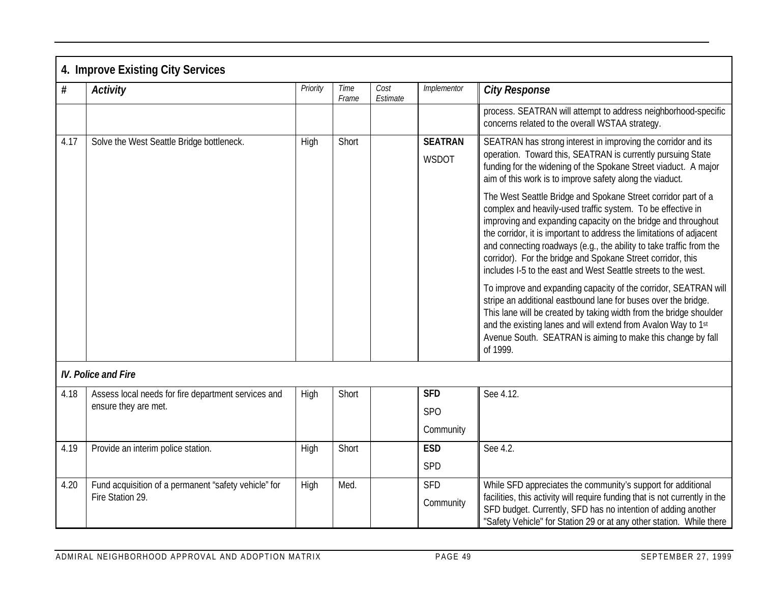| $\#$ | <b>Activity</b>                                                          | Priority | Time<br>Frame | Cost<br>Estimate | Implementor             | <b>City Response</b>                                                                                                                                                                                                                                                                                                                                                                                                                                                          |
|------|--------------------------------------------------------------------------|----------|---------------|------------------|-------------------------|-------------------------------------------------------------------------------------------------------------------------------------------------------------------------------------------------------------------------------------------------------------------------------------------------------------------------------------------------------------------------------------------------------------------------------------------------------------------------------|
|      |                                                                          |          |               |                  |                         | process. SEATRAN will attempt to address neighborhood-specific<br>concerns related to the overall WSTAA strategy.                                                                                                                                                                                                                                                                                                                                                             |
| 4.17 | Solve the West Seattle Bridge bottleneck.                                | High     | Short         |                  | <b>SEATRAN</b><br>WSDOT | SEATRAN has strong interest in improving the corridor and its<br>operation. Toward this, SEATRAN is currently pursuing State<br>funding for the widening of the Spokane Street viaduct. A major<br>aim of this work is to improve safety along the viaduct.                                                                                                                                                                                                                   |
|      |                                                                          |          |               |                  |                         | The West Seattle Bridge and Spokane Street corridor part of a<br>complex and heavily-used traffic system. To be effective in<br>improving and expanding capacity on the bridge and throughout<br>the corridor, it is important to address the limitations of adjacent<br>and connecting roadways (e.g., the ability to take traffic from the<br>corridor). For the bridge and Spokane Street corridor, this<br>includes I-5 to the east and West Seattle streets to the west. |
|      |                                                                          |          |               |                  |                         | To improve and expanding capacity of the corridor, SEATRAN will<br>stripe an additional eastbound lane for buses over the bridge.<br>This lane will be created by taking width from the bridge shoulder<br>and the existing lanes and will extend from Avalon Way to 1st<br>Avenue South. SEATRAN is aiming to make this change by fall<br>of 1999.                                                                                                                           |
|      | <b>IV. Police and Fire</b>                                               |          |               |                  |                         |                                                                                                                                                                                                                                                                                                                                                                                                                                                                               |
| 4.18 | Assess local needs for fire department services and                      | High     | Short         |                  | <b>SFD</b>              | See 4.12.                                                                                                                                                                                                                                                                                                                                                                                                                                                                     |
|      | ensure they are met.                                                     |          |               |                  | SP <sub>O</sub>         |                                                                                                                                                                                                                                                                                                                                                                                                                                                                               |
|      |                                                                          |          |               |                  | Community               |                                                                                                                                                                                                                                                                                                                                                                                                                                                                               |
| 4.19 | Provide an interim police station.                                       | High     | Short         |                  | <b>ESD</b>              | See 4.2.                                                                                                                                                                                                                                                                                                                                                                                                                                                                      |
|      |                                                                          |          |               |                  | <b>SPD</b>              |                                                                                                                                                                                                                                                                                                                                                                                                                                                                               |
| 4.20 | Fund acquisition of a permanent "safety vehicle" for<br>Fire Station 29. | High     | Med.          |                  | <b>SFD</b><br>Community | While SFD appreciates the community's support for additional<br>facilities, this activity will require funding that is not currently in the<br>SFD budget. Currently, SFD has no intention of adding another<br>"Safety Vehicle" for Station 29 or at any other station. While there                                                                                                                                                                                          |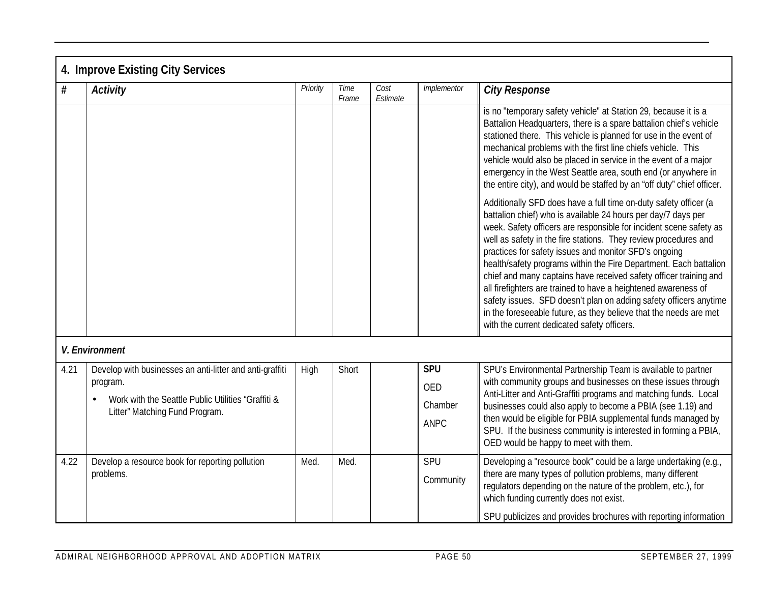|      | 4. Improve Existing City Services                                                                                                                            |          |               |                  |                                      |                                                                                                                                                                                                                                                                                                                                                                                                                                                                                                                                                                                                                                                                                                                                          |  |  |  |  |
|------|--------------------------------------------------------------------------------------------------------------------------------------------------------------|----------|---------------|------------------|--------------------------------------|------------------------------------------------------------------------------------------------------------------------------------------------------------------------------------------------------------------------------------------------------------------------------------------------------------------------------------------------------------------------------------------------------------------------------------------------------------------------------------------------------------------------------------------------------------------------------------------------------------------------------------------------------------------------------------------------------------------------------------------|--|--|--|--|
| $\#$ | <b>Activity</b>                                                                                                                                              | Priority | Time<br>Frame | Cost<br>Estimate | Implementor                          | <b>City Response</b>                                                                                                                                                                                                                                                                                                                                                                                                                                                                                                                                                                                                                                                                                                                     |  |  |  |  |
|      |                                                                                                                                                              |          |               |                  |                                      | is no "temporary safety vehicle" at Station 29, because it is a<br>Battalion Headquarters, there is a spare battalion chief's vehicle<br>stationed there. This vehicle is planned for use in the event of<br>mechanical problems with the first line chiefs vehicle. This<br>vehicle would also be placed in service in the event of a major<br>emergency in the West Seattle area, south end (or anywhere in<br>the entire city), and would be staffed by an "off duty" chief officer.                                                                                                                                                                                                                                                  |  |  |  |  |
|      |                                                                                                                                                              |          |               |                  |                                      | Additionally SFD does have a full time on-duty safety officer (a<br>battalion chief) who is available 24 hours per day/7 days per<br>week. Safety officers are responsible for incident scene safety as<br>well as safety in the fire stations. They review procedures and<br>practices for safety issues and monitor SFD's ongoing<br>health/safety programs within the Fire Department. Each battalion<br>chief and many captains have received safety officer training and<br>all firefighters are trained to have a heightened awareness of<br>safety issues. SFD doesn't plan on adding safety officers anytime<br>in the foreseeable future, as they believe that the needs are met<br>with the current dedicated safety officers. |  |  |  |  |
|      | V. Environment                                                                                                                                               |          |               |                  |                                      |                                                                                                                                                                                                                                                                                                                                                                                                                                                                                                                                                                                                                                                                                                                                          |  |  |  |  |
| 4.21 | Develop with businesses an anti-litter and anti-graffiti<br>program.<br>Work with the Seattle Public Utilities "Graffiti &<br>Litter" Matching Fund Program. | High     | Short         |                  | <b>SPU</b><br>OED<br>Chamber<br>ANPC | SPU's Environmental Partnership Team is available to partner<br>with community groups and businesses on these issues through<br>Anti-Litter and Anti-Graffiti programs and matching funds. Local<br>businesses could also apply to become a PBIA (see 1.19) and<br>then would be eligible for PBIA supplemental funds managed by<br>SPU. If the business community is interested in forming a PBIA,<br>OED would be happy to meet with them.                                                                                                                                                                                                                                                                                             |  |  |  |  |
| 4.22 | Develop a resource book for reporting pollution<br>problems.                                                                                                 | Med.     | Med.          |                  | SPU<br>Community                     | Developing a "resource book" could be a large undertaking (e.g.,<br>there are many types of pollution problems, many different<br>regulators depending on the nature of the problem, etc.), for<br>which funding currently does not exist.<br>SPU publicizes and provides brochures with reporting information                                                                                                                                                                                                                                                                                                                                                                                                                           |  |  |  |  |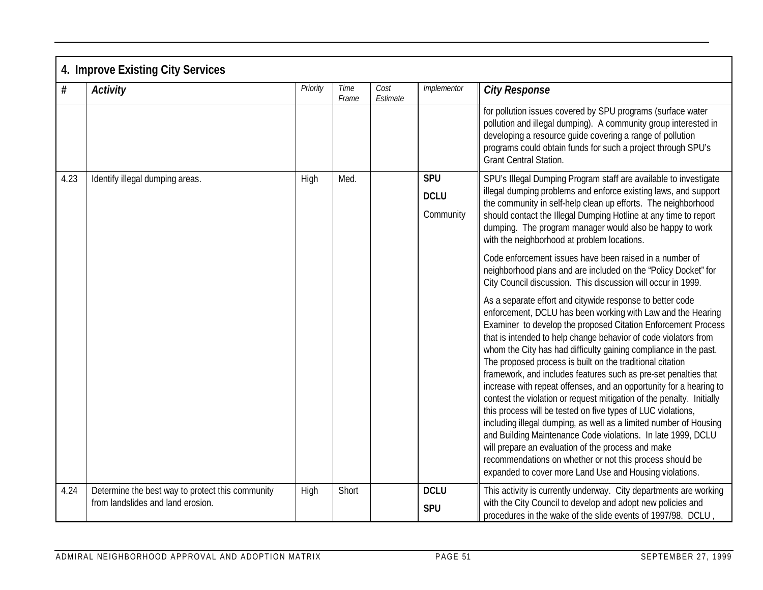|      | 4. Improve Existing City Services                                                     |          |               |                  |                                        |                                                                                                                                                                                                                                                                                                                                                                                                                                                                                                                                                                                                                                                                                                                                                                                                                                                                                                                                                                                                   |  |  |  |  |
|------|---------------------------------------------------------------------------------------|----------|---------------|------------------|----------------------------------------|---------------------------------------------------------------------------------------------------------------------------------------------------------------------------------------------------------------------------------------------------------------------------------------------------------------------------------------------------------------------------------------------------------------------------------------------------------------------------------------------------------------------------------------------------------------------------------------------------------------------------------------------------------------------------------------------------------------------------------------------------------------------------------------------------------------------------------------------------------------------------------------------------------------------------------------------------------------------------------------------------|--|--|--|--|
| #    | <b>Activity</b>                                                                       | Priority | Time<br>Frame | Cost<br>Estimate | Implementor                            | <b>City Response</b>                                                                                                                                                                                                                                                                                                                                                                                                                                                                                                                                                                                                                                                                                                                                                                                                                                                                                                                                                                              |  |  |  |  |
|      |                                                                                       |          |               |                  |                                        | for pollution issues covered by SPU programs (surface water<br>pollution and illegal dumping). A community group interested in<br>developing a resource guide covering a range of pollution<br>programs could obtain funds for such a project through SPU's<br><b>Grant Central Station.</b>                                                                                                                                                                                                                                                                                                                                                                                                                                                                                                                                                                                                                                                                                                      |  |  |  |  |
| 4.23 | Identify illegal dumping areas.                                                       | High     | Med.          |                  | <b>SPU</b><br><b>DCLU</b><br>Community | SPU's Illegal Dumping Program staff are available to investigate<br>illegal dumping problems and enforce existing laws, and support<br>the community in self-help clean up efforts. The neighborhood<br>should contact the Illegal Dumping Hotline at any time to report<br>dumping. The program manager would also be happy to work<br>with the neighborhood at problem locations.                                                                                                                                                                                                                                                                                                                                                                                                                                                                                                                                                                                                               |  |  |  |  |
|      |                                                                                       |          |               |                  |                                        | Code enforcement issues have been raised in a number of<br>neighborhood plans and are included on the "Policy Docket" for<br>City Council discussion. This discussion will occur in 1999.                                                                                                                                                                                                                                                                                                                                                                                                                                                                                                                                                                                                                                                                                                                                                                                                         |  |  |  |  |
|      |                                                                                       |          |               |                  |                                        | As a separate effort and citywide response to better code<br>enforcement, DCLU has been working with Law and the Hearing<br>Examiner to develop the proposed Citation Enforcement Process<br>that is intended to help change behavior of code violators from<br>whom the City has had difficulty gaining compliance in the past.<br>The proposed process is built on the traditional citation<br>framework, and includes features such as pre-set penalties that<br>increase with repeat offenses, and an opportunity for a hearing to<br>contest the violation or request mitigation of the penalty. Initially<br>this process will be tested on five types of LUC violations,<br>including illegal dumping, as well as a limited number of Housing<br>and Building Maintenance Code violations. In late 1999, DCLU<br>will prepare an evaluation of the process and make<br>recommendations on whether or not this process should be<br>expanded to cover more Land Use and Housing violations. |  |  |  |  |
| 4.24 | Determine the best way to protect this community<br>from landslides and land erosion. | High     | Short         |                  | <b>DCLU</b><br><b>SPU</b>              | This activity is currently underway. City departments are working<br>with the City Council to develop and adopt new policies and<br>procedures in the wake of the slide events of 1997/98. DCLU                                                                                                                                                                                                                                                                                                                                                                                                                                                                                                                                                                                                                                                                                                                                                                                                   |  |  |  |  |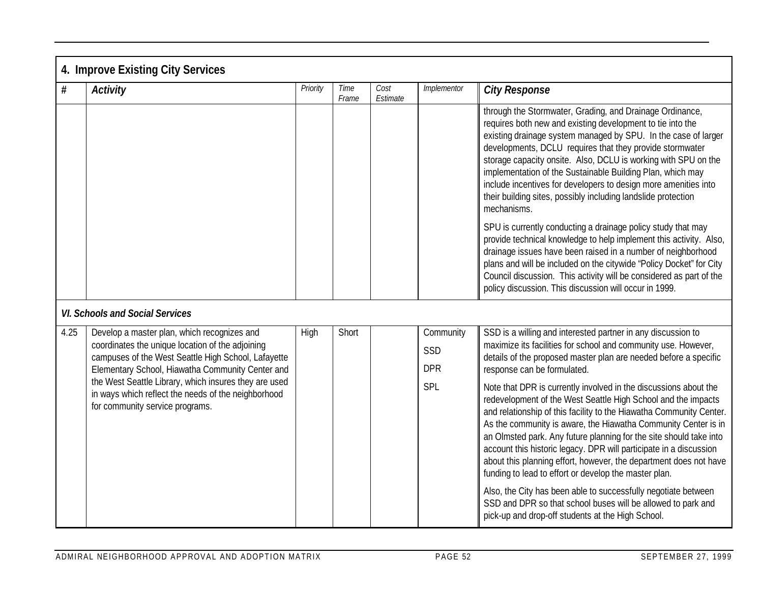|      | 4. Improve Existing City Services                                                                                                                                                                                                                                                                                                                             |          |               |                  |                                |                                                                                                                                                                                                                                                                                                                                                                                                                                                                                                                                                      |
|------|---------------------------------------------------------------------------------------------------------------------------------------------------------------------------------------------------------------------------------------------------------------------------------------------------------------------------------------------------------------|----------|---------------|------------------|--------------------------------|------------------------------------------------------------------------------------------------------------------------------------------------------------------------------------------------------------------------------------------------------------------------------------------------------------------------------------------------------------------------------------------------------------------------------------------------------------------------------------------------------------------------------------------------------|
| $\#$ | <b>Activity</b>                                                                                                                                                                                                                                                                                                                                               | Priority | Time<br>Frame | Cost<br>Estimate | Implementor                    | <b>City Response</b>                                                                                                                                                                                                                                                                                                                                                                                                                                                                                                                                 |
|      |                                                                                                                                                                                                                                                                                                                                                               |          |               |                  |                                | through the Stormwater, Grading, and Drainage Ordinance,<br>requires both new and existing development to tie into the<br>existing drainage system managed by SPU. In the case of larger<br>developments, DCLU requires that they provide stormwater<br>storage capacity onsite. Also, DCLU is working with SPU on the<br>implementation of the Sustainable Building Plan, which may<br>include incentives for developers to design more amenities into<br>their building sites, possibly including landslide protection<br>mechanisms.              |
|      |                                                                                                                                                                                                                                                                                                                                                               |          |               |                  |                                | SPU is currently conducting a drainage policy study that may<br>provide technical knowledge to help implement this activity. Also,<br>drainage issues have been raised in a number of neighborhood<br>plans and will be included on the citywide "Policy Docket" for City<br>Council discussion. This activity will be considered as part of the<br>policy discussion. This discussion will occur in 1999.                                                                                                                                           |
|      | <b>VI. Schools and Social Services</b>                                                                                                                                                                                                                                                                                                                        |          |               |                  |                                |                                                                                                                                                                                                                                                                                                                                                                                                                                                                                                                                                      |
| 4.25 | Develop a master plan, which recognizes and<br>coordinates the unique location of the adjoining<br>campuses of the West Seattle High School, Lafayette<br>Elementary School, Hiawatha Community Center and<br>the West Seattle Library, which insures they are used<br>in ways which reflect the needs of the neighborhood<br>for community service programs. | High     | Short         |                  | Community<br>SSD<br><b>DPR</b> | SSD is a willing and interested partner in any discussion to<br>maximize its facilities for school and community use. However,<br>details of the proposed master plan are needed before a specific<br>response can be formulated.                                                                                                                                                                                                                                                                                                                    |
|      |                                                                                                                                                                                                                                                                                                                                                               |          |               |                  | SPL                            | Note that DPR is currently involved in the discussions about the<br>redevelopment of the West Seattle High School and the impacts<br>and relationship of this facility to the Hiawatha Community Center.<br>As the community is aware, the Hiawatha Community Center is in<br>an Olmsted park. Any future planning for the site should take into<br>account this historic legacy. DPR will participate in a discussion<br>about this planning effort, however, the department does not have<br>funding to lead to effort or develop the master plan. |
|      |                                                                                                                                                                                                                                                                                                                                                               |          |               |                  |                                | Also, the City has been able to successfully negotiate between<br>SSD and DPR so that school buses will be allowed to park and<br>pick-up and drop-off students at the High School.                                                                                                                                                                                                                                                                                                                                                                  |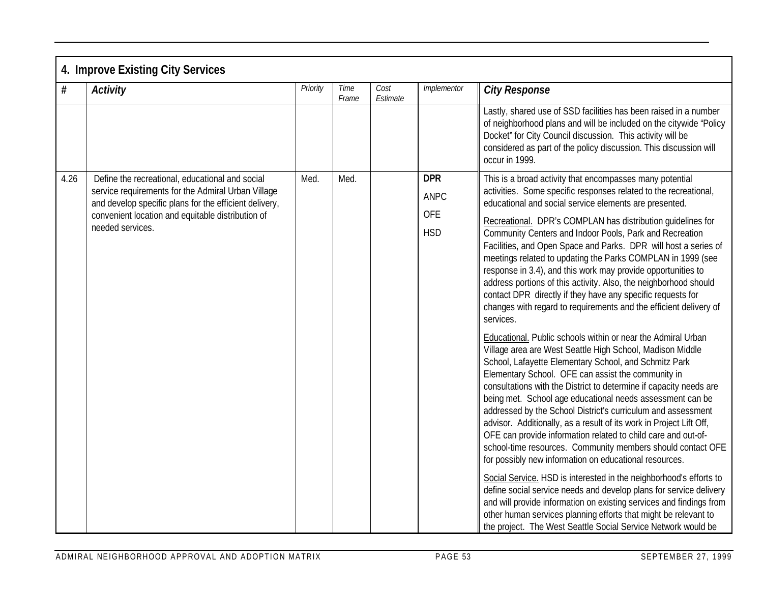|      | 4. Improve Existing City Services                                                                                                                                                                                                        |          |               |                  |                                                |                                                                                                                                                                                                                                                                                                                                                                                                                                                                                                                                                                                                                                                                                                                                                                                                                                                                                                                                                                                                     |
|------|------------------------------------------------------------------------------------------------------------------------------------------------------------------------------------------------------------------------------------------|----------|---------------|------------------|------------------------------------------------|-----------------------------------------------------------------------------------------------------------------------------------------------------------------------------------------------------------------------------------------------------------------------------------------------------------------------------------------------------------------------------------------------------------------------------------------------------------------------------------------------------------------------------------------------------------------------------------------------------------------------------------------------------------------------------------------------------------------------------------------------------------------------------------------------------------------------------------------------------------------------------------------------------------------------------------------------------------------------------------------------------|
| #    | <b>Activity</b>                                                                                                                                                                                                                          | Priority | Time<br>Frame | Cost<br>Estimate | Implementor                                    | <b>City Response</b>                                                                                                                                                                                                                                                                                                                                                                                                                                                                                                                                                                                                                                                                                                                                                                                                                                                                                                                                                                                |
|      |                                                                                                                                                                                                                                          |          |               |                  |                                                | Lastly, shared use of SSD facilities has been raised in a number<br>of neighborhood plans and will be included on the citywide "Policy<br>Docket" for City Council discussion. This activity will be<br>considered as part of the policy discussion. This discussion will<br>occur in 1999.                                                                                                                                                                                                                                                                                                                                                                                                                                                                                                                                                                                                                                                                                                         |
| 4.26 | Define the recreational, educational and social<br>service requirements for the Admiral Urban Village<br>and develop specific plans for the efficient delivery,<br>convenient location and equitable distribution of<br>needed services. | Med.     | Med.          |                  | <b>DPR</b><br>ANPC<br><b>OFE</b><br><b>HSD</b> | This is a broad activity that encompasses many potential<br>activities. Some specific responses related to the recreational,<br>educational and social service elements are presented.<br>Recreational. DPR's COMPLAN has distribution guidelines for<br>Community Centers and Indoor Pools, Park and Recreation<br>Facilities, and Open Space and Parks. DPR will host a series of<br>meetings related to updating the Parks COMPLAN in 1999 (see<br>response in 3.4), and this work may provide opportunities to<br>address portions of this activity. Also, the neighborhood should<br>contact DPR directly if they have any specific requests for<br>changes with regard to requirements and the efficient delivery of<br>services.<br>Educational. Public schools within or near the Admiral Urban                                                                                                                                                                                             |
|      |                                                                                                                                                                                                                                          |          |               |                  |                                                | Village area are West Seattle High School, Madison Middle<br>School, Lafayette Elementary School, and Schmitz Park<br>Elementary School. OFE can assist the community in<br>consultations with the District to determine if capacity needs are<br>being met. School age educational needs assessment can be<br>addressed by the School District's curriculum and assessment<br>advisor. Additionally, as a result of its work in Project Lift Off,<br>OFE can provide information related to child care and out-of-<br>school-time resources. Community members should contact OFE<br>for possibly new information on educational resources.<br>Social Service. HSD is interested in the neighborhood's efforts to<br>define social service needs and develop plans for service delivery<br>and will provide information on existing services and findings from<br>other human services planning efforts that might be relevant to<br>the project. The West Seattle Social Service Network would be |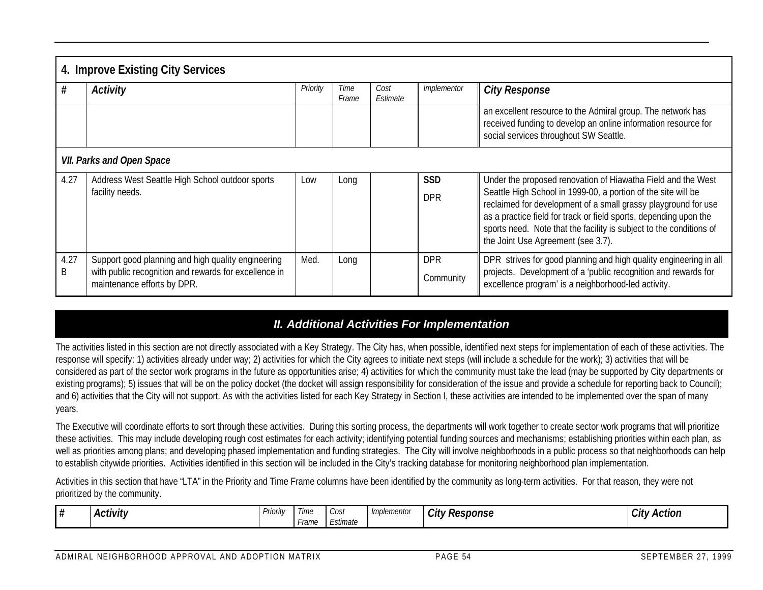|                                  | 4. Improve Existing City Services                                                    |          |               |                  |             |                                                                                                                                                                                                                                                                                                                   |  |  |  |  |  |
|----------------------------------|--------------------------------------------------------------------------------------|----------|---------------|------------------|-------------|-------------------------------------------------------------------------------------------------------------------------------------------------------------------------------------------------------------------------------------------------------------------------------------------------------------------|--|--|--|--|--|
| #                                | Activity                                                                             | Priority | Time<br>Frame | Cost<br>Estimate | Implementor | <b>City Response</b>                                                                                                                                                                                                                                                                                              |  |  |  |  |  |
|                                  |                                                                                      |          |               |                  |             | an excellent resource to the Admiral group. The network has<br>received funding to develop an online information resource for<br>social services throughout SW Seattle.                                                                                                                                           |  |  |  |  |  |
| <b>VII. Parks and Open Space</b> |                                                                                      |          |               |                  |             |                                                                                                                                                                                                                                                                                                                   |  |  |  |  |  |
| 4.27                             | Address West Seattle High School outdoor sports                                      | Low      | Long          |                  | <b>SSD</b>  | Under the proposed renovation of Hiawatha Field and the West                                                                                                                                                                                                                                                      |  |  |  |  |  |
|                                  | facility needs.                                                                      |          |               |                  | <b>DPR</b>  | Seattle High School in 1999-00, a portion of the site will be<br>reclaimed for development of a small grassy playground for use<br>as a practice field for track or field sports, depending upon the<br>sports need. Note that the facility is subject to the conditions of<br>the Joint Use Agreement (see 3.7). |  |  |  |  |  |
| 4.27                             | Support good planning and high quality engineering                                   | Med.     | Long          |                  | <b>DPR</b>  | DPR strives for good planning and high quality engineering in all                                                                                                                                                                                                                                                 |  |  |  |  |  |
| B                                | with public recognition and rewards for excellence in<br>maintenance efforts by DPR. |          |               |                  | Community   | projects. Development of a 'public recognition and rewards for<br>excellence program' is a neighborhood-led activity.                                                                                                                                                                                             |  |  |  |  |  |

# *II. Additional Activities For Implementation*

The activities listed in this section are not directly associated with a Key Strategy. The City has, when possible, identified next steps for implementation of each of these activities. The response will specify: 1) activities already under way; 2) activities for which the City agrees to initiate next steps (will include a schedule for the work); 3) activities that will be considered as part of the sector work programs in the future as opportunities arise; 4) activities for which the community must take the lead (may be supported by City departments or existing programs); 5) issues that will be on the policy docket (the docket will assign responsibility for consideration of the issue and provide a schedule for reporting back to Council); and 6) activities that the City will not support. As with the activities listed for each Key Strategy in Section I, these activities are intended to be implemented over the span of many years.

The Executive will coordinate efforts to sort through these activities. During this sorting process, the departments will work together to create sector work programs that will prioritize these activities. This may include developing rough cost estimates for each activity; identifying potential funding sources and mechanisms; establishing priorities within each plan, as well as priorities among plans; and developing phased implementation and funding strategies. The City will involve neighborhoods in a public process so that neighborhoods can help to establish citywide priorities. Activities identified in this section will be included in the City's tracking database for monitoring neighborhood plan implementation.

Activities in this section that have "LTA" in the Priority and Time Frame columns have been identified by the community as long-term activities. For that reason, they were not prioritized by the community.

| ' '' | . .<br>. .<br>Activity | $\sim$<br>. .<br>Priority | l ime<br>·rame | - UUJ.<br>$\cdot$ $\cdot$<br>Estimate | Implementor | City<br>' Response | $\sim$<br>Action<br>∵ ∨اان |
|------|------------------------|---------------------------|----------------|---------------------------------------|-------------|--------------------|----------------------------|
|------|------------------------|---------------------------|----------------|---------------------------------------|-------------|--------------------|----------------------------|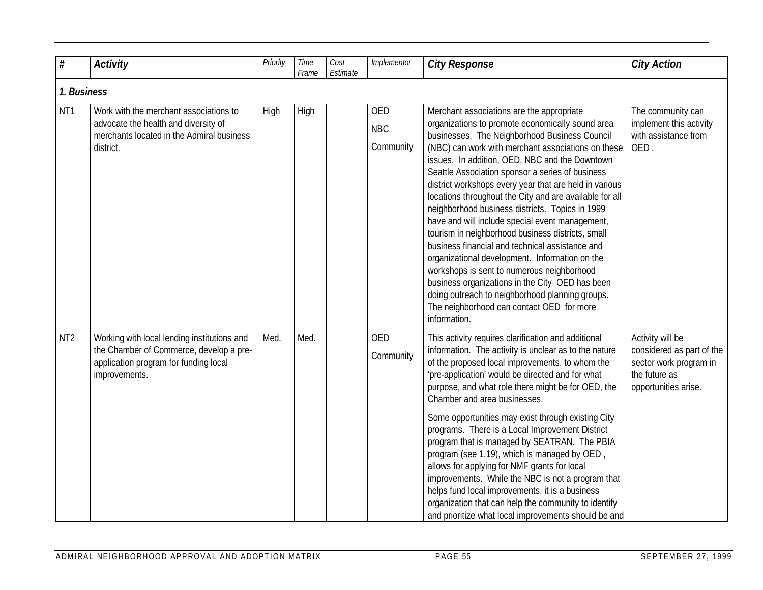| $\#$            | <b>Activity</b>                                                                                                                                  | Priority | Time<br>Frame | Cost<br>Estimate | Implementor                           | <b>City Response</b>                                                                                                                                                                                                                                                                                                                                                                                                                                                                                                                                                                                                                                                                                                                                                                                                                                                                                             | <b>City Action</b>                                                                                               |
|-----------------|--------------------------------------------------------------------------------------------------------------------------------------------------|----------|---------------|------------------|---------------------------------------|------------------------------------------------------------------------------------------------------------------------------------------------------------------------------------------------------------------------------------------------------------------------------------------------------------------------------------------------------------------------------------------------------------------------------------------------------------------------------------------------------------------------------------------------------------------------------------------------------------------------------------------------------------------------------------------------------------------------------------------------------------------------------------------------------------------------------------------------------------------------------------------------------------------|------------------------------------------------------------------------------------------------------------------|
| 1. Business     |                                                                                                                                                  |          |               |                  |                                       |                                                                                                                                                                                                                                                                                                                                                                                                                                                                                                                                                                                                                                                                                                                                                                                                                                                                                                                  |                                                                                                                  |
| NT <sub>1</sub> | Work with the merchant associations to<br>advocate the health and diversity of<br>merchants located in the Admiral business<br>district.         | High     | High          |                  | <b>OED</b><br><b>NBC</b><br>Community | Merchant associations are the appropriate<br>organizations to promote economically sound area<br>businesses. The Neighborhood Business Council<br>(NBC) can work with merchant associations on these<br>issues. In addition, OED, NBC and the Downtown<br>Seattle Association sponsor a series of business<br>district workshops every year that are held in various<br>locations throughout the City and are available for all<br>neighborhood business districts. Topics in 1999<br>have and will include special event management,<br>tourism in neighborhood business districts, small<br>business financial and technical assistance and<br>organizational development. Information on the<br>workshops is sent to numerous neighborhood<br>business organizations in the City OED has been<br>doing outreach to neighborhood planning groups.<br>The neighborhood can contact OED for more<br>information. | The community can<br>implement this activity<br>with assistance from<br>OED.                                     |
| NT <sub>2</sub> | Working with local lending institutions and<br>the Chamber of Commerce, develop a pre-<br>application program for funding local<br>improvements. | Med.     | Med.          |                  | <b>OED</b><br>Community               | This activity requires clarification and additional<br>information. The activity is unclear as to the nature<br>of the proposed local improvements, to whom the<br>'pre-application' would be directed and for what<br>purpose, and what role there might be for OED, the<br>Chamber and area businesses.<br>Some opportunities may exist through existing City<br>programs. There is a Local Improvement District<br>program that is managed by SEATRAN. The PBIA<br>program (see 1.19), which is managed by OED,<br>allows for applying for NMF grants for local<br>improvements. While the NBC is not a program that<br>helps fund local improvements, it is a business<br>organization that can help the community to identify<br>and prioritize what local improvements should be and                                                                                                                       | Activity will be<br>considered as part of the<br>sector work program in<br>the future as<br>opportunities arise. |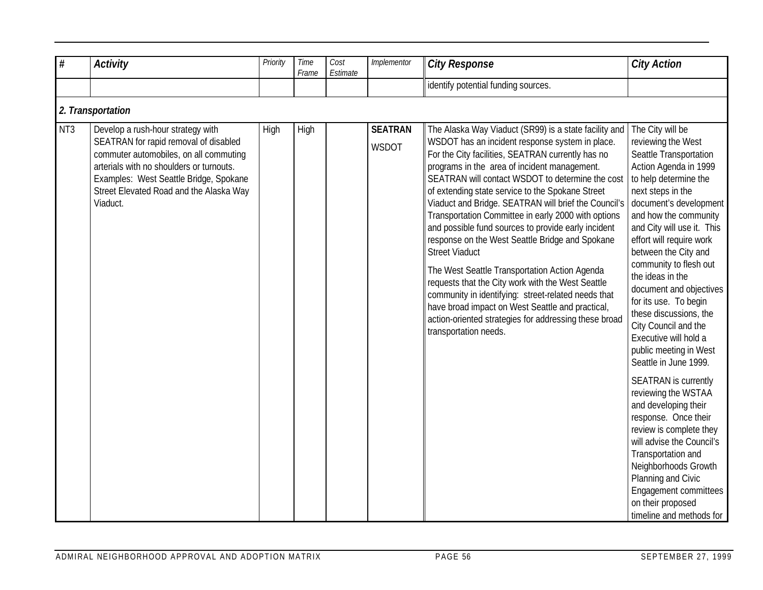| $\#$            | <b>Activity</b>                                                                                                                                                                                                                                                   | Priority | Time<br>Frame | Cost<br>Estimate | Implementor             | <b>City Response</b>                                                                                                                                                                                                                                                                                                                                                                                                                                                                                                                                                                                                                                                                                                                                                                                                                                                       | <b>City Action</b>                                                                                                                                                                                                                                                                                                                                                                                                                                                                                                                                                                                                                                                                                                                                                                                                       |
|-----------------|-------------------------------------------------------------------------------------------------------------------------------------------------------------------------------------------------------------------------------------------------------------------|----------|---------------|------------------|-------------------------|----------------------------------------------------------------------------------------------------------------------------------------------------------------------------------------------------------------------------------------------------------------------------------------------------------------------------------------------------------------------------------------------------------------------------------------------------------------------------------------------------------------------------------------------------------------------------------------------------------------------------------------------------------------------------------------------------------------------------------------------------------------------------------------------------------------------------------------------------------------------------|--------------------------------------------------------------------------------------------------------------------------------------------------------------------------------------------------------------------------------------------------------------------------------------------------------------------------------------------------------------------------------------------------------------------------------------------------------------------------------------------------------------------------------------------------------------------------------------------------------------------------------------------------------------------------------------------------------------------------------------------------------------------------------------------------------------------------|
|                 |                                                                                                                                                                                                                                                                   |          |               |                  |                         | identify potential funding sources.                                                                                                                                                                                                                                                                                                                                                                                                                                                                                                                                                                                                                                                                                                                                                                                                                                        |                                                                                                                                                                                                                                                                                                                                                                                                                                                                                                                                                                                                                                                                                                                                                                                                                          |
|                 | 2. Transportation                                                                                                                                                                                                                                                 |          |               |                  |                         |                                                                                                                                                                                                                                                                                                                                                                                                                                                                                                                                                                                                                                                                                                                                                                                                                                                                            |                                                                                                                                                                                                                                                                                                                                                                                                                                                                                                                                                                                                                                                                                                                                                                                                                          |
| NT <sub>3</sub> | Develop a rush-hour strategy with<br>SEATRAN for rapid removal of disabled<br>commuter automobiles, on all commuting<br>arterials with no shoulders or turnouts.<br>Examples: West Seattle Bridge, Spokane<br>Street Elevated Road and the Alaska Way<br>Viaduct. | High     | High          |                  | <b>SEATRAN</b><br>WSDOT | The Alaska Way Viaduct (SR99) is a state facility and<br>WSDOT has an incident response system in place.<br>For the City facilities, SEATRAN currently has no<br>programs in the area of incident management.<br>SEATRAN will contact WSDOT to determine the cost<br>of extending state service to the Spokane Street<br>Viaduct and Bridge. SEATRAN will brief the Council's<br>Transportation Committee in early 2000 with options<br>and possible fund sources to provide early incident<br>response on the West Seattle Bridge and Spokane<br><b>Street Viaduct</b><br>The West Seattle Transportation Action Agenda<br>requests that the City work with the West Seattle<br>community in identifying: street-related needs that<br>have broad impact on West Seattle and practical,<br>action-oriented strategies for addressing these broad<br>transportation needs. | The City will be<br>reviewing the West<br>Seattle Transportation<br>Action Agenda in 1999<br>to help determine the<br>next steps in the<br>document's development<br>and how the community<br>and City will use it. This<br>effort will require work<br>between the City and<br>community to flesh out<br>the ideas in the<br>document and objectives<br>for its use. To begin<br>these discussions, the<br>City Council and the<br>Executive will hold a<br>public meeting in West<br>Seattle in June 1999.<br><b>SEATRAN</b> is currently<br>reviewing the WSTAA<br>and developing their<br>response. Once their<br>review is complete they<br>will advise the Council's<br>Transportation and<br>Neighborhoods Growth<br>Planning and Civic<br>Engagement committees<br>on their proposed<br>timeline and methods for |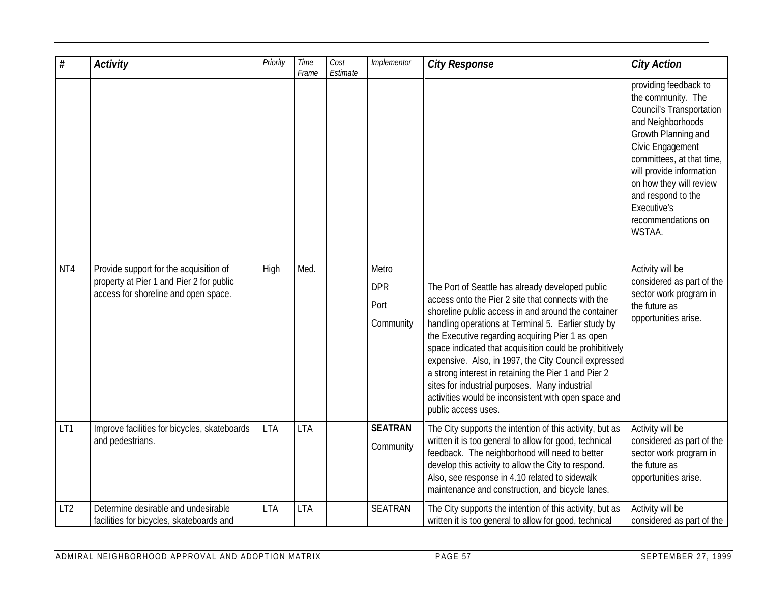| $\#$            | <b>Activity</b>                                                                                                            | Priority    | Time<br>Frame | Cost<br>Estimate | Implementor                              | <b>City Response</b>                                                                                                                                                                                                                                                                                                                                                                                                                                                                                                                                                                 | <b>City Action</b>                                                                                                                                                                                                                                                                                      |
|-----------------|----------------------------------------------------------------------------------------------------------------------------|-------------|---------------|------------------|------------------------------------------|--------------------------------------------------------------------------------------------------------------------------------------------------------------------------------------------------------------------------------------------------------------------------------------------------------------------------------------------------------------------------------------------------------------------------------------------------------------------------------------------------------------------------------------------------------------------------------------|---------------------------------------------------------------------------------------------------------------------------------------------------------------------------------------------------------------------------------------------------------------------------------------------------------|
|                 |                                                                                                                            |             |               |                  |                                          |                                                                                                                                                                                                                                                                                                                                                                                                                                                                                                                                                                                      | providing feedback to<br>the community. The<br><b>Council's Transportation</b><br>and Neighborhoods<br>Growth Planning and<br>Civic Engagement<br>committees, at that time,<br>will provide information<br>on how they will review<br>and respond to the<br>Executive's<br>recommendations on<br>WSTAA. |
| NT4             | Provide support for the acquisition of<br>property at Pier 1 and Pier 2 for public<br>access for shoreline and open space. | <b>High</b> | Med.          |                  | Metro<br><b>DPR</b><br>Port<br>Community | The Port of Seattle has already developed public<br>access onto the Pier 2 site that connects with the<br>shoreline public access in and around the container<br>handling operations at Terminal 5. Earlier study by<br>the Executive regarding acquiring Pier 1 as open<br>space indicated that acquisition could be prohibitively<br>expensive. Also, in 1997, the City Council expressed<br>a strong interest in retaining the Pier 1 and Pier 2<br>sites for industrial purposes. Many industrial<br>activities would be inconsistent with open space and<br>public access uses. | Activity will be<br>considered as part of the<br>sector work program in<br>the future as<br>opportunities arise.                                                                                                                                                                                        |
| LT1             | Improve facilities for bicycles, skateboards<br>and pedestrians.                                                           | <b>LTA</b>  | <b>LTA</b>    |                  | <b>SEATRAN</b><br>Community              | The City supports the intention of this activity, but as<br>written it is too general to allow for good, technical<br>feedback. The neighborhood will need to better<br>develop this activity to allow the City to respond.<br>Also, see response in 4.10 related to sidewalk<br>maintenance and construction, and bicycle lanes.                                                                                                                                                                                                                                                    | Activity will be<br>considered as part of the<br>sector work program in<br>the future as<br>opportunities arise.                                                                                                                                                                                        |
| LT <sub>2</sub> | Determine desirable and undesirable<br>facilities for bicycles, skateboards and                                            | <b>LTA</b>  | <b>LTA</b>    |                  | <b>SEATRAN</b>                           | The City supports the intention of this activity, but as<br>written it is too general to allow for good, technical                                                                                                                                                                                                                                                                                                                                                                                                                                                                   | Activity will be<br>considered as part of the                                                                                                                                                                                                                                                           |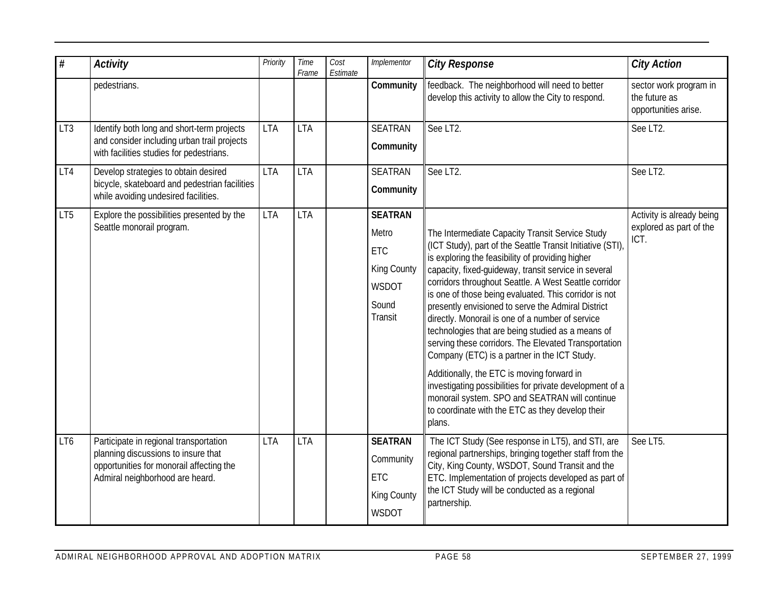| #               | <b>Activity</b>                                                                                                                                              | Priority   | Time<br>Frame | Cost<br>Estimate | Implementor                                                                | <b>City Response</b>                                                                                                                                                                                                                                                                                                                                                                                                                                                                                                                                                                                                                                                                                                                                                                                                                        | <b>City Action</b>                                              |
|-----------------|--------------------------------------------------------------------------------------------------------------------------------------------------------------|------------|---------------|------------------|----------------------------------------------------------------------------|---------------------------------------------------------------------------------------------------------------------------------------------------------------------------------------------------------------------------------------------------------------------------------------------------------------------------------------------------------------------------------------------------------------------------------------------------------------------------------------------------------------------------------------------------------------------------------------------------------------------------------------------------------------------------------------------------------------------------------------------------------------------------------------------------------------------------------------------|-----------------------------------------------------------------|
|                 | pedestrians.                                                                                                                                                 |            |               |                  | Community                                                                  | feedback. The neighborhood will need to better<br>develop this activity to allow the City to respond.                                                                                                                                                                                                                                                                                                                                                                                                                                                                                                                                                                                                                                                                                                                                       | sector work program in<br>the future as<br>opportunities arise. |
| LT3             | Identify both long and short-term projects<br>and consider including urban trail projects<br>with facilities studies for pedestrians.                        | <b>LTA</b> | <b>LTA</b>    |                  | <b>SEATRAN</b><br>Community                                                | See LT2.                                                                                                                                                                                                                                                                                                                                                                                                                                                                                                                                                                                                                                                                                                                                                                                                                                    | See LT2.                                                        |
| LT4             | Develop strategies to obtain desired<br>bicycle, skateboard and pedestrian facilities<br>while avoiding undesired facilities.                                | <b>LTA</b> | <b>LTA</b>    |                  | <b>SEATRAN</b><br>Community                                                | See LT2.                                                                                                                                                                                                                                                                                                                                                                                                                                                                                                                                                                                                                                                                                                                                                                                                                                    | See LT2.                                                        |
| LT <sub>5</sub> | Explore the possibilities presented by the<br>Seattle monorail program.                                                                                      | <b>LTA</b> | <b>LTA</b>    |                  | <b>SEATRAN</b><br>Metro<br>ETC<br>King County<br>WSDOT<br>Sound<br>Transit | The Intermediate Capacity Transit Service Study<br>(ICT Study), part of the Seattle Transit Initiative (STI)<br>is exploring the feasibility of providing higher<br>capacity, fixed-guideway, transit service in several<br>corridors throughout Seattle. A West Seattle corridor<br>is one of those being evaluated. This corridor is not<br>presently envisioned to serve the Admiral District<br>directly. Monorail is one of a number of service<br>technologies that are being studied as a means of<br>serving these corridors. The Elevated Transportation<br>Company (ETC) is a partner in the ICT Study.<br>Additionally, the ETC is moving forward in<br>investigating possibilities for private development of a<br>monorail system. SPO and SEATRAN will continue<br>to coordinate with the ETC as they develop their<br>plans. | Activity is already being<br>explored as part of the<br>ICT.    |
| LT6             | Participate in regional transportation<br>planning discussions to insure that<br>opportunities for monorail affecting the<br>Admiral neighborhood are heard. | <b>LTA</b> | <b>LTA</b>    |                  | <b>SEATRAN</b><br>Community<br>ETC<br>King County<br>WSDOT                 | The ICT Study (See response in LT5), and STI, are<br>regional partnerships, bringing together staff from the<br>City, King County, WSDOT, Sound Transit and the<br>ETC. Implementation of projects developed as part of<br>the ICT Study will be conducted as a regional<br>partnership.                                                                                                                                                                                                                                                                                                                                                                                                                                                                                                                                                    | See LT5.                                                        |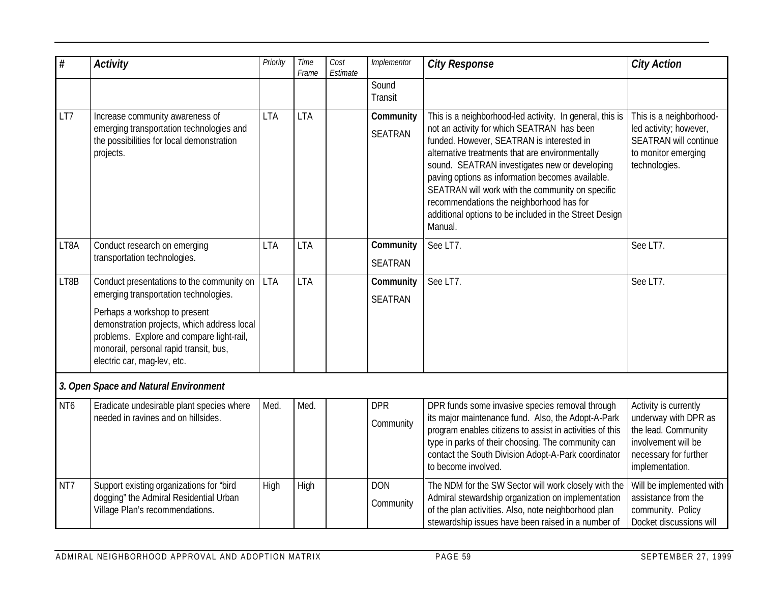| $\#$            | <b>Activity</b>                                                                                                                                                                                    | Priority   | Time<br>Frame | Cost<br>Estimate | Implementor                 | <b>City Response</b>                                                                                                                                                                                                                                                                                                                                                                                                                                                             | <b>City Action</b>                                                                                                                      |
|-----------------|----------------------------------------------------------------------------------------------------------------------------------------------------------------------------------------------------|------------|---------------|------------------|-----------------------------|----------------------------------------------------------------------------------------------------------------------------------------------------------------------------------------------------------------------------------------------------------------------------------------------------------------------------------------------------------------------------------------------------------------------------------------------------------------------------------|-----------------------------------------------------------------------------------------------------------------------------------------|
|                 |                                                                                                                                                                                                    |            |               |                  | Sound<br>Transit            |                                                                                                                                                                                                                                                                                                                                                                                                                                                                                  |                                                                                                                                         |
| LT7             | Increase community awareness of<br>emerging transportation technologies and<br>the possibilities for local demonstration<br>projects.                                                              | <b>LTA</b> | <b>LTA</b>    |                  | Community<br><b>SEATRAN</b> | This is a neighborhood-led activity. In general, this is<br>not an activity for which SEATRAN has been<br>funded. However, SEATRAN is interested in<br>alternative treatments that are environmentally<br>sound. SEATRAN investigates new or developing<br>paving options as information becomes available.<br>SEATRAN will work with the community on specific<br>recommendations the neighborhood has for<br>additional options to be included in the Street Design<br>Manual. | This is a neighborhood-<br>led activity; however,<br><b>SEATRAN will continue</b><br>to monitor emerging<br>technologies.               |
| LT8A            | Conduct research on emerging                                                                                                                                                                       | <b>LTA</b> | <b>LTA</b>    |                  | Community                   | See LT7.                                                                                                                                                                                                                                                                                                                                                                                                                                                                         | See LT7.                                                                                                                                |
|                 | transportation technologies.                                                                                                                                                                       |            |               |                  | <b>SEATRAN</b>              |                                                                                                                                                                                                                                                                                                                                                                                                                                                                                  |                                                                                                                                         |
| LT8B            | Conduct presentations to the community on<br>emerging transportation technologies.                                                                                                                 | <b>LTA</b> | <b>LTA</b>    |                  | Community                   | See LT7.                                                                                                                                                                                                                                                                                                                                                                                                                                                                         | See LT7.                                                                                                                                |
|                 | Perhaps a workshop to present<br>demonstration projects, which address local<br>problems. Explore and compare light-rail,<br>monorail, personal rapid transit, bus,<br>electric car, mag-lev, etc. |            |               |                  | <b>SEATRAN</b>              |                                                                                                                                                                                                                                                                                                                                                                                                                                                                                  |                                                                                                                                         |
|                 | 3. Open Space and Natural Environment                                                                                                                                                              |            |               |                  |                             |                                                                                                                                                                                                                                                                                                                                                                                                                                                                                  |                                                                                                                                         |
| NT <sub>6</sub> | Eradicate undesirable plant species where<br>needed in ravines and on hillsides.                                                                                                                   | Med.       | Med.          |                  | <b>DPR</b><br>Community     | DPR funds some invasive species removal through<br>its major maintenance fund. Also, the Adopt-A-Park<br>program enables citizens to assist in activities of this<br>type in parks of their choosing. The community can<br>contact the South Division Adopt-A-Park coordinator<br>to become involved.                                                                                                                                                                            | Activity is currently<br>underway with DPR as<br>the lead. Community<br>involvement will be<br>necessary for further<br>implementation. |
| NT7             | Support existing organizations for "bird<br>dogging" the Admiral Residential Urban<br>Village Plan's recommendations.                                                                              | High       | High          |                  | <b>DON</b><br>Community     | The NDM for the SW Sector will work closely with the<br>Admiral stewardship organization on implementation<br>of the plan activities. Also, note neighborhood plan<br>stewardship issues have been raised in a number of                                                                                                                                                                                                                                                         | Will be implemented with<br>assistance from the<br>community. Policy<br>Docket discussions will                                         |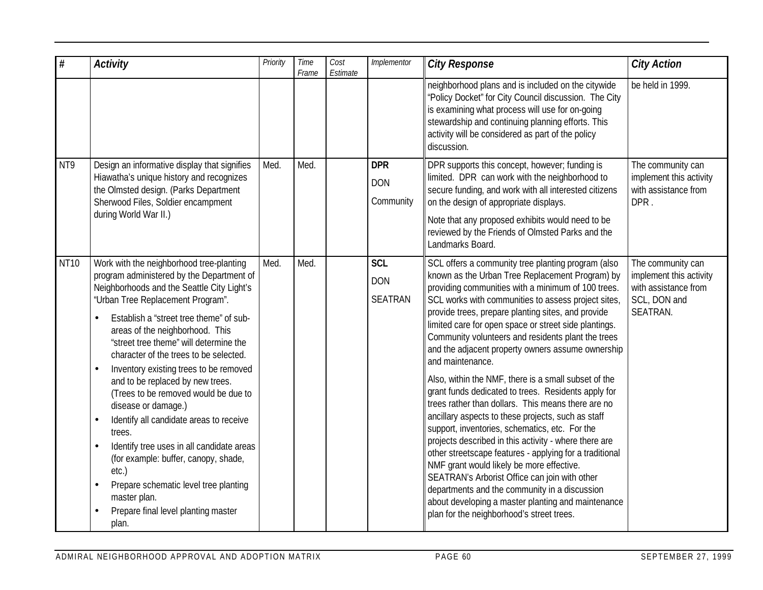| #           | <b>Activity</b>                                                                                                                                                                                                                                                                                                                                                                                                                                                                                                                                                                                                                                                                                                                                                                                         | Priority | Time<br>Frame | Cost<br>Estimate | Implementor                                | <b>City Response</b>                                                                                                                                                                                                                                                                                                                                                                                                                                                                                                                                                                                                                                                                                                                                                                                                                                                                                                                                                                                                                                                                                                                    | <b>City Action</b>                                                                               |
|-------------|---------------------------------------------------------------------------------------------------------------------------------------------------------------------------------------------------------------------------------------------------------------------------------------------------------------------------------------------------------------------------------------------------------------------------------------------------------------------------------------------------------------------------------------------------------------------------------------------------------------------------------------------------------------------------------------------------------------------------------------------------------------------------------------------------------|----------|---------------|------------------|--------------------------------------------|-----------------------------------------------------------------------------------------------------------------------------------------------------------------------------------------------------------------------------------------------------------------------------------------------------------------------------------------------------------------------------------------------------------------------------------------------------------------------------------------------------------------------------------------------------------------------------------------------------------------------------------------------------------------------------------------------------------------------------------------------------------------------------------------------------------------------------------------------------------------------------------------------------------------------------------------------------------------------------------------------------------------------------------------------------------------------------------------------------------------------------------------|--------------------------------------------------------------------------------------------------|
|             |                                                                                                                                                                                                                                                                                                                                                                                                                                                                                                                                                                                                                                                                                                                                                                                                         |          |               |                  |                                            | neighborhood plans and is included on the citywide<br>"Policy Docket" for City Council discussion. The City<br>is examining what process will use for on-going<br>stewardship and continuing planning efforts. This<br>activity will be considered as part of the policy<br>discussion.                                                                                                                                                                                                                                                                                                                                                                                                                                                                                                                                                                                                                                                                                                                                                                                                                                                 | be held in 1999.                                                                                 |
| NT9         | Design an informative display that signifies<br>Hiawatha's unique history and recognizes<br>the Olmsted design. (Parks Department<br>Sherwood Files, Soldier encampment<br>during World War II.)                                                                                                                                                                                                                                                                                                                                                                                                                                                                                                                                                                                                        | Med.     | Med.          |                  | <b>DPR</b><br><b>DON</b><br>Community      | DPR supports this concept, however; funding is<br>limited. DPR can work with the neighborhood to<br>secure funding, and work with all interested citizens<br>on the design of appropriate displays.<br>Note that any proposed exhibits would need to be<br>reviewed by the Friends of Olmsted Parks and the                                                                                                                                                                                                                                                                                                                                                                                                                                                                                                                                                                                                                                                                                                                                                                                                                             | The community can<br>implement this activity<br>with assistance from<br>DPR.                     |
| <b>NT10</b> | Work with the neighborhood tree-planting<br>program administered by the Department of<br>Neighborhoods and the Seattle City Light's<br>"Urban Tree Replacement Program".<br>Establish a "street tree theme" of sub-<br>areas of the neighborhood. This<br>"street tree theme" will determine the<br>character of the trees to be selected.<br>Inventory existing trees to be removed<br>$\bullet$<br>and to be replaced by new trees.<br>(Trees to be removed would be due to<br>disease or damage.)<br>Identify all candidate areas to receive<br>$\bullet$<br>trees.<br>Identify tree uses in all candidate areas<br>$\bullet$<br>(for example: buffer, canopy, shade,<br>etc.)<br>Prepare schematic level tree planting<br>$\bullet$<br>master plan.<br>Prepare final level planting master<br>plan. | Med.     | Med.          |                  | <b>SCL</b><br><b>DON</b><br><b>SEATRAN</b> | Landmarks Board.<br>SCL offers a community tree planting program (also<br>known as the Urban Tree Replacement Program) by<br>providing communities with a minimum of 100 trees.<br>SCL works with communities to assess project sites,<br>provide trees, prepare planting sites, and provide<br>limited care for open space or street side plantings.<br>Community volunteers and residents plant the trees<br>and the adjacent property owners assume ownership<br>and maintenance.<br>Also, within the NMF, there is a small subset of the<br>grant funds dedicated to trees. Residents apply for<br>trees rather than dollars. This means there are no<br>ancillary aspects to these projects, such as staff<br>support, inventories, schematics, etc. For the<br>projects described in this activity - where there are<br>other streetscape features - applying for a traditional<br>NMF grant would likely be more effective.<br>SEATRAN's Arborist Office can join with other<br>departments and the community in a discussion<br>about developing a master planting and maintenance<br>plan for the neighborhood's street trees. | The community can<br>implement this activity<br>with assistance from<br>SCL, DON and<br>SEATRAN. |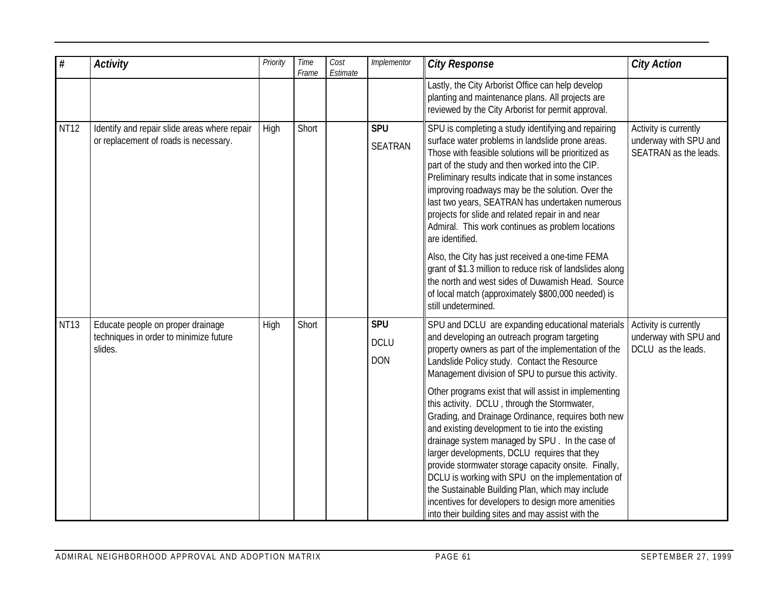| $\#$        | <b>Activity</b>                                                                        | Priority | Time<br>Frame | Cost<br>Estimate | Implementor                             | <b>City Response</b>                                                                                                                                                                                                                                                                                                                                                                                                                                                                                                                                                                                                                                                                                                                                                                                                                                              | <b>City Action</b>                                                      |
|-------------|----------------------------------------------------------------------------------------|----------|---------------|------------------|-----------------------------------------|-------------------------------------------------------------------------------------------------------------------------------------------------------------------------------------------------------------------------------------------------------------------------------------------------------------------------------------------------------------------------------------------------------------------------------------------------------------------------------------------------------------------------------------------------------------------------------------------------------------------------------------------------------------------------------------------------------------------------------------------------------------------------------------------------------------------------------------------------------------------|-------------------------------------------------------------------------|
|             |                                                                                        |          |               |                  |                                         | Lastly, the City Arborist Office can help develop<br>planting and maintenance plans. All projects are<br>reviewed by the City Arborist for permit approval.                                                                                                                                                                                                                                                                                                                                                                                                                                                                                                                                                                                                                                                                                                       |                                                                         |
| <b>NT12</b> | Identify and repair slide areas where repair<br>or replacement of roads is necessary.  | High     | Short         |                  | <b>SPU</b><br><b>SEATRAN</b>            | SPU is completing a study identifying and repairing<br>surface water problems in landslide prone areas.<br>Those with feasible solutions will be prioritized as<br>part of the study and then worked into the CIP.<br>Preliminary results indicate that in some instances<br>improving roadways may be the solution. Over the<br>last two years, SEATRAN has undertaken numerous<br>projects for slide and related repair in and near<br>Admiral. This work continues as problem locations<br>are identified.<br>Also, the City has just received a one-time FEMA<br>grant of \$1.3 million to reduce risk of landslides along<br>the north and west sides of Duwamish Head. Source<br>of local match (approximately \$800,000 needed) is<br>still undetermined.                                                                                                  | Activity is currently<br>underway with SPU and<br>SEATRAN as the leads. |
| <b>NT13</b> | Educate people on proper drainage<br>techniques in order to minimize future<br>slides. | High     | Short         |                  | <b>SPU</b><br><b>DCLU</b><br><b>DON</b> | SPU and DCLU are expanding educational materials<br>and developing an outreach program targeting<br>property owners as part of the implementation of the<br>Landslide Policy study. Contact the Resource<br>Management division of SPU to pursue this activity.<br>Other programs exist that will assist in implementing<br>this activity. DCLU, through the Stormwater,<br>Grading, and Drainage Ordinance, requires both new<br>and existing development to tie into the existing<br>drainage system managed by SPU. In the case of<br>larger developments, DCLU requires that they<br>provide stormwater storage capacity onsite. Finally,<br>DCLU is working with SPU on the implementation of<br>the Sustainable Building Plan, which may include<br>incentives for developers to design more amenities<br>into their building sites and may assist with the | Activity is currently<br>underway with SPU and<br>DCLU as the leads.    |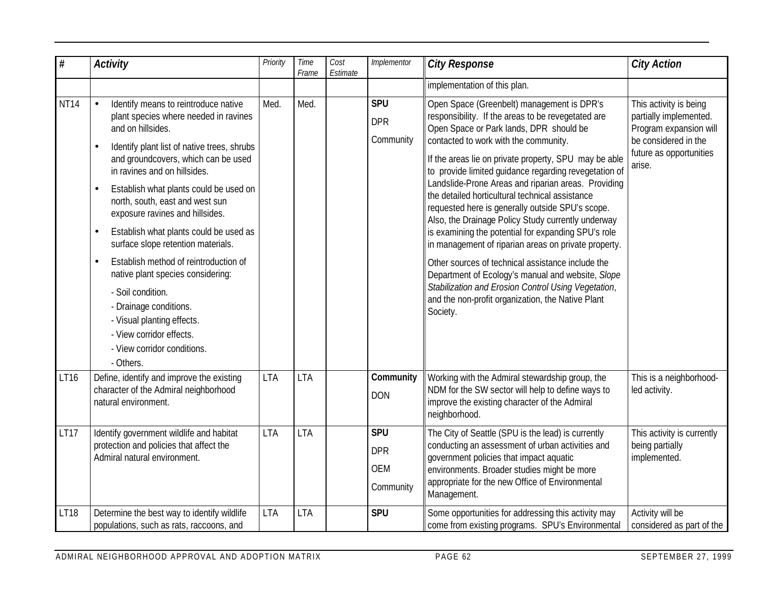| $\#$        | <b>Activity</b>                                                                                                                                                                                                                                                                                                                                                                                                                                                                                                                                                                                                                                                                                                 | Priority   | Time<br>Frame | Cost<br>Estimate | Implementor                                         | <b>City Response</b>                                                                                                                                                                                                                                                                                                                                                                                                                                                                                                                                                                                                                                                                                                                                                                                                                                                        | <b>City Action</b>                                                                                                                      |
|-------------|-----------------------------------------------------------------------------------------------------------------------------------------------------------------------------------------------------------------------------------------------------------------------------------------------------------------------------------------------------------------------------------------------------------------------------------------------------------------------------------------------------------------------------------------------------------------------------------------------------------------------------------------------------------------------------------------------------------------|------------|---------------|------------------|-----------------------------------------------------|-----------------------------------------------------------------------------------------------------------------------------------------------------------------------------------------------------------------------------------------------------------------------------------------------------------------------------------------------------------------------------------------------------------------------------------------------------------------------------------------------------------------------------------------------------------------------------------------------------------------------------------------------------------------------------------------------------------------------------------------------------------------------------------------------------------------------------------------------------------------------------|-----------------------------------------------------------------------------------------------------------------------------------------|
|             |                                                                                                                                                                                                                                                                                                                                                                                                                                                                                                                                                                                                                                                                                                                 |            |               |                  |                                                     | implementation of this plan.                                                                                                                                                                                                                                                                                                                                                                                                                                                                                                                                                                                                                                                                                                                                                                                                                                                |                                                                                                                                         |
| <b>NT14</b> | Identify means to reintroduce native<br>plant species where needed in ravines<br>and on hillsides.<br>Identify plant list of native trees, shrubs<br>$\bullet$<br>and groundcovers, which can be used<br>in ravines and on hillsides.<br>Establish what plants could be used on<br>$\bullet$<br>north, south, east and west sun<br>exposure ravines and hillsides.<br>Establish what plants could be used as<br>$\bullet$<br>surface slope retention materials.<br>Establish method of reintroduction of<br>$\bullet$<br>native plant species considering:<br>- Soil condition.<br>- Drainage conditions.<br>- Visual planting effects.<br>- View corridor effects.<br>- View corridor conditions.<br>- Others. | Med.       | Med.          |                  | <b>SPU</b><br><b>DPR</b><br>Community               | Open Space (Greenbelt) management is DPR's<br>responsibility. If the areas to be revegetated are<br>Open Space or Park lands, DPR should be<br>contacted to work with the community.<br>If the areas lie on private property, SPU may be able<br>to provide limited guidance regarding revegetation of<br>Landslide-Prone Areas and riparian areas. Providing<br>the detailed horticultural technical assistance<br>requested here is generally outside SPU's scope.<br>Also, the Drainage Policy Study currently underway<br>is examining the potential for expanding SPU's role<br>in management of riparian areas on private property.<br>Other sources of technical assistance include the<br>Department of Ecology's manual and website, Slope<br>Stabilization and Erosion Control Using Vegetation,<br>and the non-profit organization, the Native Plant<br>Society. | This activity is being<br>partially implemented.<br>Program expansion will<br>be considered in the<br>future as opportunities<br>arise. |
| LT16        | Define, identify and improve the existing<br>character of the Admiral neighborhood<br>natural environment.                                                                                                                                                                                                                                                                                                                                                                                                                                                                                                                                                                                                      | <b>LTA</b> | <b>LTA</b>    |                  | Community<br><b>DON</b>                             | Working with the Admiral stewardship group, the<br>NDM for the SW sector will help to define ways to<br>improve the existing character of the Admiral<br>neighborhood.                                                                                                                                                                                                                                                                                                                                                                                                                                                                                                                                                                                                                                                                                                      | This is a neighborhood-<br>led activity.                                                                                                |
| <b>LT17</b> | Identify government wildlife and habitat<br>protection and policies that affect the<br>Admiral natural environment.                                                                                                                                                                                                                                                                                                                                                                                                                                                                                                                                                                                             | <b>LTA</b> | <b>LTA</b>    |                  | <b>SPU</b><br><b>DPR</b><br><b>OEM</b><br>Community | The City of Seattle (SPU is the lead) is currently<br>conducting an assessment of urban activities and<br>government policies that impact aquatic<br>environments. Broader studies might be more<br>appropriate for the new Office of Environmental<br>Management.                                                                                                                                                                                                                                                                                                                                                                                                                                                                                                                                                                                                          | This activity is currently<br>being partially<br>implemented.                                                                           |
| <b>LT18</b> | Determine the best way to identify wildlife<br>populations, such as rats, raccoons, and                                                                                                                                                                                                                                                                                                                                                                                                                                                                                                                                                                                                                         | <b>LTA</b> | <b>LTA</b>    |                  | <b>SPU</b>                                          | Some opportunities for addressing this activity may<br>come from existing programs. SPU's Environmental                                                                                                                                                                                                                                                                                                                                                                                                                                                                                                                                                                                                                                                                                                                                                                     | Activity will be<br>considered as part of the                                                                                           |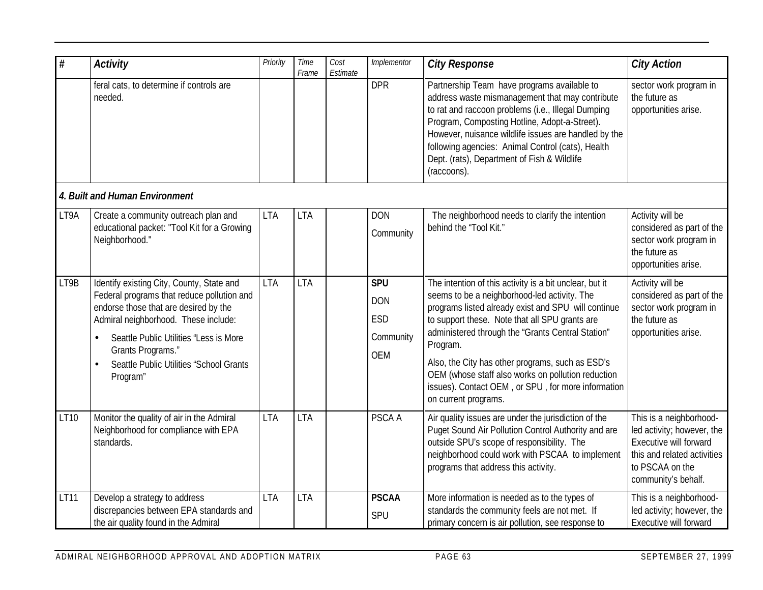| $\#$ | <b>Activity</b>                                                                                                                                                                                                                                                                                                          | Priority   | Time<br>Frame | Cost<br>Estimate | Implementor                                                | <b>City Response</b>                                                                                                                                                                                                                                                                                                                                                                                                                                                      | <b>City Action</b>                                                                                                                                       |  |  |  |
|------|--------------------------------------------------------------------------------------------------------------------------------------------------------------------------------------------------------------------------------------------------------------------------------------------------------------------------|------------|---------------|------------------|------------------------------------------------------------|---------------------------------------------------------------------------------------------------------------------------------------------------------------------------------------------------------------------------------------------------------------------------------------------------------------------------------------------------------------------------------------------------------------------------------------------------------------------------|----------------------------------------------------------------------------------------------------------------------------------------------------------|--|--|--|
|      | feral cats, to determine if controls are<br>needed.                                                                                                                                                                                                                                                                      |            |               |                  | <b>DPR</b>                                                 | Partnership Team have programs available to<br>address waste mismanagement that may contribute<br>to rat and raccoon problems (i.e., Illegal Dumping<br>Program, Composting Hotline, Adopt-a-Street).<br>However, nuisance wildlife issues are handled by the<br>following agencies: Animal Control (cats), Health<br>Dept. (rats), Department of Fish & Wildlife<br>(raccoons).                                                                                          | sector work program in<br>the future as<br>opportunities arise.                                                                                          |  |  |  |
|      | 4. Built and Human Environment                                                                                                                                                                                                                                                                                           |            |               |                  |                                                            |                                                                                                                                                                                                                                                                                                                                                                                                                                                                           |                                                                                                                                                          |  |  |  |
| LT9A | Create a community outreach plan and<br>educational packet: "Tool Kit for a Growing<br>Neighborhood."                                                                                                                                                                                                                    | <b>LTA</b> | <b>LTA</b>    |                  | <b>DON</b><br>Community                                    | The neighborhood needs to clarify the intention<br>behind the "Tool Kit."                                                                                                                                                                                                                                                                                                                                                                                                 | Activity will be<br>considered as part of the<br>sector work program in<br>the future as<br>opportunities arise.                                         |  |  |  |
| LT9B | Identify existing City, County, State and<br>Federal programs that reduce pollution and<br>endorse those that are desired by the<br>Admiral neighborhood. These include:<br>Seattle Public Utilities "Less is More<br>$\bullet$<br>Grants Programs."<br>Seattle Public Utilities "School Grants<br>$\bullet$<br>Program" | <b>LTA</b> | <b>LTA</b>    |                  | <b>SPU</b><br><b>DON</b><br><b>ESD</b><br>Community<br>OEM | The intention of this activity is a bit unclear, but it<br>seems to be a neighborhood-led activity. The<br>programs listed already exist and SPU will continue<br>to support these. Note that all SPU grants are<br>administered through the "Grants Central Station"<br>Program.<br>Also, the City has other programs, such as ESD's<br>OEM (whose staff also works on pollution reduction<br>issues). Contact OEM, or SPU, for more information<br>on current programs. | Activity will be<br>considered as part of the<br>sector work program in<br>the future as<br>opportunities arise.                                         |  |  |  |
| LT10 | Monitor the quality of air in the Admiral<br>Neighborhood for compliance with EPA<br>standards.                                                                                                                                                                                                                          | <b>LTA</b> | <b>LTA</b>    |                  | PSCA A                                                     | Air quality issues are under the jurisdiction of the<br>Puget Sound Air Pollution Control Authority and are<br>outside SPU's scope of responsibility. The<br>neighborhood could work with PSCAA to implement<br>programs that address this activity.                                                                                                                                                                                                                      | This is a neighborhood-<br>led activity; however, the<br>Executive will forward<br>this and related activities<br>to PSCAA on the<br>community's behalf. |  |  |  |
| LT11 | Develop a strategy to address<br>discrepancies between EPA standards and<br>the air quality found in the Admiral                                                                                                                                                                                                         | <b>LTA</b> | <b>LTA</b>    |                  | <b>PSCAA</b><br>SPU                                        | More information is needed as to the types of<br>standards the community feels are not met. If<br>primary concern is air pollution, see response to                                                                                                                                                                                                                                                                                                                       | This is a neighborhood-<br>led activity; however, the<br>Executive will forward                                                                          |  |  |  |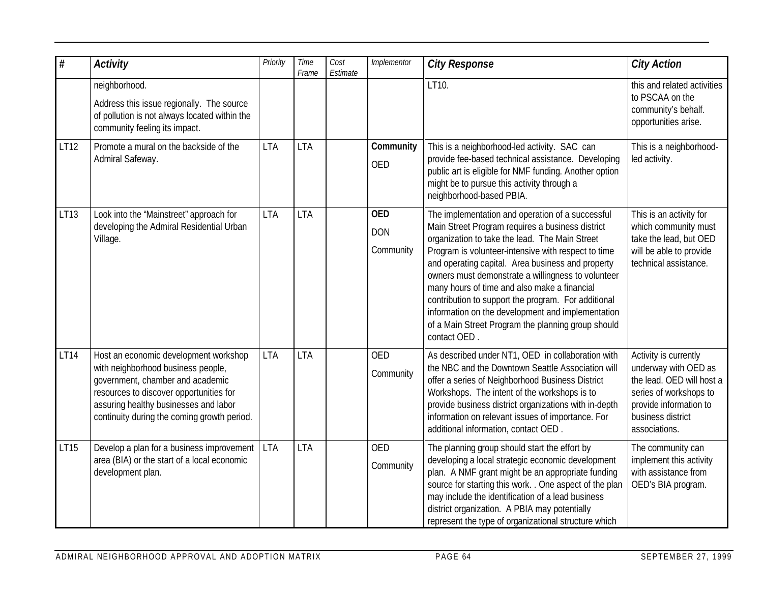| $\#$             | <b>Activity</b>                                                                                                                                                                                                                                    | Priority   | Time<br>Frame | Cost<br>Estimate | Implementor                           | <b>City Response</b>                                                                                                                                                                                                                                                                                                                                                                                                                                                                                                                                       | <b>City Action</b>                                                                                                                                                   |
|------------------|----------------------------------------------------------------------------------------------------------------------------------------------------------------------------------------------------------------------------------------------------|------------|---------------|------------------|---------------------------------------|------------------------------------------------------------------------------------------------------------------------------------------------------------------------------------------------------------------------------------------------------------------------------------------------------------------------------------------------------------------------------------------------------------------------------------------------------------------------------------------------------------------------------------------------------------|----------------------------------------------------------------------------------------------------------------------------------------------------------------------|
|                  | neighborhood.<br>Address this issue regionally. The source<br>of pollution is not always located within the<br>community feeling its impact.                                                                                                       |            |               |                  |                                       | LT10.                                                                                                                                                                                                                                                                                                                                                                                                                                                                                                                                                      | this and related activities<br>to PSCAA on the<br>community's behalf.<br>opportunities arise.                                                                        |
| LT12             | Promote a mural on the backside of the<br>Admiral Safeway.                                                                                                                                                                                         | <b>LTA</b> | <b>LTA</b>    |                  | Community<br><b>OED</b>               | This is a neighborhood-led activity. SAC can<br>provide fee-based technical assistance. Developing<br>public art is eligible for NMF funding. Another option<br>might be to pursue this activity through a<br>neighborhood-based PBIA.                                                                                                                                                                                                                                                                                                                     | This is a neighborhood-<br>led activity.                                                                                                                             |
| LT <sub>13</sub> | Look into the 'Mainstreet" approach for<br>developing the Admiral Residential Urban<br>Village.                                                                                                                                                    | <b>LTA</b> | <b>LTA</b>    |                  | <b>OED</b><br><b>DON</b><br>Community | The implementation and operation of a successful<br>Main Street Program requires a business district<br>organization to take the lead. The Main Street<br>Program is volunteer-intensive with respect to time<br>and operating capital. Area business and property<br>owners must demonstrate a willingness to volunteer<br>many hours of time and also make a financial<br>contribution to support the program. For additional<br>information on the development and implementation<br>of a Main Street Program the planning group should<br>contact OED. | This is an activity for<br>which community must<br>take the lead, but OED<br>will be able to provide<br>technical assistance.                                        |
| LT14             | Host an economic development workshop<br>with neighborhood business people,<br>government, chamber and academic<br>resources to discover opportunities for<br>assuring healthy businesses and labor<br>continuity during the coming growth period. | <b>LTA</b> | <b>LTA</b>    |                  | <b>OED</b><br>Community               | As described under NT1, OED in collaboration with<br>the NBC and the Downtown Seattle Association will<br>offer a series of Neighborhood Business District<br>Workshops. The intent of the workshops is to<br>provide business district organizations with in-depth<br>information on relevant issues of importance. For<br>additional information, contact OED.                                                                                                                                                                                           | Activity is currently<br>underway with OED as<br>the lead. OED will host a<br>series of workshops to<br>provide information to<br>business district<br>associations. |
| LT15             | Develop a plan for a business improvement<br>area (BIA) or the start of a local economic<br>development plan.                                                                                                                                      | <b>LTA</b> | <b>LTA</b>    |                  | <b>OED</b><br>Community               | The planning group should start the effort by<br>developing a local strategic economic development<br>plan. A NMF grant might be an appropriate funding<br>source for starting this work. . One aspect of the plan<br>may include the identification of a lead business<br>district organization. A PBIA may potentially<br>represent the type of organizational structure which                                                                                                                                                                           | The community can<br>implement this activity<br>with assistance from<br>OED's BIA program.                                                                           |